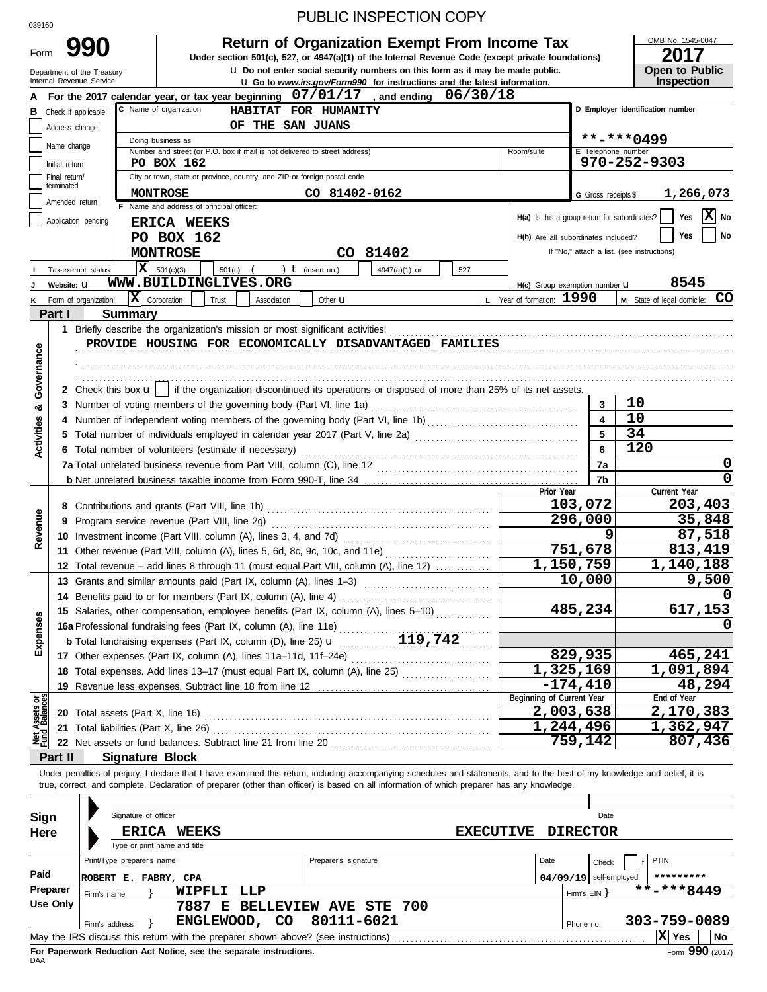## PUBLIC INSPECTION COPY

| Form                           |                                 |                                                                                    |                                                                          |                                              |        |                                                                                 |  |                                                                            |                        | <b>Return of Organization Exempt From Income Tax</b><br>Under section 501(c), 527, or 4947(a)(1) of the Internal Revenue Code (except private foundations)                                                                     |  |                  |                   |                                     |           |                     |                                                                         | OMB No. 1545-0047<br>2017               |   |  |  |
|--------------------------------|---------------------------------|------------------------------------------------------------------------------------|--------------------------------------------------------------------------|----------------------------------------------|--------|---------------------------------------------------------------------------------|--|----------------------------------------------------------------------------|------------------------|--------------------------------------------------------------------------------------------------------------------------------------------------------------------------------------------------------------------------------|--|------------------|-------------------|-------------------------------------|-----------|---------------------|-------------------------------------------------------------------------|-----------------------------------------|---|--|--|
|                                |                                 | Department of the Treasury<br>Internal Revenue Service                             |                                                                          |                                              |        |                                                                                 |  |                                                                            |                        | <b>u</b> Do not enter social security numbers on this form as it may be made public.<br><b>u</b> Go to www.irs.gov/Form990 for instructions and the latest information.                                                        |  |                  |                   |                                     |           |                     |                                                                         | Open to Public<br>Inspection            |   |  |  |
|                                |                                 |                                                                                    |                                                                          |                                              |        |                                                                                 |  |                                                                            |                        | For the 2017 calendar year, or tax year beginning $07/01/17$ , and ending                                                                                                                                                      |  | 06/30/18         |                   |                                     |           |                     |                                                                         |                                         |   |  |  |
|                                | <b>B</b> Check if applicable:   |                                                                                    |                                                                          | C Name of organization                       |        |                                                                                 |  | HABITAT FOR HUMANITY                                                       |                        |                                                                                                                                                                                                                                |  |                  |                   |                                     |           |                     |                                                                         | D Employer identification number        |   |  |  |
|                                | Address change                  |                                                                                    |                                                                          |                                              |        | OF THE SAN JUANS                                                                |  |                                                                            |                        |                                                                                                                                                                                                                                |  |                  |                   |                                     |           |                     |                                                                         |                                         |   |  |  |
|                                | Name change                     |                                                                                    |                                                                          | Doing business as                            |        |                                                                                 |  |                                                                            |                        |                                                                                                                                                                                                                                |  |                  |                   |                                     |           |                     | $***$ -***0499                                                          |                                         |   |  |  |
|                                |                                 |                                                                                    |                                                                          | PO BOX 162                                   |        |                                                                                 |  | Number and street (or P.O. box if mail is not delivered to street address) |                        |                                                                                                                                                                                                                                |  |                  | Room/suite        |                                     |           |                     | E Telephone number<br>970-252-9303                                      |                                         |   |  |  |
|                                | Initial return<br>Final return/ |                                                                                    |                                                                          |                                              |        |                                                                                 |  | City or town, state or province, country, and ZIP or foreign postal code   |                        |                                                                                                                                                                                                                                |  |                  |                   |                                     |           |                     |                                                                         |                                         |   |  |  |
|                                | terminated                      |                                                                                    |                                                                          | <b>MONTROSE</b>                              |        |                                                                                 |  | CO 81402-0162                                                              |                        |                                                                                                                                                                                                                                |  |                  |                   |                                     |           | G Gross receipts \$ |                                                                         | 1,266,073                               |   |  |  |
|                                | Amended return                  |                                                                                    |                                                                          | F Name and address of principal officer:     |        |                                                                                 |  |                                                                            |                        |                                                                                                                                                                                                                                |  |                  |                   |                                     |           |                     |                                                                         |                                         |   |  |  |
|                                | Application pending             |                                                                                    |                                                                          | <b>ERICA WEEKS</b>                           |        |                                                                                 |  |                                                                            |                        |                                                                                                                                                                                                                                |  |                  |                   |                                     |           |                     | $\mathbf{X}$ No<br>Yes<br>H(a) Is this a group return for subordinates? |                                         |   |  |  |
|                                |                                 |                                                                                    |                                                                          | PO BOX 162                                   |        |                                                                                 |  |                                                                            |                        |                                                                                                                                                                                                                                |  |                  |                   | H(b) Are all subordinates included? |           |                     |                                                                         | Yes<br>No                               |   |  |  |
|                                |                                 |                                                                                    |                                                                          | <b>MONTROSE</b>                              |        |                                                                                 |  |                                                                            |                        | CO 81402                                                                                                                                                                                                                       |  |                  |                   |                                     |           |                     | If "No," attach a list. (see instructions)                              |                                         |   |  |  |
|                                |                                 | Tax-exempt status:                                                                 | x                                                                        | 501(c)(3)                                    | 501(c) |                                                                                 |  | ) $t$ (insert no.)                                                         |                        | 4947(a)(1) or                                                                                                                                                                                                                  |  | 527              |                   |                                     |           |                     |                                                                         |                                         |   |  |  |
|                                | Website: U                      |                                                                                    |                                                                          |                                              |        | WWW.BUILDINGLIVES.ORG                                                           |  |                                                                            |                        |                                                                                                                                                                                                                                |  |                  |                   | H(c) Group exemption number U       |           |                     |                                                                         | 8545                                    |   |  |  |
| Κ                              |                                 | Form of organization:                                                              | $\mathbf{X}$ Corporation                                                 |                                              | Trust  | Association                                                                     |  | Other <b>u</b>                                                             |                        |                                                                                                                                                                                                                                |  |                  |                   | L Year of formation: 1990           |           |                     |                                                                         | <b>CO</b><br>M State of legal domicile: |   |  |  |
|                                | Part I                          |                                                                                    | <b>Summary</b>                                                           |                                              |        |                                                                                 |  |                                                                            |                        |                                                                                                                                                                                                                                |  |                  |                   |                                     |           |                     |                                                                         |                                         |   |  |  |
|                                |                                 |                                                                                    |                                                                          |                                              |        |                                                                                 |  |                                                                            |                        |                                                                                                                                                                                                                                |  |                  |                   |                                     |           |                     |                                                                         |                                         |   |  |  |
|                                |                                 |                                                                                    |                                                                          |                                              |        |                                                                                 |  |                                                                            |                        | PROVIDE HOUSING FOR ECONOMICALLY DISADVANTAGED FAMILIES                                                                                                                                                                        |  |                  |                   |                                     |           |                     |                                                                         |                                         |   |  |  |
| Governance                     |                                 |                                                                                    |                                                                          |                                              |        |                                                                                 |  |                                                                            |                        |                                                                                                                                                                                                                                |  |                  |                   |                                     |           |                     |                                                                         |                                         |   |  |  |
|                                |                                 |                                                                                    |                                                                          |                                              |        |                                                                                 |  |                                                                            |                        |                                                                                                                                                                                                                                |  |                  |                   |                                     |           |                     |                                                                         |                                         |   |  |  |
|                                |                                 |                                                                                    |                                                                          |                                              |        |                                                                                 |  |                                                                            |                        | 2 Check this box $\mathbf{u}$ if the organization discontinued its operations or disposed of more than 25% of its net assets.                                                                                                  |  |                  |                   |                                     |           |                     | 10                                                                      |                                         |   |  |  |
| න්                             |                                 |                                                                                    |                                                                          |                                              |        |                                                                                 |  |                                                                            |                        |                                                                                                                                                                                                                                |  |                  |                   |                                     |           | 3<br>4              | 10                                                                      |                                         |   |  |  |
|                                | 4                               |                                                                                    |                                                                          |                                              |        |                                                                                 |  |                                                                            |                        | Number of independent voting members of the governing body (Part VI, line 1b) [[[[[[[[[[[[[[[[[[[[[[[[[[[[[[[                                                                                                                  |  |                  |                   |                                     |           | 5                   | 34                                                                      |                                         |   |  |  |
| <b>Activities</b>              |                                 |                                                                                    |                                                                          |                                              |        |                                                                                 |  |                                                                            |                        |                                                                                                                                                                                                                                |  |                  |                   |                                     |           | 6                   | 120                                                                     |                                         |   |  |  |
|                                |                                 | 6 Total number of volunteers (estimate if necessary)                               |                                                                          |                                              |        |                                                                                 |  |                                                                            |                        |                                                                                                                                                                                                                                |  |                  |                   |                                     |           |                     |                                                                         | 0                                       |   |  |  |
|                                |                                 |                                                                                    |                                                                          |                                              |        |                                                                                 |  |                                                                            |                        |                                                                                                                                                                                                                                |  |                  |                   |                                     |           | 7a                  |                                                                         |                                         | 0 |  |  |
|                                |                                 |                                                                                    |                                                                          |                                              |        |                                                                                 |  |                                                                            |                        |                                                                                                                                                                                                                                |  |                  |                   | Prior Year                          |           | 7b                  |                                                                         | Current Year                            |   |  |  |
|                                |                                 |                                                                                    |                                                                          |                                              |        |                                                                                 |  |                                                                            |                        |                                                                                                                                                                                                                                |  |                  |                   |                                     | 103,072   |                     |                                                                         | 203,403                                 |   |  |  |
|                                | 9                               |                                                                                    |                                                                          | Program service revenue (Part VIII, line 2g) |        |                                                                                 |  |                                                                            |                        |                                                                                                                                                                                                                                |  |                  |                   |                                     | 296,000   |                     |                                                                         | 35,848                                  |   |  |  |
| Revenue                        |                                 |                                                                                    |                                                                          |                                              |        |                                                                                 |  |                                                                            |                        |                                                                                                                                                                                                                                |  |                  |                   |                                     |           | 9                   |                                                                         | 87,518                                  |   |  |  |
|                                | 11                              |                                                                                    | Other revenue (Part VIII, column (A), lines 5, 6d, 8c, 9c, 10c, and 11e) |                                              |        |                                                                                 |  |                                                                            |                        |                                                                                                                                                                                                                                |  |                  |                   |                                     | 751,678   |                     |                                                                         | 813,419                                 |   |  |  |
|                                | 12.                             | Total revenue - add lines 8 through 11 (must equal Part VIII, column (A), line 12) |                                                                          |                                              |        |                                                                                 |  |                                                                            | $\overline{1,150,759}$ |                                                                                                                                                                                                                                |  |                  |                   |                                     |           |                     |                                                                         | 1,140,188                               |   |  |  |
|                                |                                 |                                                                                    |                                                                          |                                              |        |                                                                                 |  | 13 Grants and similar amounts paid (Part IX, column (A), lines 1-3)        |                        |                                                                                                                                                                                                                                |  |                  |                   |                                     | 10,000    |                     |                                                                         | 9,500                                   |   |  |  |
|                                |                                 |                                                                                    |                                                                          |                                              |        | 14 Benefits paid to or for members (Part IX, column (A), line 4)                |  |                                                                            |                        |                                                                                                                                                                                                                                |  |                  |                   |                                     |           |                     |                                                                         |                                         |   |  |  |
|                                |                                 |                                                                                    |                                                                          |                                              |        |                                                                                 |  |                                                                            |                        | 15 Salaries, other compensation, employee benefits (Part IX, column (A), lines 5–10)                                                                                                                                           |  |                  |                   |                                     | 485,234   |                     |                                                                         | 617,153                                 |   |  |  |
| Expenses                       |                                 |                                                                                    |                                                                          |                                              |        | 16a Professional fundraising fees (Part IX, column (A), line 11e)               |  |                                                                            |                        |                                                                                                                                                                                                                                |  |                  |                   |                                     |           |                     |                                                                         |                                         | 0 |  |  |
|                                |                                 |                                                                                    |                                                                          |                                              |        | <b>b</b> Total fundraising expenses (Part IX, column (D), line 25) $\mathbf{u}$ |  |                                                                            |                        | 119,742                                                                                                                                                                                                                        |  |                  |                   |                                     |           |                     |                                                                         |                                         |   |  |  |
|                                |                                 |                                                                                    |                                                                          |                                              |        | 17 Other expenses (Part IX, column (A), lines 11a-11d, 11f-24e)                 |  |                                                                            |                        |                                                                                                                                                                                                                                |  |                  |                   |                                     | 829,935   |                     |                                                                         | 465,241                                 |   |  |  |
|                                |                                 |                                                                                    |                                                                          |                                              |        |                                                                                 |  |                                                                            |                        | 18 Total expenses. Add lines 13-17 (must equal Part IX, column (A), line 25)                                                                                                                                                   |  |                  |                   | $\overline{1,}$ 325,169             |           |                     |                                                                         | 1,091,894                               |   |  |  |
|                                |                                 |                                                                                    |                                                                          |                                              |        | 19 Revenue less expenses. Subtract line 18 from line 12                         |  |                                                                            |                        |                                                                                                                                                                                                                                |  |                  |                   | $-174, 410$                         |           |                     |                                                                         | 48,294                                  |   |  |  |
| Net Assets or<br>Fund Balances |                                 |                                                                                    |                                                                          |                                              |        |                                                                                 |  |                                                                            |                        |                                                                                                                                                                                                                                |  |                  |                   | Beginning of Current Year           |           |                     |                                                                         | End of Year                             |   |  |  |
|                                |                                 |                                                                                    |                                                                          | <b>20</b> Total assets (Part X, line 16)     |        |                                                                                 |  |                                                                            |                        |                                                                                                                                                                                                                                |  |                  |                   | 2,003,638                           |           |                     |                                                                         | 2,170,383                               |   |  |  |
|                                |                                 |                                                                                    |                                                                          |                                              |        |                                                                                 |  |                                                                            |                        | 21 Total liabilities (Part X, line 26) Mathematic Contract Contract Contract Contract Contract Contract Contract Contract Contract Contract Contract Contract Contract Contract Contract Contract Contract Contract Contract C |  |                  |                   | 1,244,496                           | 759,142   |                     |                                                                         | 1,362,947<br>807,436                    |   |  |  |
|                                | Part II                         |                                                                                    |                                                                          | <b>Signature Block</b>                       |        |                                                                                 |  |                                                                            |                        |                                                                                                                                                                                                                                |  |                  |                   |                                     |           |                     |                                                                         |                                         |   |  |  |
|                                |                                 |                                                                                    |                                                                          |                                              |        |                                                                                 |  |                                                                            |                        | Under penalties of perjury, I declare that I have examined this return, including accompanying schedules and statements, and to the best of my knowledge and belief, it is                                                     |  |                  |                   |                                     |           |                     |                                                                         |                                         |   |  |  |
|                                |                                 |                                                                                    |                                                                          |                                              |        |                                                                                 |  |                                                                            |                        | true, correct, and complete. Declaration of preparer (other than officer) is based on all information of which preparer has any knowledge.                                                                                     |  |                  |                   |                                     |           |                     |                                                                         |                                         |   |  |  |
|                                |                                 |                                                                                    |                                                                          |                                              |        |                                                                                 |  |                                                                            |                        |                                                                                                                                                                                                                                |  |                  |                   |                                     |           |                     |                                                                         |                                         |   |  |  |
| Sign                           |                                 |                                                                                    | Signature of officer                                                     |                                              |        |                                                                                 |  |                                                                            |                        |                                                                                                                                                                                                                                |  |                  |                   |                                     |           | Date                |                                                                         |                                         |   |  |  |
| Here                           |                                 |                                                                                    | <b>ERICA</b>                                                             | <b>WEEKS</b>                                 |        |                                                                                 |  |                                                                            |                        |                                                                                                                                                                                                                                |  | <b>EXECUTIVE</b> |                   |                                     |           | <b>DIRECTOR</b>     |                                                                         |                                         |   |  |  |
|                                |                                 |                                                                                    |                                                                          | Type or print name and title                 |        |                                                                                 |  |                                                                            |                        |                                                                                                                                                                                                                                |  |                  |                   |                                     |           |                     |                                                                         |                                         |   |  |  |
|                                |                                 |                                                                                    | Print/Type preparer's name                                               |                                              |        |                                                                                 |  | Preparer's signature                                                       |                        |                                                                                                                                                                                                                                |  |                  |                   | Date                                |           | Check               |                                                                         | <b>PTIN</b>                             |   |  |  |
| Paid                           |                                 |                                                                                    |                                                                          | ROBERT E. FABRY, CPA                         |        |                                                                                 |  |                                                                            |                        |                                                                                                                                                                                                                                |  |                  |                   | $04/09/19$ self-employed            |           |                     |                                                                         | *********                               |   |  |  |
|                                | Preparer                        | LLP<br>WIPFLI<br>Firm's EIN }<br>Firm's name                                       |                                                                          |                                              |        |                                                                                 |  |                                                                            |                        |                                                                                                                                                                                                                                |  |                  | $***$ ** * * 8449 |                                     |           |                     |                                                                         |                                         |   |  |  |
|                                | <b>Use Only</b>                 |                                                                                    |                                                                          |                                              |        |                                                                                 |  |                                                                            |                        | 7887 E BELLEVIEW AVE STE 700                                                                                                                                                                                                   |  |                  |                   |                                     |           |                     |                                                                         |                                         |   |  |  |
|                                |                                 | Firm's address                                                                     |                                                                          |                                              |        | ENGLEWOOD, CO                                                                   |  | 80111-6021                                                                 |                        |                                                                                                                                                                                                                                |  |                  |                   |                                     | Phone no. |                     |                                                                         | 303-759-0089                            |   |  |  |
|                                |                                 |                                                                                    |                                                                          |                                              |        |                                                                                 |  |                                                                            |                        |                                                                                                                                                                                                                                |  |                  |                   |                                     |           |                     |                                                                         | X Yes<br>  No                           |   |  |  |

| Sign        |                              | Signature of officer       |              |     |                                                                                   |                                     |                          | Date |  |                    |      |  |  |  |
|-------------|------------------------------|----------------------------|--------------|-----|-----------------------------------------------------------------------------------|-------------------------------------|--------------------------|------|--|--------------------|------|--|--|--|
| <b>Here</b> |                              | <b>ERICA</b>               | <b>WEEKS</b> |     |                                                                                   | <b>EXECUTIVE</b><br><b>DIRECTOR</b> |                          |      |  |                    |      |  |  |  |
|             | Type or print name and title |                            |              |     |                                                                                   |                                     |                          |      |  |                    |      |  |  |  |
|             |                              | Print/Type preparer's name |              |     | Preparer's signature                                                              | Date                                |                          |      |  |                    |      |  |  |  |
| Paid        |                              | ROBERT E. FABRY, CPA       |              |     |                                                                                   |                                     | $04/09/19$ self-employed |      |  | *********          |      |  |  |  |
| Preparer    | Firm's name                  |                            | WIPFLI       | LLP |                                                                                   |                                     | Firm's $EIN$ }           |      |  | $***$ $***$ 8449   |      |  |  |  |
| Use Only    |                              |                            | 7887<br>Е.   |     | BELLEVIEW AVE STE 700                                                             |                                     |                          |      |  |                    |      |  |  |  |
|             | Firm's address               |                            | ENGLEWOOD,   | CO. | 80111-6021                                                                        |                                     | Phone no.                |      |  | $303 - 759 - 0089$ |      |  |  |  |
|             |                              |                            |              |     | May the IRS discuss this return with the preparer shown above? (see instructions) |                                     |                          |      |  | x<br><b>Yes</b>    | l No |  |  |  |
|             |                              |                            |              |     |                                                                                   |                                     |                          |      |  | $\cdots$           |      |  |  |  |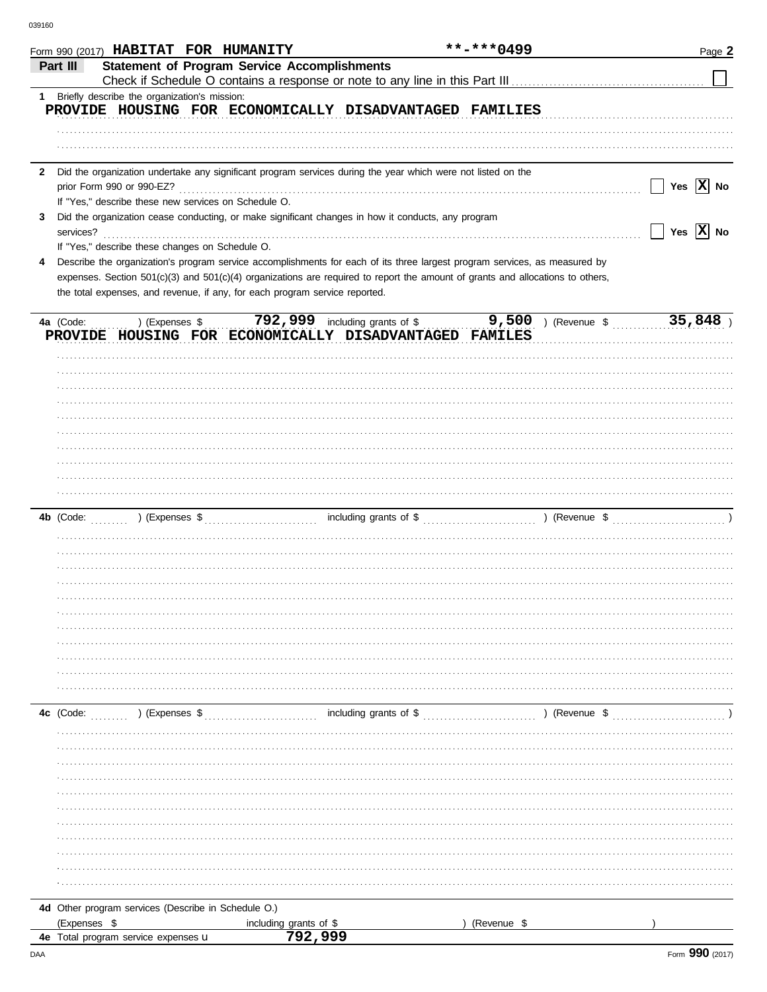|              | Form 990 (2017) HABITAT FOR HUMANITY                                        |                        |                                                                                                                                | **-***0499  |                     | Page 2                |
|--------------|-----------------------------------------------------------------------------|------------------------|--------------------------------------------------------------------------------------------------------------------------------|-------------|---------------------|-----------------------|
| Part III     | <b>Statement of Program Service Accomplishments</b>                         |                        |                                                                                                                                |             |                     |                       |
| 1            | Briefly describe the organization's mission:                                |                        |                                                                                                                                |             |                     |                       |
|              |                                                                             |                        | PROVIDE HOUSING FOR ECONOMICALLY DISADVANTAGED FAMILIES                                                                        |             |                     |                       |
|              |                                                                             |                        |                                                                                                                                |             |                     |                       |
|              |                                                                             |                        |                                                                                                                                |             |                     |                       |
|              |                                                                             |                        |                                                                                                                                |             |                     |                       |
| $\mathbf{2}$ |                                                                             |                        | Did the organization undertake any significant program services during the year which were not listed on the                   |             |                     |                       |
|              | prior Form 990 or 990-EZ?                                                   |                        |                                                                                                                                |             |                     | Yes $\overline{X}$ No |
| 3            | If "Yes," describe these new services on Schedule O.                        |                        | Did the organization cease conducting, or make significant changes in how it conducts, any program                             |             |                     |                       |
| services?    |                                                                             |                        |                                                                                                                                |             |                     | Yes $\overline{X}$ No |
|              | If "Yes," describe these changes on Schedule O.                             |                        |                                                                                                                                |             |                     |                       |
| 4            |                                                                             |                        | Describe the organization's program service accomplishments for each of its three largest program services, as measured by     |             |                     |                       |
|              |                                                                             |                        | expenses. Section 501(c)(3) and 501(c)(4) organizations are required to report the amount of grants and allocations to others, |             |                     |                       |
|              | the total expenses, and revenue, if any, for each program service reported. |                        |                                                                                                                                |             |                     |                       |
|              |                                                                             |                        | $\overline{792,999}$ including grants of \$                                                                                    |             | 9,500 ) (Revenue \$ | $35,848$ )            |
| 4a (Code:    | ) (Expenses \$                                                              |                        | PROVIDE HOUSING FOR ECONOMICALLY DISADVANTAGED FAMILES                                                                         |             |                     |                       |
|              |                                                                             |                        |                                                                                                                                |             |                     |                       |
|              |                                                                             |                        |                                                                                                                                |             |                     |                       |
|              |                                                                             |                        |                                                                                                                                |             |                     |                       |
|              |                                                                             |                        |                                                                                                                                |             |                     |                       |
|              |                                                                             |                        |                                                                                                                                |             |                     |                       |
|              |                                                                             |                        |                                                                                                                                |             |                     |                       |
|              |                                                                             |                        |                                                                                                                                |             |                     |                       |
|              |                                                                             |                        |                                                                                                                                |             |                     |                       |
|              |                                                                             |                        |                                                                                                                                |             |                     |                       |
|              |                                                                             |                        |                                                                                                                                |             |                     |                       |
|              |                                                                             |                        |                                                                                                                                |             |                     |                       |
|              |                                                                             |                        |                                                                                                                                |             |                     |                       |
|              |                                                                             |                        |                                                                                                                                |             |                     |                       |
|              |                                                                             |                        |                                                                                                                                |             |                     |                       |
|              |                                                                             |                        |                                                                                                                                |             |                     |                       |
|              |                                                                             |                        |                                                                                                                                |             |                     |                       |
|              |                                                                             |                        |                                                                                                                                |             |                     |                       |
|              |                                                                             |                        |                                                                                                                                |             |                     |                       |
|              |                                                                             |                        |                                                                                                                                |             |                     |                       |
|              |                                                                             |                        |                                                                                                                                |             |                     |                       |
|              |                                                                             |                        |                                                                                                                                |             |                     |                       |
|              |                                                                             |                        |                                                                                                                                |             |                     |                       |
|              |                                                                             |                        |                                                                                                                                |             |                     |                       |
| 4c (Code:    | ) (Expenses \$                                                              |                        |                                                                                                                                |             |                     |                       |
|              |                                                                             |                        |                                                                                                                                |             |                     |                       |
|              |                                                                             |                        |                                                                                                                                |             |                     |                       |
|              |                                                                             |                        |                                                                                                                                |             |                     |                       |
|              |                                                                             |                        |                                                                                                                                |             |                     |                       |
|              |                                                                             |                        |                                                                                                                                |             |                     |                       |
|              |                                                                             |                        |                                                                                                                                |             |                     |                       |
|              |                                                                             |                        |                                                                                                                                |             |                     |                       |
|              |                                                                             |                        |                                                                                                                                |             |                     |                       |
|              |                                                                             |                        |                                                                                                                                |             |                     |                       |
|              |                                                                             |                        |                                                                                                                                |             |                     |                       |
|              |                                                                             |                        |                                                                                                                                |             |                     |                       |
|              | 4d Other program services (Describe in Schedule O.)                         |                        |                                                                                                                                |             |                     |                       |
| (Expenses \$ |                                                                             | including grants of \$ |                                                                                                                                | (Revenue \$ |                     |                       |
|              | 4e Total program service expenses u                                         | 792,999                |                                                                                                                                |             |                     |                       |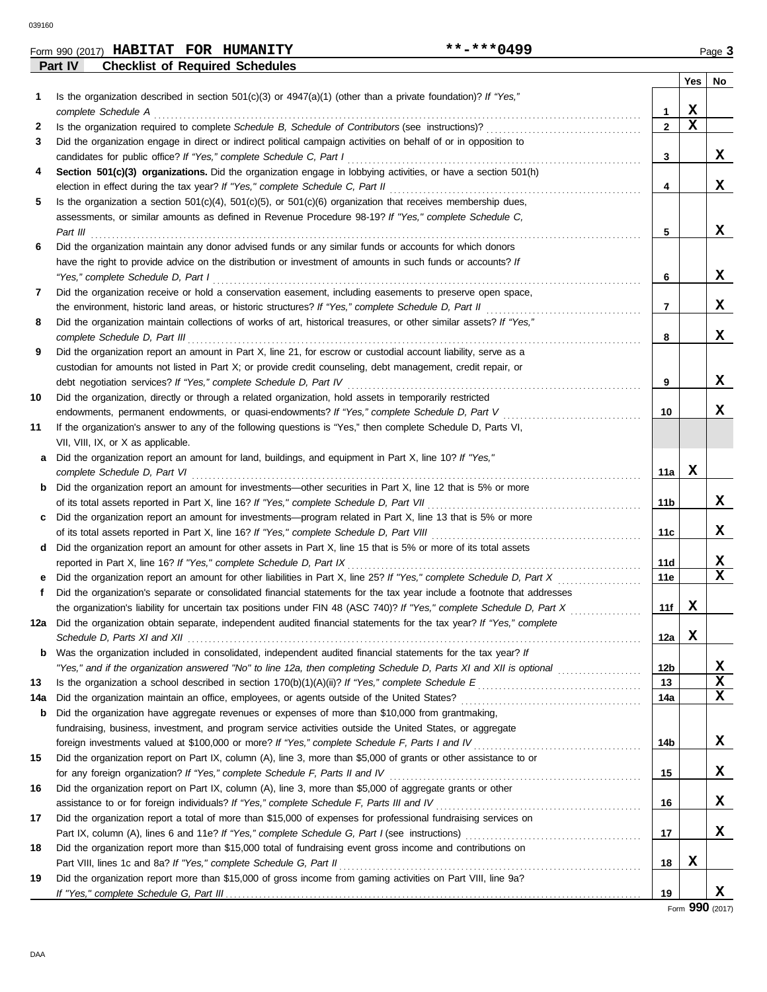|     | <b>Checklist of Required Schedules</b><br>Part IV                                                                                                                                                                                                 |                 |             |             |
|-----|---------------------------------------------------------------------------------------------------------------------------------------------------------------------------------------------------------------------------------------------------|-----------------|-------------|-------------|
|     |                                                                                                                                                                                                                                                   |                 | Yes         | No          |
| 1.  | Is the organization described in section $501(c)(3)$ or $4947(a)(1)$ (other than a private foundation)? If "Yes,"                                                                                                                                 |                 |             |             |
|     | complete Schedule A                                                                                                                                                                                                                               | 1               | х           |             |
| 2   |                                                                                                                                                                                                                                                   | $\mathbf{2}$    | $\mathbf x$ |             |
| 3   | Did the organization engage in direct or indirect political campaign activities on behalf of or in opposition to                                                                                                                                  |                 |             |             |
|     | candidates for public office? If "Yes," complete Schedule C, Part I                                                                                                                                                                               | 3               |             | X           |
| 4   | Section 501(c)(3) organizations. Did the organization engage in lobbying activities, or have a section 501(h)                                                                                                                                     |                 |             |             |
|     | election in effect during the tax year? If "Yes," complete Schedule C, Part II                                                                                                                                                                    | 4               |             | x           |
| 5   | Is the organization a section $501(c)(4)$ , $501(c)(5)$ , or $501(c)(6)$ organization that receives membership dues,                                                                                                                              |                 |             |             |
|     | assessments, or similar amounts as defined in Revenue Procedure 98-19? If "Yes," complete Schedule C,                                                                                                                                             |                 |             |             |
|     | Part III                                                                                                                                                                                                                                          | 5               |             | x           |
| 6   | Did the organization maintain any donor advised funds or any similar funds or accounts for which donors                                                                                                                                           |                 |             |             |
|     | have the right to provide advice on the distribution or investment of amounts in such funds or accounts? If                                                                                                                                       |                 |             |             |
|     | "Yes," complete Schedule D, Part I                                                                                                                                                                                                                | 6               |             | x           |
| 7   | Did the organization receive or hold a conservation easement, including easements to preserve open space,                                                                                                                                         |                 |             |             |
|     | the environment, historic land areas, or historic structures? If "Yes," complete Schedule D, Part II                                                                                                                                              | 7               |             | x           |
| 8   | Did the organization maintain collections of works of art, historical treasures, or other similar assets? If "Yes,"                                                                                                                               |                 |             |             |
|     | complete Schedule D, Part III                                                                                                                                                                                                                     | 8               |             | x           |
| 9   | Did the organization report an amount in Part X, line 21, for escrow or custodial account liability, serve as a                                                                                                                                   |                 |             |             |
|     | custodian for amounts not listed in Part X; or provide credit counseling, debt management, credit repair, or                                                                                                                                      |                 |             |             |
|     | debt negotiation services? If "Yes," complete Schedule D, Part IV                                                                                                                                                                                 | 9               |             | x           |
| 10  | Did the organization, directly or through a related organization, hold assets in temporarily restricted                                                                                                                                           |                 |             |             |
|     | endowments, permanent endowments, or quasi-endowments? If "Yes," complete Schedule D, Part V                                                                                                                                                      | 10              |             | x           |
| 11  | If the organization's answer to any of the following questions is "Yes," then complete Schedule D, Parts VI,                                                                                                                                      |                 |             |             |
|     | VII, VIII, IX, or X as applicable.                                                                                                                                                                                                                |                 |             |             |
| a   | Did the organization report an amount for land, buildings, and equipment in Part X, line 10? If "Yes,"                                                                                                                                            |                 |             |             |
|     | complete Schedule D, Part VI                                                                                                                                                                                                                      | 11a             | x           |             |
| b   | Did the organization report an amount for investments—other securities in Part X, line 12 that is 5% or more                                                                                                                                      |                 |             |             |
|     | of its total assets reported in Part X, line 16? If "Yes," complete Schedule D, Part VII                                                                                                                                                          | 11b             |             | x           |
| c   | Did the organization report an amount for investments—program related in Part X, line 13 that is 5% or more                                                                                                                                       |                 |             |             |
|     | of its total assets reported in Part X, line 16? If "Yes," complete Schedule D, Part VIII                                                                                                                                                         | 11c             |             | X           |
| d   | Did the organization report an amount for other assets in Part X, line 15 that is 5% or more of its total assets                                                                                                                                  |                 |             | x           |
|     | reported in Part X, line 16? If "Yes," complete Schedule D, Part IX                                                                                                                                                                               | 11d             |             | $\mathbf x$ |
| е   | Did the organization report an amount for other liabilities in Part X, line 25? If "Yes," complete Schedule D, Part X                                                                                                                             | 11e             |             |             |
| f   | Did the organization's separate or consolidated financial statements for the tax year include a footnote that addresses<br>the organization's liability for uncertain tax positions under FIN 48 (ASC 740)? If "Yes," complete Schedule D, Part X |                 | X           |             |
| 12a | Did the organization obtain separate, independent audited financial statements for the tax year? If "Yes," complete                                                                                                                               | 11f             |             |             |
|     |                                                                                                                                                                                                                                                   | 12a             | X           |             |
|     | <b>b</b> Was the organization included in consolidated, independent audited financial statements for the tax year? If                                                                                                                             |                 |             |             |
|     | "Yes," and if the organization answered "No" to line 12a, then completing Schedule D, Parts XI and XII is optional                                                                                                                                | 12 <sub>b</sub> |             | X           |
| 13  |                                                                                                                                                                                                                                                   | 13              |             | $\mathbf x$ |
| 14a | Did the organization maintain an office, employees, or agents outside of the United States?                                                                                                                                                       | 14a             |             | X           |
| b   | Did the organization have aggregate revenues or expenses of more than \$10,000 from grantmaking,                                                                                                                                                  |                 |             |             |
|     | fundraising, business, investment, and program service activities outside the United States, or aggregate                                                                                                                                         |                 |             |             |
|     |                                                                                                                                                                                                                                                   | 14b             |             | X           |
| 15  | Did the organization report on Part IX, column (A), line 3, more than \$5,000 of grants or other assistance to or                                                                                                                                 |                 |             |             |
|     | for any foreign organization? If "Yes," complete Schedule F, Parts II and IV                                                                                                                                                                      | 15              |             | X           |
| 16  | Did the organization report on Part IX, column (A), line 3, more than \$5,000 of aggregate grants or other                                                                                                                                        |                 |             |             |
|     |                                                                                                                                                                                                                                                   | 16              |             | X           |
| 17  | Did the organization report a total of more than \$15,000 of expenses for professional fundraising services on                                                                                                                                    |                 |             |             |
|     |                                                                                                                                                                                                                                                   | 17              |             | x           |
| 18  | Did the organization report more than \$15,000 total of fundraising event gross income and contributions on                                                                                                                                       |                 |             |             |
|     | Part VIII, lines 1c and 8a? If "Yes," complete Schedule G, Part II                                                                                                                                                                                | 18              | X           |             |
| 19  | Did the organization report more than \$15,000 of gross income from gaming activities on Part VIII, line 9a?                                                                                                                                      |                 |             |             |
|     |                                                                                                                                                                                                                                                   | 19              |             | X.          |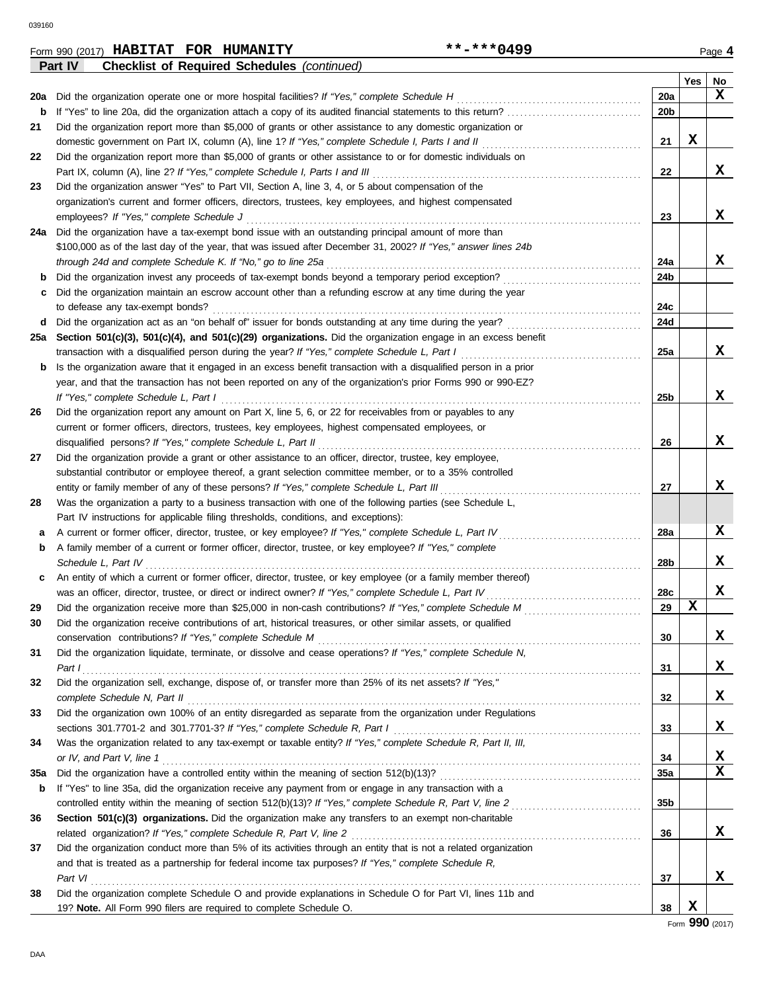|     | Part IV<br><b>Checklist of Required Schedules (continued)</b>                                                    |                 |             |    |
|-----|------------------------------------------------------------------------------------------------------------------|-----------------|-------------|----|
|     |                                                                                                                  |                 | Yes         | No |
| 20a | Did the organization operate one or more hospital facilities? If "Yes," complete Schedule H                      | 20a             |             | x  |
| b   |                                                                                                                  | 20 <sub>b</sub> |             |    |
| 21  | Did the organization report more than \$5,000 of grants or other assistance to any domestic organization or      |                 |             |    |
|     | domestic government on Part IX, column (A), line 1? If "Yes," complete Schedule I, Parts I and II                | 21              | X           |    |
| 22  | Did the organization report more than \$5,000 of grants or other assistance to or for domestic individuals on    |                 |             |    |
|     | Part IX, column (A), line 2? If "Yes," complete Schedule I, Parts I and III                                      | 22              |             | x  |
| 23  | Did the organization answer "Yes" to Part VII, Section A, line 3, 4, or 5 about compensation of the              |                 |             |    |
|     | organization's current and former officers, directors, trustees, key employees, and highest compensated          |                 |             |    |
|     | employees? If "Yes," complete Schedule J                                                                         | 23              |             | x  |
| 24a | Did the organization have a tax-exempt bond issue with an outstanding principal amount of more than              |                 |             |    |
|     | \$100,000 as of the last day of the year, that was issued after December 31, 2002? If "Yes," answer lines 24b    |                 |             |    |
|     | through 24d and complete Schedule K. If "No," go to line 25a                                                     | 24a             |             | x  |
| b   | Did the organization invest any proceeds of tax-exempt bonds beyond a temporary period exception?                | 24b             |             |    |
| c   | Did the organization maintain an escrow account other than a refunding escrow at any time during the year        |                 |             |    |
|     | to defease any tax-exempt bonds?                                                                                 | 24c             |             |    |
| d   |                                                                                                                  | 24d             |             |    |
| 25a | Section 501(c)(3), 501(c)(4), and 501(c)(29) organizations. Did the organization engage in an excess benefit     |                 |             |    |
|     | transaction with a disqualified person during the year? If "Yes," complete Schedule L, Part I                    | 25a             |             | x  |
| b   | Is the organization aware that it engaged in an excess benefit transaction with a disqualified person in a prior |                 |             |    |
|     | year, and that the transaction has not been reported on any of the organization's prior Forms 990 or 990-EZ?     |                 |             |    |
|     | If "Yes," complete Schedule L, Part I                                                                            | 25b             |             | x  |
| 26  | Did the organization report any amount on Part X, line 5, 6, or 22 for receivables from or payables to any       |                 |             |    |
|     | current or former officers, directors, trustees, key employees, highest compensated employees, or                |                 |             |    |
|     | disqualified persons? If "Yes," complete Schedule L, Part II                                                     | 26              |             | X  |
| 27  | Did the organization provide a grant or other assistance to an officer, director, trustee, key employee,         |                 |             |    |
|     | substantial contributor or employee thereof, a grant selection committee member, or to a 35% controlled          |                 |             |    |
|     | entity or family member of any of these persons? If "Yes," complete Schedule L, Part III                         | 27              |             | x  |
| 28  | Was the organization a party to a business transaction with one of the following parties (see Schedule L,        |                 |             |    |
|     | Part IV instructions for applicable filing thresholds, conditions, and exceptions):                              |                 |             |    |
| а   | A current or former officer, director, trustee, or key employee? If "Yes," complete Schedule L, Part IV          | 28a             |             | X  |
| b   | A family member of a current or former officer, director, trustee, or key employee? If "Yes," complete           |                 |             |    |
|     | Schedule L, Part IV                                                                                              | 28b             |             | X  |
| с   | An entity of which a current or former officer, director, trustee, or key employee (or a family member thereof)  |                 |             |    |
|     | was an officer, director, trustee, or direct or indirect owner? If "Yes," complete Schedule L, Part IV           | 28c             |             | х  |
| 29  | Did the organization receive more than \$25,000 in non-cash contributions? If "Yes," complete Schedule M         | 29              | X           |    |
| 30  | Did the organization receive contributions of art, historical treasures, or other similar assets, or qualified   |                 |             |    |
|     | conservation contributions? If "Yes," complete Schedule M                                                        | 30              |             | X  |
| 31  | Did the organization liquidate, terminate, or dissolve and cease operations? If "Yes," complete Schedule N,      |                 |             |    |
|     | Part I                                                                                                           | 31              |             | X  |
| 32  | Did the organization sell, exchange, dispose of, or transfer more than 25% of its net assets? If "Yes,"          |                 |             |    |
|     | complete Schedule N, Part II                                                                                     | 32              |             | X  |
| 33  | Did the organization own 100% of an entity disregarded as separate from the organization under Regulations       |                 |             |    |
|     |                                                                                                                  | 33              |             | X  |
| 34  | Was the organization related to any tax-exempt or taxable entity? If "Yes," complete Schedule R, Part II, III,   |                 |             |    |
|     | or IV, and Part V, line 1                                                                                        | 34              |             | X  |
| 35a |                                                                                                                  | 35a             |             | x  |
| b   | If "Yes" to line 35a, did the organization receive any payment from or engage in any transaction with a          |                 |             |    |
|     |                                                                                                                  | 35 <sub>b</sub> |             |    |
| 36  | Section 501(c)(3) organizations. Did the organization make any transfers to an exempt non-charitable             |                 |             |    |
|     | related organization? If "Yes," complete Schedule R, Part V, line 2                                              | 36              |             | x  |
| 37  | Did the organization conduct more than 5% of its activities through an entity that is not a related organization |                 |             |    |
|     | and that is treated as a partnership for federal income tax purposes? If "Yes," complete Schedule R,             |                 |             |    |
|     | Part VI                                                                                                          | 37              |             | х  |
| 38  | Did the organization complete Schedule O and provide explanations in Schedule O for Part VI, lines 11b and       |                 |             |    |
|     | 19? Note. All Form 990 filers are required to complete Schedule O.                                               | 38              | $\mathbf x$ |    |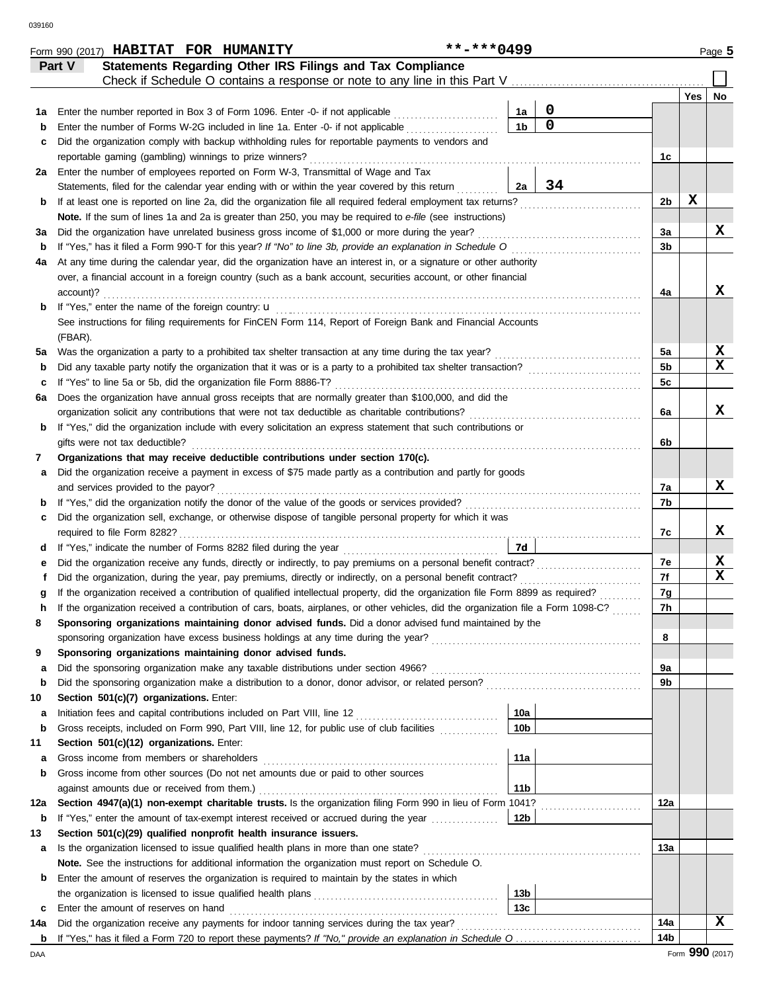|         | Statements Regarding Other IRS Filings and Tax Compliance<br>Part V<br>Check if Schedule O contains a response or note to any line in this Part V |                 |                |                 |     |                  |
|---------|---------------------------------------------------------------------------------------------------------------------------------------------------|-----------------|----------------|-----------------|-----|------------------|
|         |                                                                                                                                                   |                 |                |                 | Yes | No               |
| 1а      | Enter the number reported in Box 3 of Form 1096. Enter -0- if not applicable                                                                      | 1a              | $\mathbf 0$    |                 |     |                  |
| b       |                                                                                                                                                   | 1 <sub>b</sub>  | $\overline{0}$ |                 |     |                  |
| c       | Did the organization comply with backup withholding rules for reportable payments to vendors and                                                  |                 |                |                 |     |                  |
|         | reportable gaming (gambling) winnings to prize winners?                                                                                           | .               |                | 1c              |     |                  |
| 2a      | Enter the number of employees reported on Form W-3, Transmittal of Wage and Tax                                                                   |                 |                |                 |     |                  |
|         | Statements, filed for the calendar year ending with or within the year covered by this return                                                     | 2a              | 34             |                 |     |                  |
| b       | If at least one is reported on line 2a, did the organization file all required federal employment tax returns?                                    |                 |                | 2b              | х   |                  |
|         | Note. If the sum of lines 1a and 2a is greater than 250, you may be required to e-file (see instructions)                                         |                 |                |                 |     |                  |
| За      | Did the organization have unrelated business gross income of \$1,000 or more during the year?                                                     |                 |                | За              |     | x                |
| b       | If "Yes," has it filed a Form 990-T for this year? If "No" to line 3b, provide an explanation in Schedule O                                       |                 |                | 3b              |     |                  |
| 4a      | At any time during the calendar year, did the organization have an interest in, or a signature or other authority                                 |                 |                |                 |     |                  |
|         | over, a financial account in a foreign country (such as a bank account, securities account, or other financial                                    |                 |                |                 |     |                  |
|         | account)?                                                                                                                                         |                 |                | 4a              |     | x                |
| b       |                                                                                                                                                   |                 |                |                 |     |                  |
|         | See instructions for filing requirements for FinCEN Form 114, Report of Foreign Bank and Financial Accounts                                       |                 |                |                 |     |                  |
|         | (FBAR).                                                                                                                                           |                 |                |                 |     |                  |
| 5a      | Was the organization a party to a prohibited tax shelter transaction at any time during the tax year?                                             |                 |                | 5a              |     | X                |
| b       |                                                                                                                                                   |                 |                | 5 <sub>b</sub>  |     | $\mathbf x$      |
| c       | If "Yes" to line 5a or 5b, did the organization file Form 8886-T?                                                                                 |                 |                | 5c              |     |                  |
| 6а      | Does the organization have annual gross receipts that are normally greater than \$100,000, and did the                                            |                 |                |                 |     |                  |
|         | organization solicit any contributions that were not tax deductible as charitable contributions?                                                  |                 |                | 6a              |     | x                |
| b       | If "Yes," did the organization include with every solicitation an express statement that such contributions or                                    |                 |                |                 |     |                  |
|         | gifts were not tax deductible?                                                                                                                    |                 |                | 6b              |     |                  |
| 7       | Organizations that may receive deductible contributions under section 170(c).                                                                     |                 |                |                 |     |                  |
| а       | Did the organization receive a payment in excess of \$75 made partly as a contribution and partly for goods                                       |                 |                |                 |     |                  |
|         | and services provided to the payor?                                                                                                               |                 |                | 7а              |     | x                |
| b       |                                                                                                                                                   |                 |                | 7b              |     |                  |
| c       | Did the organization sell, exchange, or otherwise dispose of tangible personal property for which it was                                          |                 |                |                 |     |                  |
|         | required to file Form 8282?                                                                                                                       |                 |                | 7с              |     | x                |
| d       |                                                                                                                                                   | 7d              |                |                 |     |                  |
| е       | Did the organization receive any funds, directly or indirectly, to pay premiums on a personal benefit contract?                                   |                 |                | 7е              |     | X<br>$\mathbf x$ |
| f       | Did the organization, during the year, pay premiums, directly or indirectly, on a personal benefit contract?                                      |                 |                | 7f              |     |                  |
| g       | If the organization received a contribution of qualified intellectual property, did the organization file Form 8899 as required?                  |                 |                | 7g              |     |                  |
| h       | If the organization received a contribution of cars, boats, airplanes, or other vehicles, did the organization file a Form 1098-C?                |                 |                | 7h              |     |                  |
|         | Sponsoring organizations maintaining donor advised funds. Did a donor advised fund maintained by the                                              |                 |                |                 |     |                  |
|         |                                                                                                                                                   |                 |                | 8               |     |                  |
| 9       | Sponsoring organizations maintaining donor advised funds.                                                                                         |                 |                |                 |     |                  |
| а       | Did the sponsoring organization make any taxable distributions under section 4966?                                                                |                 |                | 9a<br>9b        |     |                  |
| b<br>10 | Section 501(c)(7) organizations. Enter:                                                                                                           |                 |                |                 |     |                  |
| а       |                                                                                                                                                   | 10a             |                |                 |     |                  |
| b       | Gross receipts, included on Form 990, Part VIII, line 12, for public use of club facilities                                                       | 10 <sub>b</sub> |                |                 |     |                  |
| 11      | Section 501(c)(12) organizations. Enter:                                                                                                          |                 |                |                 |     |                  |
| а       | Gross income from members or shareholders                                                                                                         | 11a             |                |                 |     |                  |
| b       | Gross income from other sources (Do not net amounts due or paid to other sources                                                                  |                 |                |                 |     |                  |
|         | against amounts due or received from them.)                                                                                                       | 11 <sub>b</sub> |                |                 |     |                  |
| 12a     | Section 4947(a)(1) non-exempt charitable trusts. Is the organization filing Form 990 in lieu of Form 1041?                                        |                 |                | 12a             |     |                  |
| b       | If "Yes," enter the amount of tax-exempt interest received or accrued during the year <i>conservances</i>                                         | 12b             |                |                 |     |                  |
| 13      | Section 501(c)(29) qualified nonprofit health insurance issuers.                                                                                  |                 |                |                 |     |                  |
| а       | Is the organization licensed to issue qualified health plans in more than one state?                                                              |                 |                | 13a             |     |                  |
|         | Note. See the instructions for additional information the organization must report on Schedule O.                                                 |                 |                |                 |     |                  |
| b       | Enter the amount of reserves the organization is required to maintain by the states in which                                                      |                 |                |                 |     |                  |
|         |                                                                                                                                                   | 13 <sub>b</sub> |                |                 |     |                  |
| c       | Enter the amount of reserves on hand                                                                                                              | 13c             |                |                 |     |                  |
| 14a     | Did the organization receive any payments for indoor tanning services during the tax year?                                                        |                 |                | 14a             |     | X                |
| b       |                                                                                                                                                   |                 |                | 14 <sub>b</sub> |     |                  |

Form 990 (2017) Page **5 HABITAT FOR HUMANITY \*\*-\*\*\*0499**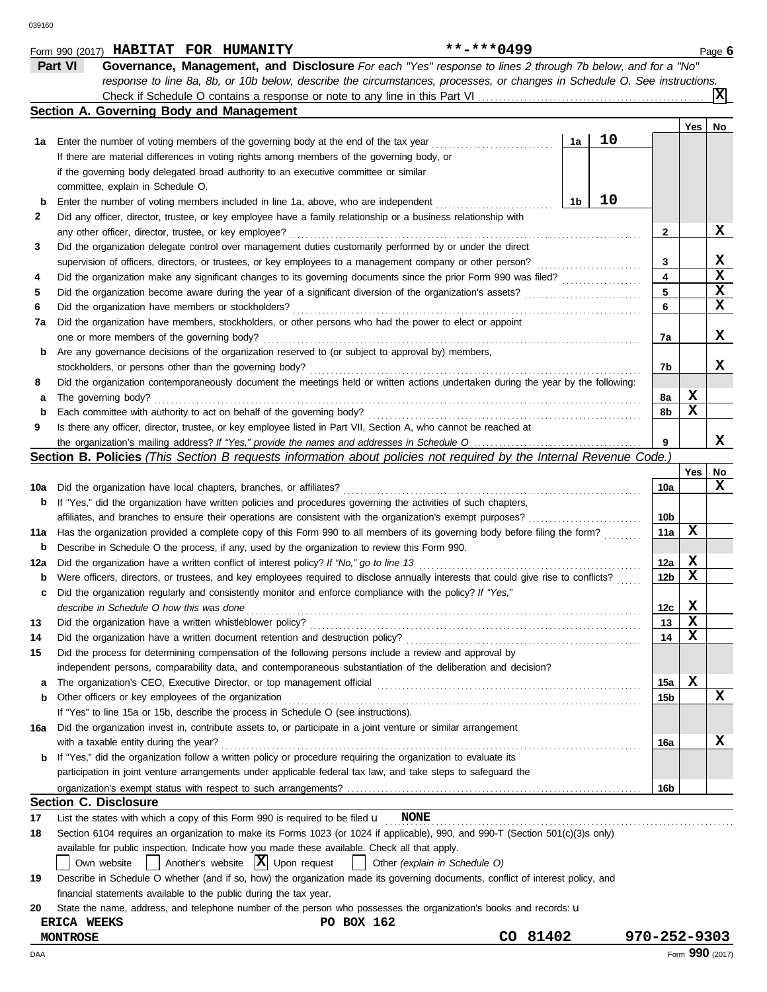|     | <b>Part VI</b><br>Governance, Management, and Disclosure For each "Yes" response to lines 2 through 7b below, and for a "No"                                  |                 |             |                 |  |  |  |  |  |  |  |  |  |
|-----|---------------------------------------------------------------------------------------------------------------------------------------------------------------|-----------------|-------------|-----------------|--|--|--|--|--|--|--|--|--|
|     | response to line 8a, 8b, or 10b below, describe the circumstances, processes, or changes in Schedule O. See instructions.                                     |                 |             |                 |  |  |  |  |  |  |  |  |  |
|     |                                                                                                                                                               |                 |             | lxl             |  |  |  |  |  |  |  |  |  |
|     | Section A. Governing Body and Management                                                                                                                      |                 |             |                 |  |  |  |  |  |  |  |  |  |
|     |                                                                                                                                                               |                 | Yes         | No              |  |  |  |  |  |  |  |  |  |
| 1а  | 10<br>Enter the number of voting members of the governing body at the end of the tax year<br>1a                                                               |                 |             |                 |  |  |  |  |  |  |  |  |  |
|     | If there are material differences in voting rights among members of the governing body, or                                                                    |                 |             |                 |  |  |  |  |  |  |  |  |  |
|     | if the governing body delegated broad authority to an executive committee or similar                                                                          |                 |             |                 |  |  |  |  |  |  |  |  |  |
|     | committee, explain in Schedule O.<br>10                                                                                                                       |                 |             |                 |  |  |  |  |  |  |  |  |  |
| b   | 1b<br>Enter the number of voting members included in line 1a, above, who are independent                                                                      |                 |             |                 |  |  |  |  |  |  |  |  |  |
| 2   | Did any officer, director, trustee, or key employee have a family relationship or a business relationship with                                                |                 |             |                 |  |  |  |  |  |  |  |  |  |
|     | any other officer, director, trustee, or key employee?                                                                                                        | 2               |             | X               |  |  |  |  |  |  |  |  |  |
| 3   | Did the organization delegate control over management duties customarily performed by or under the direct                                                     | 3               |             | X               |  |  |  |  |  |  |  |  |  |
|     | supervision of officers, directors, or trustees, or key employees to a management company or other person?                                                    | 4               |             | $\mathbf x$     |  |  |  |  |  |  |  |  |  |
| 4   |                                                                                                                                                               | 5               |             | $\mathbf x$     |  |  |  |  |  |  |  |  |  |
|     | 5<br>6                                                                                                                                                        |                 |             |                 |  |  |  |  |  |  |  |  |  |
| 7а  | Did the organization have members or stockholders?<br>Did the organization have members, stockholders, or other persons who had the power to elect or appoint |                 |             |                 |  |  |  |  |  |  |  |  |  |
|     | one or more members of the governing body?                                                                                                                    | 7а              |             | X               |  |  |  |  |  |  |  |  |  |
| b   | Are any governance decisions of the organization reserved to (or subject to approval by) members,                                                             |                 |             |                 |  |  |  |  |  |  |  |  |  |
|     | stockholders, or persons other than the governing body?                                                                                                       | 7b              |             | x               |  |  |  |  |  |  |  |  |  |
| 8   | Did the organization contemporaneously document the meetings held or written actions undertaken during the year by the following:                             |                 |             |                 |  |  |  |  |  |  |  |  |  |
| а   | The governing body?                                                                                                                                           | 8a              | X           |                 |  |  |  |  |  |  |  |  |  |
| b   | Each committee with authority to act on behalf of the governing body?                                                                                         | 8b              | x           |                 |  |  |  |  |  |  |  |  |  |
| 9   | Is there any officer, director, trustee, or key employee listed in Part VII, Section A, who cannot be reached at                                              |                 |             |                 |  |  |  |  |  |  |  |  |  |
|     |                                                                                                                                                               | 9               |             | x               |  |  |  |  |  |  |  |  |  |
|     | Section B. Policies (This Section B requests information about policies not required by the Internal Revenue Code.)                                           |                 |             |                 |  |  |  |  |  |  |  |  |  |
|     |                                                                                                                                                               |                 | Yes         | No              |  |  |  |  |  |  |  |  |  |
| 10a | Did the organization have local chapters, branches, or affiliates?                                                                                            | 10a             |             | $\mathbf x$     |  |  |  |  |  |  |  |  |  |
| b   | If "Yes," did the organization have written policies and procedures governing the activities of such chapters,                                                |                 |             |                 |  |  |  |  |  |  |  |  |  |
|     | affiliates, and branches to ensure their operations are consistent with the organization's exempt purposes?                                                   | 10 <sub>b</sub> |             |                 |  |  |  |  |  |  |  |  |  |
| 11a | Has the organization provided a complete copy of this Form 990 to all members of its governing body before filing the form?                                   | 11a             | x           |                 |  |  |  |  |  |  |  |  |  |
| b   | Describe in Schedule O the process, if any, used by the organization to review this Form 990.                                                                 |                 |             |                 |  |  |  |  |  |  |  |  |  |
| 12a | Did the organization have a written conflict of interest policy? If "No," go to line 13                                                                       | 12a             | X           |                 |  |  |  |  |  |  |  |  |  |
| b   | Were officers, directors, or trustees, and key employees required to disclose annually interests that could give rise to conflicts?                           | 12b             | x           |                 |  |  |  |  |  |  |  |  |  |
| c   | Did the organization regularly and consistently monitor and enforce compliance with the policy? If "Yes,"                                                     |                 |             |                 |  |  |  |  |  |  |  |  |  |
|     | describe in Schedule O how this was done                                                                                                                      | 12c             | X           |                 |  |  |  |  |  |  |  |  |  |
| 13  | Did the organization have a written whistleblower policy?                                                                                                     | 13              | $\mathbf x$ |                 |  |  |  |  |  |  |  |  |  |
| 14  | Did the organization have a written document retention and destruction policy?                                                                                | 14              | $\mathbf x$ |                 |  |  |  |  |  |  |  |  |  |
| 15  | Did the process for determining compensation of the following persons include a review and approval by                                                        |                 |             |                 |  |  |  |  |  |  |  |  |  |
|     | independent persons, comparability data, and contemporaneous substantiation of the deliberation and decision?                                                 |                 |             |                 |  |  |  |  |  |  |  |  |  |
| а   |                                                                                                                                                               | 15a             | X           |                 |  |  |  |  |  |  |  |  |  |
| b   | Other officers or key employees of the organization                                                                                                           | 15 <sub>b</sub> |             | X               |  |  |  |  |  |  |  |  |  |
|     | If "Yes" to line 15a or 15b, describe the process in Schedule O (see instructions).                                                                           |                 |             |                 |  |  |  |  |  |  |  |  |  |
| 16a | Did the organization invest in, contribute assets to, or participate in a joint venture or similar arrangement                                                |                 |             |                 |  |  |  |  |  |  |  |  |  |
|     | with a taxable entity during the year?                                                                                                                        | 16a             |             | X               |  |  |  |  |  |  |  |  |  |
| b   | If "Yes," did the organization follow a written policy or procedure requiring the organization to evaluate its                                                |                 |             |                 |  |  |  |  |  |  |  |  |  |
|     | participation in joint venture arrangements under applicable federal tax law, and take steps to safeguard the                                                 |                 |             |                 |  |  |  |  |  |  |  |  |  |
|     |                                                                                                                                                               | 16b             |             |                 |  |  |  |  |  |  |  |  |  |
|     | <b>Section C. Disclosure</b>                                                                                                                                  |                 |             |                 |  |  |  |  |  |  |  |  |  |
| 17  | NONE<br>List the states with which a copy of this Form 990 is required to be filed $\mathbf u$                                                                |                 |             |                 |  |  |  |  |  |  |  |  |  |
| 18  | Section 6104 requires an organization to make its Forms 1023 (or 1024 if applicable), 990, and 990-T (Section 501(c)(3)s only)                                |                 |             |                 |  |  |  |  |  |  |  |  |  |
|     | available for public inspection. Indicate how you made these available. Check all that apply.                                                                 |                 |             |                 |  |  |  |  |  |  |  |  |  |
|     | Another's website $ \mathbf{X} $ Upon request<br>Other (explain in Schedule O)<br>Own website                                                                 |                 |             |                 |  |  |  |  |  |  |  |  |  |
| 19  | Describe in Schedule O whether (and if so, how) the organization made its governing documents, conflict of interest policy, and                               |                 |             |                 |  |  |  |  |  |  |  |  |  |
|     | financial statements available to the public during the tax year.                                                                                             |                 |             |                 |  |  |  |  |  |  |  |  |  |
| 20  | State the name, address, and telephone number of the person who possesses the organization's books and records: u                                             |                 |             |                 |  |  |  |  |  |  |  |  |  |
|     | PO BOX 162<br>ERICA WEEKS<br>CO 81402                                                                                                                         | 970-252-9303    |             |                 |  |  |  |  |  |  |  |  |  |
|     | <b>MONTROSE</b>                                                                                                                                               |                 |             | Form 990 (2017) |  |  |  |  |  |  |  |  |  |
| DAA |                                                                                                                                                               |                 |             |                 |  |  |  |  |  |  |  |  |  |

**HABITAT FOR HUMANITY \*\*-\*\*\*0499**

Form 990 (2017) Page **6**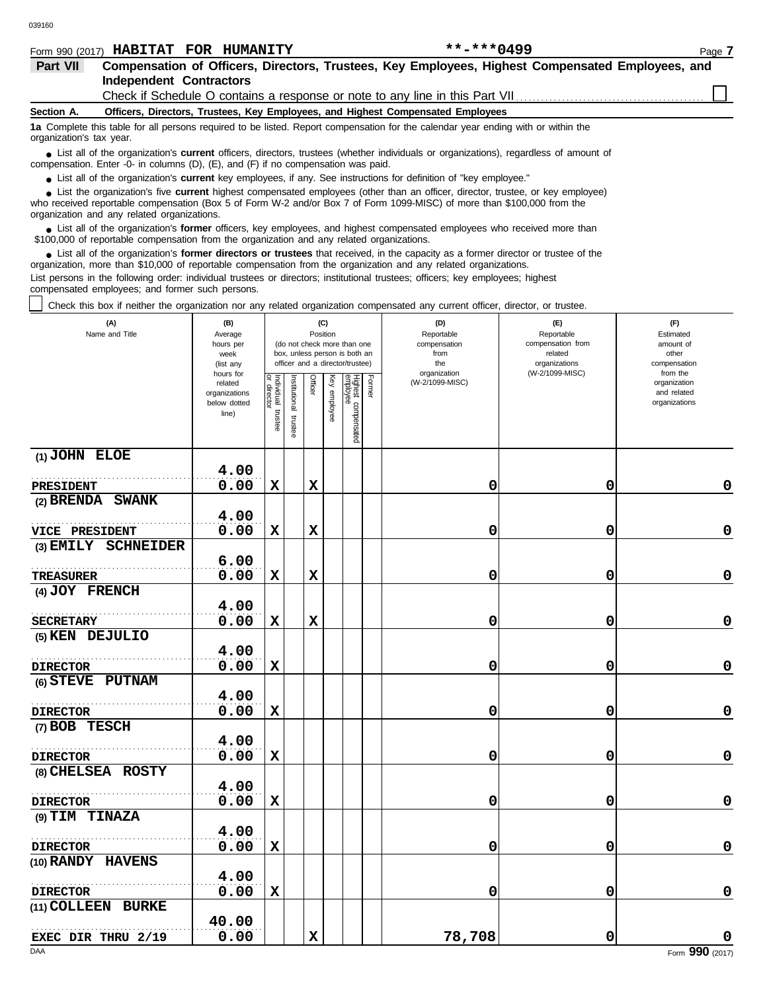| <b>HABITAT</b><br>(2017)<br>990<br>Form | FOR<br><b>HUMANITY</b> | 0.40c<br>. | Page |
|-----------------------------------------|------------------------|------------|------|
|                                         |                        |            |      |

| <b>Part VII</b>          | Compensation of Officers, Directors, Trustees, Key Employees, Highest Compensated Employees, and                                                                                                                                        |
|--------------------------|-----------------------------------------------------------------------------------------------------------------------------------------------------------------------------------------------------------------------------------------|
|                          | <b>Independent Contractors</b>                                                                                                                                                                                                          |
|                          |                                                                                                                                                                                                                                         |
| Section A.               | Officers, Directors, Trustees, Key Employees, and Highest Compensated Employees                                                                                                                                                         |
| organization's tax year. | 1a Complete this table for all persons required to be listed. Report compensation for the calendar year ending with or within the                                                                                                       |
|                          | • List all of the organization's <b>current</b> officers, directors, trustees (whether individuals or organizations), regardless of amount of<br>compensation. Enter -0- in columns (D), $(E)$ , and $(F)$ if no compensation was paid. |

● List all of the organization's **current** key employees, if any. See instructions for definition of "key employee."

who received reportable compensation (Box 5 of Form W-2 and/or Box 7 of Form 1099-MISC) of more than \$100,000 from the organization and any related organizations. ■ List the organization's five **current** highest compensated employees (other than an officer, director, trustee, or key employee)<br> **•** Preceived reportable compensation (Box 5 of Form W 2 and/or Box 7 of Form 1000 MISC)

List all of the organization's **former** officers, key employees, and highest compensated employees who received more than • List all of the organization's former officers, key employees, and highest compensate \$100,000 of reportable compensation from the organization and any related organizations.

■ List all of the organization's **former directors or trustees** that received, in the capacity as a former director or trustee of the property is a former director or trustee of the property of the organization and any re organization, more than \$10,000 of reportable compensation from the organization and any related organizations. List persons in the following order: individual trustees or directors; institutional trustees; officers; key employees; highest

compensated employees; and former such persons.

Check this box if neither the organization nor any related organization compensated any current officer, director, or trustee.

| (A)<br>Name and Title | (B)<br>Average<br>hours per<br>week<br>(list any               |                                      |                         | Position    | (C)          | (do not check more than one<br>box, unless person is both an<br>officer and a director/trustee) |        | (D)<br>Reportable<br>compensation<br>from<br>the<br>organization | (E)<br>Reportable<br>compensation from<br>related<br>organizations<br>(W-2/1099-MISC) | (F)<br>Estimated<br>amount of<br>other<br>compensation<br>from the |
|-----------------------|----------------------------------------------------------------|--------------------------------------|-------------------------|-------------|--------------|-------------------------------------------------------------------------------------------------|--------|------------------------------------------------------------------|---------------------------------------------------------------------------------------|--------------------------------------------------------------------|
|                       | hours for<br>related<br>organizations<br>below dotted<br>line) | Individual<br>or director<br>trustee | nstitutional<br>trustee | Officer     | Key employee | Highest compensated<br>employee                                                                 | Former | (W-2/1099-MISC)                                                  |                                                                                       | organization<br>and related<br>organizations                       |
| $(1)$ JOHN ELOE       | 4.00                                                           |                                      |                         |             |              |                                                                                                 |        |                                                                  |                                                                                       |                                                                    |
| <b>PRESIDENT</b>      | 0.00                                                           | $\mathbf x$                          |                         | $\mathbf x$ |              |                                                                                                 |        | 0                                                                | 0                                                                                     | 0                                                                  |
| (2) BRENDA SWANK      |                                                                |                                      |                         |             |              |                                                                                                 |        |                                                                  |                                                                                       |                                                                    |
|                       | 4.00                                                           |                                      |                         |             |              |                                                                                                 |        |                                                                  |                                                                                       |                                                                    |
| VICE PRESIDENT        | 0.00                                                           | $\mathbf x$                          |                         | $\mathbf x$ |              |                                                                                                 |        | 0                                                                | 0                                                                                     | $\pmb{0}$                                                          |
| (3) EMILY SCHNEIDER   |                                                                |                                      |                         |             |              |                                                                                                 |        |                                                                  |                                                                                       |                                                                    |
|                       | 6.00                                                           |                                      |                         |             |              |                                                                                                 |        |                                                                  |                                                                                       |                                                                    |
| <b>TREASURER</b>      | 0.00                                                           | $\mathbf x$                          |                         | $\mathbf x$ |              |                                                                                                 |        | 0                                                                | 0                                                                                     | $\mathbf 0$                                                        |
| (4) $JOY$ FRENCH      |                                                                |                                      |                         |             |              |                                                                                                 |        |                                                                  |                                                                                       |                                                                    |
|                       | 4.00                                                           |                                      |                         |             |              |                                                                                                 |        |                                                                  |                                                                                       |                                                                    |
| <b>SECRETARY</b>      | 0.00                                                           | $\mathbf x$                          |                         | $\mathbf x$ |              |                                                                                                 |        | 0                                                                | 0                                                                                     | 0                                                                  |
| (5) KEN DEJULIO       |                                                                |                                      |                         |             |              |                                                                                                 |        |                                                                  |                                                                                       |                                                                    |
|                       | 4.00                                                           |                                      |                         |             |              |                                                                                                 |        |                                                                  |                                                                                       |                                                                    |
| <b>DIRECTOR</b>       | 0.00                                                           | $\mathbf x$                          |                         |             |              |                                                                                                 |        | 0                                                                | 0                                                                                     | 0                                                                  |
| (6) STEVE PUTNAM      |                                                                |                                      |                         |             |              |                                                                                                 |        |                                                                  |                                                                                       |                                                                    |
|                       | 4.00                                                           |                                      |                         |             |              |                                                                                                 |        |                                                                  |                                                                                       |                                                                    |
| <b>DIRECTOR</b>       | 0.00                                                           | $\mathbf x$                          |                         |             |              |                                                                                                 |        | 0                                                                | 0                                                                                     | $\mathbf 0$                                                        |
| (7) BOB TESCH         |                                                                |                                      |                         |             |              |                                                                                                 |        |                                                                  |                                                                                       |                                                                    |
|                       | 4.00                                                           |                                      |                         |             |              |                                                                                                 |        |                                                                  |                                                                                       |                                                                    |
| <b>DIRECTOR</b>       | 0.00                                                           | $\mathbf x$                          |                         |             |              |                                                                                                 |        | 0                                                                | 0                                                                                     | $\mathbf 0$                                                        |
| (8) CHELSEA ROSTY     |                                                                |                                      |                         |             |              |                                                                                                 |        |                                                                  |                                                                                       |                                                                    |
|                       | 4.00                                                           |                                      |                         |             |              |                                                                                                 |        |                                                                  |                                                                                       |                                                                    |
| <b>DIRECTOR</b>       | 0.00                                                           | $\mathbf x$                          |                         |             |              |                                                                                                 |        | 0                                                                | 0                                                                                     | 0                                                                  |
| (9) TIM TINAZA        |                                                                |                                      |                         |             |              |                                                                                                 |        |                                                                  |                                                                                       |                                                                    |
|                       | 4.00                                                           |                                      |                         |             |              |                                                                                                 |        |                                                                  |                                                                                       |                                                                    |
| <b>DIRECTOR</b>       | 0.00                                                           | $\mathbf x$                          |                         |             |              |                                                                                                 |        | 0                                                                | 0                                                                                     | 0                                                                  |
| (10) RANDY HAVENS     |                                                                |                                      |                         |             |              |                                                                                                 |        |                                                                  |                                                                                       |                                                                    |
|                       | 4.00                                                           |                                      |                         |             |              |                                                                                                 |        |                                                                  |                                                                                       |                                                                    |
| <b>DIRECTOR</b>       | 0.00                                                           | X                                    |                         |             |              |                                                                                                 |        | 0                                                                | $\mathbf 0$                                                                           | $\mathbf 0$                                                        |
| (11) COLLEEN BURKE    |                                                                |                                      |                         |             |              |                                                                                                 |        |                                                                  |                                                                                       |                                                                    |
|                       | 40.00                                                          |                                      |                         |             |              |                                                                                                 |        |                                                                  |                                                                                       |                                                                    |
| EXEC DIR THRU 2/19    | 0.00                                                           |                                      |                         | $\mathbf x$ |              |                                                                                                 |        | 78,708                                                           | 0                                                                                     | O                                                                  |
| DAA                   |                                                                |                                      |                         |             |              |                                                                                                 |        |                                                                  |                                                                                       | Form 990 (2017)                                                    |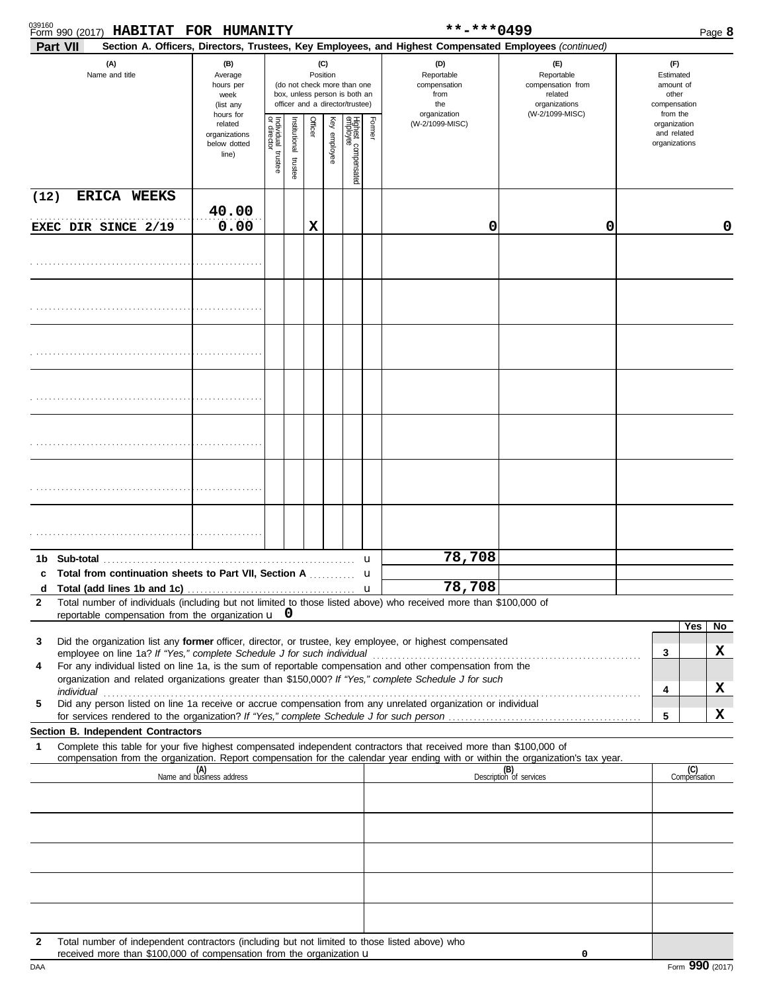| 039160       | Form 990 (2017) HABITAT FOR HUMANITY                                                                                                                                                                                                                                                                                                    |                                                               |                       |                         |         |                 |                                                                                                 |                  | **-***0499                                                                                                                                                                 |                                                                                       |  |                                                             |                     | Page 8 |
|--------------|-----------------------------------------------------------------------------------------------------------------------------------------------------------------------------------------------------------------------------------------------------------------------------------------------------------------------------------------|---------------------------------------------------------------|-----------------------|-------------------------|---------|-----------------|-------------------------------------------------------------------------------------------------|------------------|----------------------------------------------------------------------------------------------------------------------------------------------------------------------------|---------------------------------------------------------------------------------------|--|-------------------------------------------------------------|---------------------|--------|
|              | Part VII<br>(A)<br>Name and title                                                                                                                                                                                                                                                                                                       | (B)<br>Average<br>hours per<br>week<br>(list any<br>hours for |                       |                         |         | (C)<br>Position | (do not check more than one<br>box, unless person is both an<br>officer and a director/trustee) |                  | Section A. Officers, Directors, Trustees, Key Employees, and Highest Compensated Employees (continued)<br>(D)<br>Reportable<br>compensation<br>from<br>the<br>organization | (F)<br>Reportable<br>compensation from<br>related<br>organizations<br>(W-2/1099-MISC) |  | Estimated<br>amount of<br>other<br>compensation<br>from the |                     |        |
|              |                                                                                                                                                                                                                                                                                                                                         | related<br>organizations<br>below dotted<br>line)             | Individual<br>trustee | nstitutional<br>trustee | Officer | Key employee    | Highest compensated<br>employee                                                                 | Former           | (W-2/1099-MISC)                                                                                                                                                            |                                                                                       |  | organization<br>and related<br>organizations                |                     |        |
| (12)         | ERICA WEEKS                                                                                                                                                                                                                                                                                                                             |                                                               |                       |                         |         |                 |                                                                                                 |                  |                                                                                                                                                                            |                                                                                       |  |                                                             |                     |        |
|              | .<br>EXEC DIR SINCE 2/19                                                                                                                                                                                                                                                                                                                | 40.00<br>0.00                                                 |                       |                         | х       |                 |                                                                                                 |                  | 0                                                                                                                                                                          | 0                                                                                     |  |                                                             |                     | 0      |
|              |                                                                                                                                                                                                                                                                                                                                         |                                                               |                       |                         |         |                 |                                                                                                 |                  |                                                                                                                                                                            |                                                                                       |  |                                                             |                     |        |
|              |                                                                                                                                                                                                                                                                                                                                         |                                                               |                       |                         |         |                 |                                                                                                 |                  |                                                                                                                                                                            |                                                                                       |  |                                                             |                     |        |
|              |                                                                                                                                                                                                                                                                                                                                         |                                                               |                       |                         |         |                 |                                                                                                 |                  |                                                                                                                                                                            |                                                                                       |  |                                                             |                     |        |
|              |                                                                                                                                                                                                                                                                                                                                         |                                                               |                       |                         |         |                 |                                                                                                 |                  |                                                                                                                                                                            |                                                                                       |  |                                                             |                     |        |
|              |                                                                                                                                                                                                                                                                                                                                         |                                                               |                       |                         |         |                 |                                                                                                 |                  |                                                                                                                                                                            |                                                                                       |  |                                                             |                     |        |
|              |                                                                                                                                                                                                                                                                                                                                         |                                                               |                       |                         |         |                 |                                                                                                 |                  |                                                                                                                                                                            |                                                                                       |  |                                                             |                     |        |
|              |                                                                                                                                                                                                                                                                                                                                         |                                                               |                       |                         |         |                 |                                                                                                 |                  |                                                                                                                                                                            |                                                                                       |  |                                                             |                     |        |
| 1b.          | Sub-total                                                                                                                                                                                                                                                                                                                               |                                                               |                       |                         |         |                 |                                                                                                 | u                | 78,708                                                                                                                                                                     |                                                                                       |  |                                                             |                     |        |
|              | c Total from continuation sheets to Part VII, Section A                                                                                                                                                                                                                                                                                 |                                                               |                       |                         |         |                 |                                                                                                 | u<br>$\mathbf u$ | 78,708                                                                                                                                                                     |                                                                                       |  |                                                             |                     |        |
| $\mathbf{2}$ | Total number of individuals (including but not limited to those listed above) who received more than \$100,000 of                                                                                                                                                                                                                       |                                                               |                       |                         |         |                 |                                                                                                 |                  |                                                                                                                                                                            |                                                                                       |  |                                                             |                     |        |
|              | reportable compensation from the organization $\mathbf u$ 0                                                                                                                                                                                                                                                                             |                                                               |                       |                         |         |                 |                                                                                                 |                  |                                                                                                                                                                            |                                                                                       |  |                                                             | Yes                 | No     |
| 3            | Did the organization list any former officer, director, or trustee, key employee, or highest compensated                                                                                                                                                                                                                                |                                                               |                       |                         |         |                 |                                                                                                 |                  |                                                                                                                                                                            |                                                                                       |  | 3                                                           |                     | X      |
| 4            | For any individual listed on line 1a, is the sum of reportable compensation and other compensation from the                                                                                                                                                                                                                             |                                                               |                       |                         |         |                 |                                                                                                 |                  |                                                                                                                                                                            |                                                                                       |  |                                                             |                     |        |
|              | organization and related organizations greater than \$150,000? If "Yes," complete Schedule J for such<br>individual with a construction of the construction of the construction of the construction of the construction of the construction of the construction of the construction of the construction of the construction of the cons |                                                               |                       |                         |         |                 |                                                                                                 |                  |                                                                                                                                                                            |                                                                                       |  | 4                                                           |                     | x      |
| 5            | Did any person listed on line 1a receive or accrue compensation from any unrelated organization or individual                                                                                                                                                                                                                           |                                                               |                       |                         |         |                 |                                                                                                 |                  |                                                                                                                                                                            |                                                                                       |  | 5                                                           |                     | x      |
|              | Section B. Independent Contractors                                                                                                                                                                                                                                                                                                      |                                                               |                       |                         |         |                 |                                                                                                 |                  |                                                                                                                                                                            |                                                                                       |  |                                                             |                     |        |
| 1            | Complete this table for your five highest compensated independent contractors that received more than \$100,000 of<br>compensation from the organization. Report compensation for the calendar year ending with or within the organization's tax year.                                                                                  |                                                               |                       |                         |         |                 |                                                                                                 |                  |                                                                                                                                                                            |                                                                                       |  |                                                             |                     |        |
|              |                                                                                                                                                                                                                                                                                                                                         | (A)<br>Name and business address                              |                       |                         |         |                 |                                                                                                 |                  |                                                                                                                                                                            | (B)<br>Description of services                                                        |  |                                                             | (C)<br>Compensation |        |
|              |                                                                                                                                                                                                                                                                                                                                         |                                                               |                       |                         |         |                 |                                                                                                 |                  |                                                                                                                                                                            |                                                                                       |  |                                                             |                     |        |
|              |                                                                                                                                                                                                                                                                                                                                         |                                                               |                       |                         |         |                 |                                                                                                 |                  |                                                                                                                                                                            |                                                                                       |  |                                                             |                     |        |
|              |                                                                                                                                                                                                                                                                                                                                         |                                                               |                       |                         |         |                 |                                                                                                 |                  |                                                                                                                                                                            |                                                                                       |  |                                                             |                     |        |
|              |                                                                                                                                                                                                                                                                                                                                         |                                                               |                       |                         |         |                 |                                                                                                 |                  |                                                                                                                                                                            |                                                                                       |  |                                                             |                     |        |
| 2            | Total number of independent contractors (including but not limited to those listed above) who                                                                                                                                                                                                                                           |                                                               |                       |                         |         |                 |                                                                                                 |                  |                                                                                                                                                                            |                                                                                       |  |                                                             |                     |        |
|              | received more than \$100,000 of compensation from the organization u                                                                                                                                                                                                                                                                    |                                                               |                       |                         |         |                 |                                                                                                 |                  |                                                                                                                                                                            | 0                                                                                     |  |                                                             |                     |        |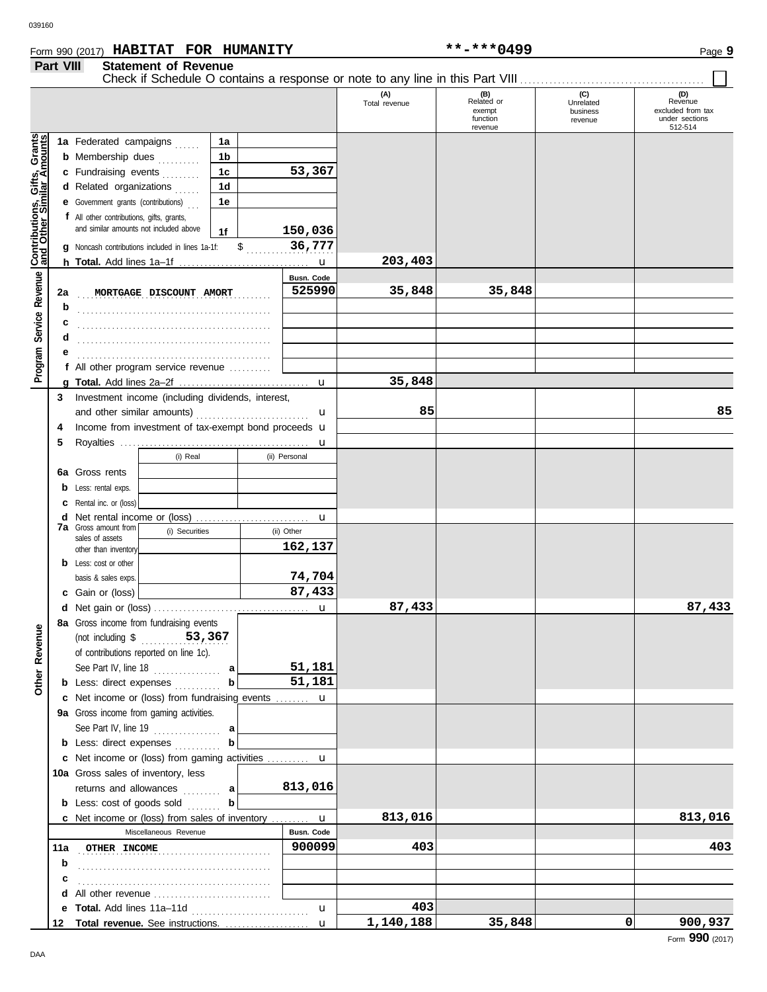## Form 990 (2017) Page **9 HABITAT FOR HUMANITY \*\*-\*\*\*0499**

**Part VIII Statement of Revenue**

### Check if Schedule O contains a response or note to any line in this Part VIII . . . . . . . . . . . . . . . . . . . . . . . . . . . . . . . . . . . . . . . . . . . . **(A) (B) (C) (D)** Total revenue Related or Unrelated Revenue excluded from tax exempt business function under sections revenue 512-514 revenue Grants **Contributions, Gifts, Grants and Other Similar Amounts 1a 1a** Federated campaigns ..... **1b b** Membership dues . . . . . . . . . **53,367 1c** Gifts,<br>Ilar Ar **c** Fundraising events . . . . . . . . **1d d** Related organizations ...... **1e e** Government grants (contributions) . . . Contributions,<br>and Other Sin **f** All other contributions, gifts, grants, and similar amounts not included above **150,036 1f** \$ . . . . . . . . . . . . . . . . . . . . . **36,777 g** Noncash contributions included in lines 1a-1f: **203,403 h Total.** Add lines 1a–1f . . . . . . . . . . . . . . . . . . . . . . . . . . . . . . . u **Revenue Program Service Revenue Busn. Code** . . . . . . . . . . . . . . . . . . . . . . . . . . . . . . . . . . . . . . . . . . . . . . **2a MORTGAGE DISCOUNT AMORT 525990 35,848 35,848** . . . . . . . . . . . . . . . . . . . . . . . . . . . . . . . . . . . . . . . . . . . . . . **b** Program Service **c d** . . . . . . . . . . . . . . . . . . . . . . . . . . . . . . . . . . . . . . . . . . . . . . **e** . . . . . . . . . . . . . . . . . . . . . . . . . . . . . . . . . . . . . . . . . . . . . . **f** All other program service revenue . . . . . . . . . . **35,848 g Total.** Add lines 2a–2f . . . . . . . . . . . . . . . . . . . . . . . . . . . . . . . u **3** Investment income (including dividends, interest, **85 85** u and other similar amounts) ............................ 4 Income from investment of tax-exempt bond proceeds **u 5** Royalties .... u (i) Real (ii) Personal **6a** Gross rents **b** Less: rental exps. **c** Rental inc. or (loss) **d** Net rental income or (loss) . . . . . . . . . . . . . . . . . . . . . . . . . . . u **7a** Gross amount from (i) Securities (ii) Other sales of assets **162,137** other than inventory **b** Less: cost or other **74,704** basis & sales exps. **87,433 c** Gain or (loss) **87,433 87,433 d** u Net gain or (loss) . . . . . . . . . . . . . . . . . . . . . . . . . . . . . . . . . . . . . **8a** Gross income from fundraising events Other Revenue **Other Revenue** (not including \$ . . . . . . . . . . . . . . . . . . . . . **53,367** of contributions reported on line 1c). **51,181 a** See Part IV, line 18 . . . . . . . . . . . . . . **a 51,181 b** Less: direct expenses . . . . . . . . . . **b c** Net income or (loss) from fundraising events . . . . . . . . u **9a** Gross income from gaming activities. See Part IV, line 19 . . . . . . . . . . . . . . . . **a b b** Less: direct expenses ........... Net income or (loss) from gaming activities . . . . . . . . . . **c** u 10a Gross sales of inventory, less returns and allowances .......... **813,016 a b b** Less: cost of goods sold ........ **813,016 813,016** Net income or (loss) from sales of inventory . . . . . . . . . **c** u Miscellaneous Revenue **Busn. Code 11a** . . . . . . . . . . . . . . . . . . . . . . . . . . . . . . . . . . . . . . . . . . . . . . **OTHER INCOME 900099 403 403 b** . . . . . . . . . . . . . . . . . . . . . . . . . . . . . . . . . . . . . . . . . . . . . . **c** . . . . . . . . . . . . . . . . . . . . . . . . . . . . . . . . . . . . . . . . . . . . . . **d** All other revenue .............................. **403 e Total.** Add lines 11a–11d . . . . . . . . . . . . . . . . . . . . . . . . . . . . u **1,140,188 35,848 0 900,937 Total revenue.** See instructions. . . . . . . . . . . . . . . . . . . . . **12** u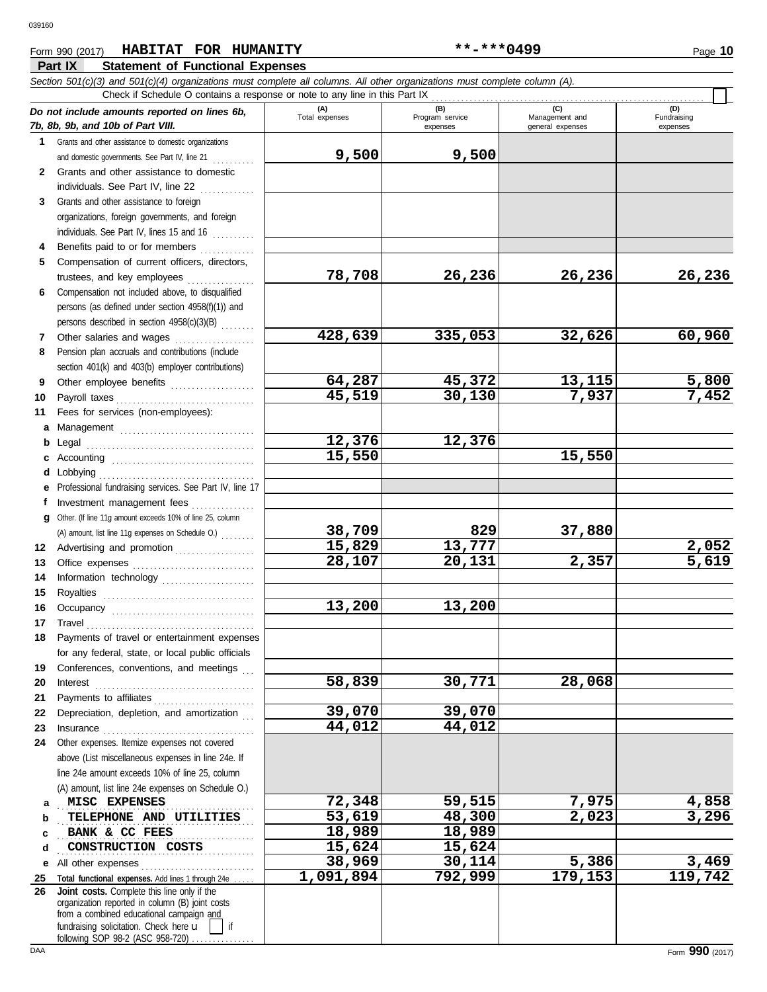## **Part IX Statement of Functional Expenses** Form 990 (2017) Page **10 HABITAT FOR HUMANITY \*\*-\*\*\*0499**

|              | Section 501(c)(3) and 501(c)(4) organizations must complete all columns. All other organizations must complete column (A).<br>Check if Schedule O contains a response or note to any line in this Part IX |                |                             |                                    |                         |
|--------------|-----------------------------------------------------------------------------------------------------------------------------------------------------------------------------------------------------------|----------------|-----------------------------|------------------------------------|-------------------------|
|              | Do not include amounts reported on lines 6b,                                                                                                                                                              | (A)            | (B)                         | (C)                                | (D)                     |
|              | 7b, 8b, 9b, and 10b of Part VIII.                                                                                                                                                                         | Total expenses | Program service<br>expenses | Management and<br>general expenses | Fundraising<br>expenses |
| $\mathbf 1$  | Grants and other assistance to domestic organizations                                                                                                                                                     |                |                             |                                    |                         |
|              | and domestic governments. See Part IV, line 21                                                                                                                                                            | 9,500          | 9,500                       |                                    |                         |
| $\mathbf{2}$ | Grants and other assistance to domestic                                                                                                                                                                   |                |                             |                                    |                         |
|              | individuals. See Part IV, line 22                                                                                                                                                                         |                |                             |                                    |                         |
| 3            | Grants and other assistance to foreign                                                                                                                                                                    |                |                             |                                    |                         |
|              | organizations, foreign governments, and foreign                                                                                                                                                           |                |                             |                                    |                         |
|              | individuals. See Part IV, lines 15 and 16                                                                                                                                                                 |                |                             |                                    |                         |
| 4            | Benefits paid to or for members                                                                                                                                                                           |                |                             |                                    |                         |
| 5            | Compensation of current officers, directors,                                                                                                                                                              |                |                             |                                    |                         |
|              | trustees, and key employees                                                                                                                                                                               | 78,708         | 26,236                      | 26,236                             | 26,236                  |
| 6            | Compensation not included above, to disqualified                                                                                                                                                          |                |                             |                                    |                         |
|              | persons (as defined under section 4958(f)(1)) and                                                                                                                                                         |                |                             |                                    |                         |
|              | persons described in section 4958(c)(3)(B)                                                                                                                                                                |                |                             |                                    |                         |
| 7            | Other salaries and wages                                                                                                                                                                                  | 428,639        | 335,053                     | 32,626                             | 60,960                  |
| 8            | Pension plan accruals and contributions (include                                                                                                                                                          |                |                             |                                    |                         |
|              | section 401(k) and 403(b) employer contributions)                                                                                                                                                         |                |                             |                                    |                         |
| 9            | Other employee benefits                                                                                                                                                                                   | 64,287         | 45,372                      | 13,115                             | 5,800                   |
| 10           | Payroll taxes                                                                                                                                                                                             | 45,519         | 30,130                      | 7,937                              | 7,452                   |
| 11           | Fees for services (non-employees):                                                                                                                                                                        |                |                             |                                    |                         |
| a            | Management                                                                                                                                                                                                | 12,376         | 12,376                      |                                    |                         |
| b            | Legal                                                                                                                                                                                                     | 15,550         |                             | 15,550                             |                         |
| c            | Lobbying                                                                                                                                                                                                  |                |                             |                                    |                         |
| d<br>е       | Professional fundraising services. See Part IV, line 17                                                                                                                                                   |                |                             |                                    |                         |
| f            | Investment management fees                                                                                                                                                                                |                |                             |                                    |                         |
| q            | Other. (If line 11g amount exceeds 10% of line 25, column                                                                                                                                                 |                |                             |                                    |                         |
|              | (A) amount, list line 11g expenses on Schedule O.)                                                                                                                                                        | 38,709         | 829                         | 37,880                             |                         |
| 12           | Advertising and promotion                                                                                                                                                                                 | 15,829         | 13,777                      |                                    |                         |
| 13           |                                                                                                                                                                                                           | 28,107         | 20,131                      | 2,357                              | $\frac{2,052}{5,619}$   |
| 14           | Information technology                                                                                                                                                                                    |                |                             |                                    |                         |
| 15           |                                                                                                                                                                                                           |                |                             |                                    |                         |
| 16           |                                                                                                                                                                                                           | 13,200         | 13,200                      |                                    |                         |
| 17           | Travel                                                                                                                                                                                                    |                |                             |                                    |                         |
|              | Payments of travel or entertainment expenses                                                                                                                                                              |                |                             |                                    |                         |
|              | for any federal, state, or local public officials                                                                                                                                                         |                |                             |                                    |                         |
| 19           | Conferences, conventions, and meetings                                                                                                                                                                    |                |                             |                                    |                         |
| 20           | Interest                                                                                                                                                                                                  | 58,839         | 30,771                      | 28,068                             |                         |
| 21           | Payments to affiliates                                                                                                                                                                                    |                |                             |                                    |                         |
| 22           | Depreciation, depletion, and amortization                                                                                                                                                                 | 39,070         | 39,070                      |                                    |                         |
| 23           |                                                                                                                                                                                                           | 44,012         | 44,012                      |                                    |                         |
| 24           | Other expenses. Itemize expenses not covered                                                                                                                                                              |                |                             |                                    |                         |
|              | above (List miscellaneous expenses in line 24e. If                                                                                                                                                        |                |                             |                                    |                         |
|              | line 24e amount exceeds 10% of line 25, column                                                                                                                                                            |                |                             |                                    |                         |
|              | (A) amount, list line 24e expenses on Schedule O.)                                                                                                                                                        | 72,348         | 59,515                      | 7,975                              |                         |
| a            | MISC EXPENSES                                                                                                                                                                                             | 53,619         | 48,300                      | 2,023                              | 4,858<br>3,296          |
| b            | TELEPHONE AND UTILITIES<br>BANK & CC FEES                                                                                                                                                                 | 18,989         | 18,989                      |                                    |                         |
| c<br>d       | CONSTRUCTION COSTS                                                                                                                                                                                        | 15,624         | 15,624                      |                                    |                         |
| е            | All other expenses                                                                                                                                                                                        | 38,969         | 30,114                      | 5,386                              | 3,469                   |
| 25           | Total functional expenses. Add lines 1 through 24e                                                                                                                                                        | 1,091,894      | 792,999                     | 179,153                            | 119,742                 |
| 26           | Joint costs. Complete this line only if the                                                                                                                                                               |                |                             |                                    |                         |
|              | organization reported in column (B) joint costs                                                                                                                                                           |                |                             |                                    |                         |
|              | from a combined educational campaign and<br>fundraising solicitation. Check here u<br>if                                                                                                                  |                |                             |                                    |                         |
|              | following SOP 98-2 (ASC 958-720)                                                                                                                                                                          |                |                             |                                    |                         |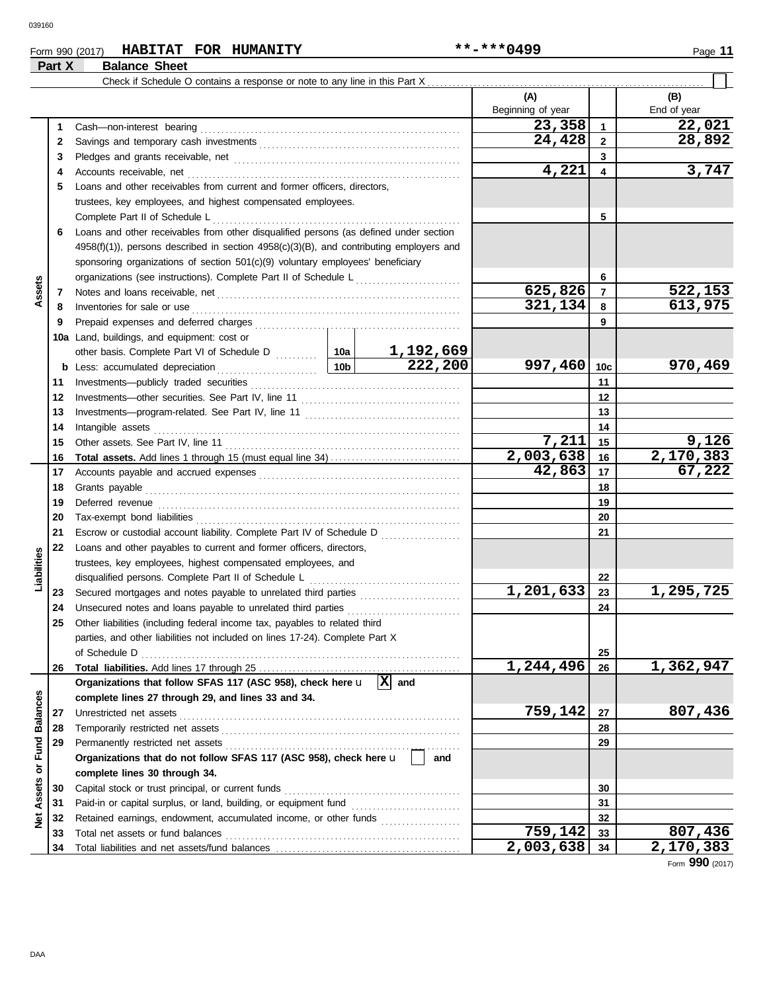## Form 990 (2017) Page **11 HABITAT FOR HUMANITY \*\*-\*\*\*0499 Part X Balance Sheet**

|                   |    | Check if Schedule O contains a response or note to any line in this Part X                                                                                                                                                          |           |                    |                   |              |             |
|-------------------|----|-------------------------------------------------------------------------------------------------------------------------------------------------------------------------------------------------------------------------------------|-----------|--------------------|-------------------|--------------|-------------|
|                   |    |                                                                                                                                                                                                                                     |           |                    | (A)               |              | (B)         |
|                   |    |                                                                                                                                                                                                                                     |           |                    | Beginning of year |              | End of year |
|                   | 1  |                                                                                                                                                                                                                                     |           |                    | 23,358            | $\mathbf{1}$ | 22,021      |
|                   | 2  |                                                                                                                                                                                                                                     |           |                    | 24,428            | $\mathbf{2}$ | 28,892      |
|                   | 3  |                                                                                                                                                                                                                                     |           |                    |                   | 3            |             |
|                   | 4  |                                                                                                                                                                                                                                     |           |                    | 4,221             | 4            | 3,747       |
|                   | 5  | Loans and other receivables from current and former officers, directors,                                                                                                                                                            |           |                    |                   |              |             |
|                   |    | trustees, key employees, and highest compensated employees.                                                                                                                                                                         |           |                    |                   |              |             |
|                   |    | Complete Part II of Schedule L                                                                                                                                                                                                      |           |                    |                   | 5            |             |
|                   | 6  | Loans and other receivables from other disqualified persons (as defined under section                                                                                                                                               |           |                    |                   |              |             |
|                   |    | 4958(f)(1)), persons described in section 4958(c)(3)(B), and contributing employers and                                                                                                                                             |           |                    |                   |              |             |
|                   |    | sponsoring organizations of section 501(c)(9) voluntary employees' beneficiary                                                                                                                                                      |           |                    |                   |              |             |
|                   |    | organizations (see instructions). Complete Part II of Schedule L <sub></sub>                                                                                                                                                        |           |                    |                   | 6            |             |
| Assets            | 7  |                                                                                                                                                                                                                                     |           |                    | 625,826           | 7            | 522,153     |
|                   | 8  | Inventories for sale or use <i>communication</i> and the state of the state or use of the state of the state of the state of the state of the state of the state of the state of the state of the state of the state of the state o |           |                    | 321,134           | 8            | 613,975     |
|                   | 9  |                                                                                                                                                                                                                                     |           |                    |                   | 9            |             |
|                   |    | 10a Land, buildings, and equipment: cost or                                                                                                                                                                                         |           |                    |                   |              |             |
|                   |    | other basis. Complete Part VI of Schedule D  10a                                                                                                                                                                                    |           | 1,192,669          |                   |              |             |
|                   |    |                                                                                                                                                                                                                                     |           | 222,200            | 997,460           | 10c          | 970,469     |
|                   | 11 |                                                                                                                                                                                                                                     |           |                    |                   | 11           |             |
|                   | 12 |                                                                                                                                                                                                                                     |           |                    |                   | 12           |             |
|                   | 13 |                                                                                                                                                                                                                                     |           |                    |                   | 13           |             |
|                   | 14 | Intangible assets                                                                                                                                                                                                                   |           |                    |                   | 14           |             |
|                   | 15 |                                                                                                                                                                                                                                     |           |                    | 7,211             | 15           | 9,126       |
|                   | 16 |                                                                                                                                                                                                                                     | 2,003,638 | 16                 | 2,170,383         |              |             |
|                   | 17 |                                                                                                                                                                                                                                     |           | 42,863             | 17                | 67,222       |             |
|                   | 18 |                                                                                                                                                                                                                                     |           |                    |                   | 18           |             |
|                   | 19 |                                                                                                                                                                                                                                     |           |                    |                   | 19           |             |
|                   | 20 |                                                                                                                                                                                                                                     |           |                    |                   | 20           |             |
|                   | 21 | Escrow or custodial account liability. Complete Part IV of Schedule D                                                                                                                                                               |           |                    |                   | 21           |             |
|                   | 22 | Loans and other payables to current and former officers, directors,                                                                                                                                                                 |           |                    |                   |              |             |
| Liabilities       |    | trustees, key employees, highest compensated employees, and                                                                                                                                                                         |           |                    |                   |              |             |
|                   |    |                                                                                                                                                                                                                                     |           |                    |                   | 22           |             |
|                   | 23 | Secured mortgages and notes payable to unrelated third parties [[[[[[[[[[[[[[[[[[[[[[[[[[[[[]]]]]]]]                                                                                                                                |           |                    | 1,201,633         | 23           | 1,295,725   |
|                   | 24 |                                                                                                                                                                                                                                     |           |                    |                   | 24           |             |
|                   | 25 | Other liabilities (including federal income tax, payables to related third                                                                                                                                                          |           |                    |                   |              |             |
|                   |    | parties, and other liabilities not included on lines 17-24). Complete Part X                                                                                                                                                        |           |                    |                   |              |             |
|                   |    | of Schedule D                                                                                                                                                                                                                       |           |                    | 1,244,496         | 25           |             |
|                   | 26 |                                                                                                                                                                                                                                     |           | $ {\bf x} $<br>and |                   | 26           | 1,362,947   |
|                   |    | Organizations that follow SFAS 117 (ASC 958), check here u<br>complete lines 27 through 29, and lines 33 and 34.                                                                                                                    |           |                    |                   |              |             |
|                   | 27 | Unrestricted net assets                                                                                                                                                                                                             |           |                    | 759,142           | 27           | 807,436     |
|                   | 28 |                                                                                                                                                                                                                                     |           |                    |                   | 28           |             |
|                   | 29 |                                                                                                                                                                                                                                     |           |                    |                   | 29           |             |
| or Fund Balances  |    | Organizations that do not follow SFAS 117 (ASC 958), check here u                                                                                                                                                                   |           | and                |                   |              |             |
|                   |    | complete lines 30 through 34.                                                                                                                                                                                                       |           |                    |                   |              |             |
|                   | 30 | Capital stock or trust principal, or current funds                                                                                                                                                                                  |           |                    |                   | 30           |             |
|                   | 31 |                                                                                                                                                                                                                                     |           |                    |                   | 31           |             |
| <b>Net Assets</b> | 32 | Retained earnings, endowment, accumulated income, or other funds                                                                                                                                                                    |           |                    |                   | 32           |             |
|                   | 33 | Total net assets or fund balances                                                                                                                                                                                                   |           |                    | 759,142           | 33           | 807,436     |
|                   | 34 |                                                                                                                                                                                                                                     |           | 2,003,638          | 34                | 2,170,383    |             |

Form **990** (2017)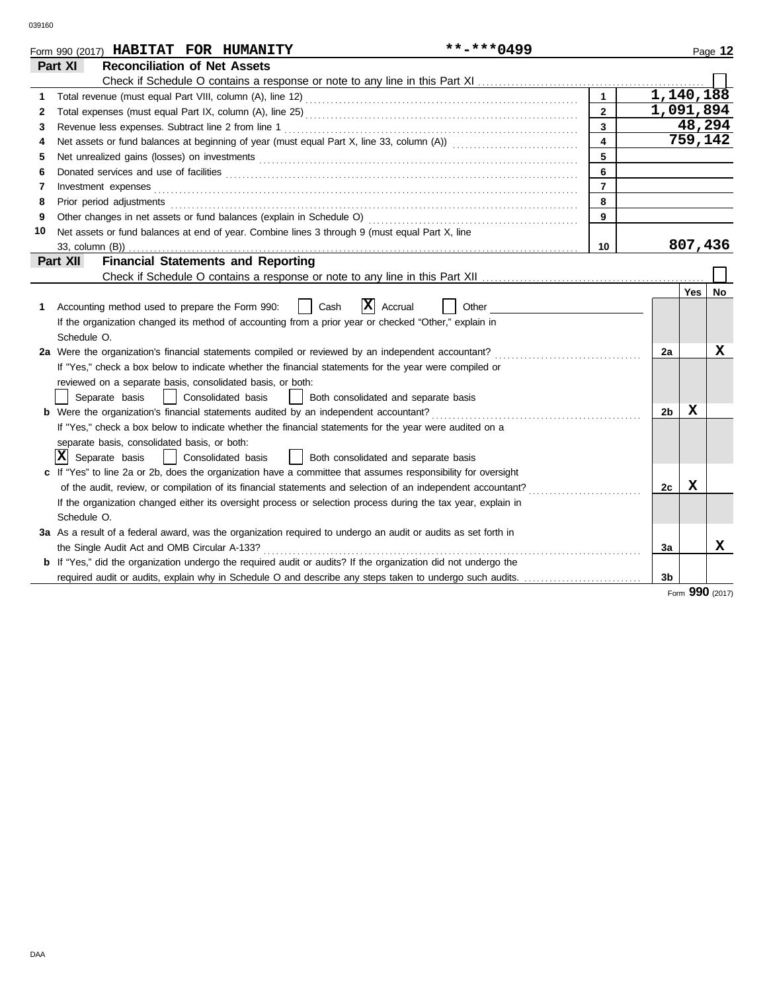|    | Form 990 (2017) HABITAT FOR HUMANITY                                                                                                     | **-***0499       |                         |                |     | Page 12 |
|----|------------------------------------------------------------------------------------------------------------------------------------------|------------------|-------------------------|----------------|-----|---------|
|    | Part XI<br><b>Reconciliation of Net Assets</b>                                                                                           |                  |                         |                |     |         |
|    |                                                                                                                                          |                  |                         |                |     |         |
|    |                                                                                                                                          |                  | $\mathbf{1}$            | 1,140,188      |     |         |
| 2  |                                                                                                                                          |                  | $\overline{2}$          | 1,091,894      |     |         |
| 3  |                                                                                                                                          |                  | $\overline{\mathbf{3}}$ |                |     | 48,294  |
| 4  | $\overline{\mathbf{4}}$<br>Net assets or fund balances at beginning of year (must equal Part X, line 33, column (A)) [[[[[[[[[[[[[[[[[[[ |                  |                         |                |     |         |
| 5  |                                                                                                                                          |                  | $\overline{5}$          |                |     |         |
| 6  |                                                                                                                                          |                  | 6                       |                |     |         |
| 7  | Investment expenses <b>contract and the expenses</b>                                                                                     |                  | $\overline{7}$          |                |     |         |
| 8  | Prior period adjustments                                                                                                                 |                  | 8                       |                |     |         |
| 9  | Other changes in net assets or fund balances (explain in Schedule O)                                                                     |                  | 9                       |                |     |         |
| 10 | Net assets or fund balances at end of year. Combine lines 3 through 9 (must equal Part X, line                                           |                  |                         |                |     |         |
|    | 33, column (B))                                                                                                                          |                  | 10                      |                |     | 807,436 |
|    | <b>Financial Statements and Reporting</b><br>Part XII                                                                                    |                  |                         |                |     |         |
|    |                                                                                                                                          |                  |                         |                |     |         |
|    |                                                                                                                                          |                  |                         |                | Yes | No      |
| 1  | X <br>Accounting method used to prepare the Form 990:<br>Cash                                                                            | Accrual<br>Other |                         |                |     |         |
|    | If the organization changed its method of accounting from a prior year or checked "Other," explain in                                    |                  |                         |                |     |         |
|    | Schedule O.                                                                                                                              |                  |                         |                |     |         |
|    | 2a Were the organization's financial statements compiled or reviewed by an independent accountant?                                       |                  |                         | 2a             |     | x       |
|    | If "Yes," check a box below to indicate whether the financial statements for the year were compiled or                                   |                  |                         |                |     |         |
|    | reviewed on a separate basis, consolidated basis, or both:                                                                               |                  |                         |                |     |         |
|    | Separate basis<br>  Consolidated basis<br>  Both consolidated and separate basis                                                         |                  |                         |                |     |         |
|    | <b>b</b> Were the organization's financial statements audited by an independent accountant?                                              |                  |                         | 2 <sub>b</sub> | x   |         |
|    | If "Yes," check a box below to indicate whether the financial statements for the year were audited on a                                  |                  |                         |                |     |         |
|    | separate basis, consolidated basis, or both:                                                                                             |                  |                         |                |     |         |
|    | $ \mathbf{X} $ Separate basis<br>  Consolidated basis<br>  Both consolidated and separate basis                                          |                  |                         |                |     |         |
|    | c If "Yes" to line 2a or 2b, does the organization have a committee that assumes responsibility for oversight                            |                  |                         |                |     |         |
|    | of the audit, review, or compilation of its financial statements and selection of an independent accountant?                             |                  |                         | 2c             | X   |         |
|    | If the organization changed either its oversight process or selection process during the tax year, explain in                            |                  |                         |                |     |         |
|    | Schedule O.                                                                                                                              |                  |                         |                |     |         |
|    | 3a As a result of a federal award, was the organization required to undergo an audit or audits as set forth in                           |                  |                         |                |     |         |
|    | the Single Audit Act and OMB Circular A-133?                                                                                             |                  |                         | За             |     | x       |
|    | <b>b</b> If "Yes," did the organization undergo the required audit or audits? If the organization did not undergo the                    |                  |                         |                |     |         |
|    | required audit or audits, explain why in Schedule O and describe any steps taken to undergo such audits.                                 |                  |                         | 3 <sub>b</sub> |     |         |

Form **990** (2017)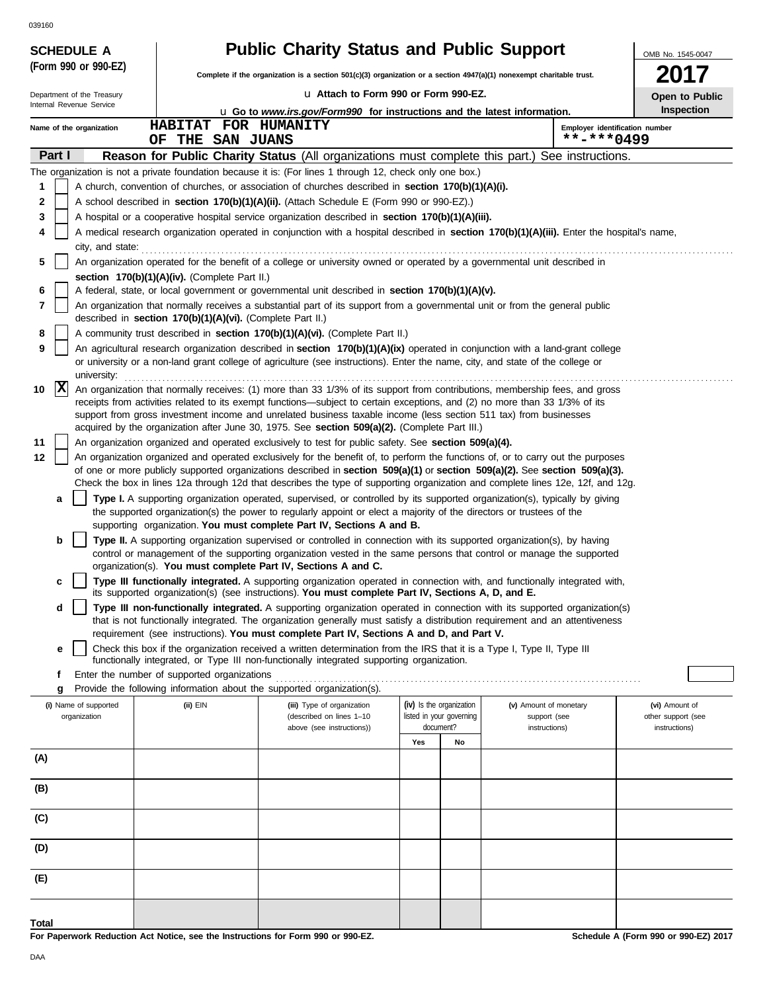039160

| 039160<br><b>SCHEDULE A</b>                            |                                                            | <b>Public Charity Status and Public Support</b>                                                                                                                                                                    |                                                                                                                                                              |                                                                                                                                                                                                                                                                |                                |  |
|--------------------------------------------------------|------------------------------------------------------------|--------------------------------------------------------------------------------------------------------------------------------------------------------------------------------------------------------------------|--------------------------------------------------------------------------------------------------------------------------------------------------------------|----------------------------------------------------------------------------------------------------------------------------------------------------------------------------------------------------------------------------------------------------------------|--------------------------------|--|
| (Form 990 or 990-EZ)                                   |                                                            |                                                                                                                                                                                                                    |                                                                                                                                                              |                                                                                                                                                                                                                                                                | OMB No. 1545-0047              |  |
|                                                        |                                                            |                                                                                                                                                                                                                    | Complete if the organization is a section 501(c)(3) organization or a section 4947(a)(1) nonexempt charitable trust.<br>u Attach to Form 990 or Form 990-EZ. |                                                                                                                                                                                                                                                                |                                |  |
| Department of the Treasury<br>Internal Revenue Service |                                                            | <b>u</b> Go to www.irs.gov/Form990 for instructions and the latest information.                                                                                                                                    |                                                                                                                                                              |                                                                                                                                                                                                                                                                | Open to Public<br>Inspection   |  |
| Name of the organization                               | HABITAT FOR HUMANITY                                       |                                                                                                                                                                                                                    |                                                                                                                                                              |                                                                                                                                                                                                                                                                | Employer identification number |  |
|                                                        | THE SAN JUANS<br>OF.                                       |                                                                                                                                                                                                                    |                                                                                                                                                              | **-***0499                                                                                                                                                                                                                                                     |                                |  |
| Part I                                                 |                                                            |                                                                                                                                                                                                                    |                                                                                                                                                              | Reason for Public Charity Status (All organizations must complete this part.) See instructions.                                                                                                                                                                |                                |  |
|                                                        |                                                            | The organization is not a private foundation because it is: (For lines 1 through 12, check only one box.)                                                                                                          |                                                                                                                                                              |                                                                                                                                                                                                                                                                |                                |  |
| 1                                                      |                                                            | A church, convention of churches, or association of churches described in section 170(b)(1)(A)(i).                                                                                                                 |                                                                                                                                                              |                                                                                                                                                                                                                                                                |                                |  |
| 2                                                      |                                                            | A school described in section 170(b)(1)(A)(ii). (Attach Schedule E (Form 990 or 990-EZ).)                                                                                                                          |                                                                                                                                                              |                                                                                                                                                                                                                                                                |                                |  |
| 3                                                      |                                                            | A hospital or a cooperative hospital service organization described in section 170(b)(1)(A)(iii).                                                                                                                  |                                                                                                                                                              |                                                                                                                                                                                                                                                                |                                |  |
| 4<br>city, and state:                                  |                                                            |                                                                                                                                                                                                                    |                                                                                                                                                              | A medical research organization operated in conjunction with a hospital described in section 170(b)(1)(A)(iii). Enter the hospital's name,                                                                                                                     |                                |  |
| 5                                                      |                                                            | An organization operated for the benefit of a college or university owned or operated by a governmental unit described in                                                                                          |                                                                                                                                                              |                                                                                                                                                                                                                                                                |                                |  |
| 6                                                      | section 170(b)(1)(A)(iv). (Complete Part II.)              | A federal, state, or local government or governmental unit described in section 170(b)(1)(A)(v).                                                                                                                   |                                                                                                                                                              |                                                                                                                                                                                                                                                                |                                |  |
| 7                                                      |                                                            | An organization that normally receives a substantial part of its support from a governmental unit or from the general public                                                                                       |                                                                                                                                                              |                                                                                                                                                                                                                                                                |                                |  |
| 8                                                      | described in section 170(b)(1)(A)(vi). (Complete Part II.) | A community trust described in section 170(b)(1)(A)(vi). (Complete Part II.)                                                                                                                                       |                                                                                                                                                              |                                                                                                                                                                                                                                                                |                                |  |
| 9                                                      |                                                            |                                                                                                                                                                                                                    |                                                                                                                                                              | An agricultural research organization described in section 170(b)(1)(A)(ix) operated in conjunction with a land-grant college                                                                                                                                  |                                |  |
| university:                                            |                                                            | or university or a non-land grant college of agriculture (see instructions). Enter the name, city, and state of the college or                                                                                     |                                                                                                                                                              |                                                                                                                                                                                                                                                                |                                |  |
| $ {\bf x} $<br>10                                      |                                                            |                                                                                                                                                                                                                    |                                                                                                                                                              | An organization that normally receives: (1) more than 33 1/3% of its support from contributions, membership fees, and gross                                                                                                                                    |                                |  |
|                                                        |                                                            | receipts from activities related to its exempt functions—subject to certain exceptions, and (2) no more than 33 1/3% of its                                                                                        |                                                                                                                                                              |                                                                                                                                                                                                                                                                |                                |  |
|                                                        |                                                            | support from gross investment income and unrelated business taxable income (less section 511 tax) from businesses<br>acquired by the organization after June 30, 1975. See section 509(a)(2). (Complete Part III.) |                                                                                                                                                              |                                                                                                                                                                                                                                                                |                                |  |
| 11                                                     |                                                            | An organization organized and operated exclusively to test for public safety. See section 509(a)(4).                                                                                                               |                                                                                                                                                              |                                                                                                                                                                                                                                                                |                                |  |
| 12                                                     |                                                            |                                                                                                                                                                                                                    |                                                                                                                                                              | An organization organized and operated exclusively for the benefit of, to perform the functions of, or to carry out the purposes                                                                                                                               |                                |  |
|                                                        |                                                            |                                                                                                                                                                                                                    |                                                                                                                                                              | of one or more publicly supported organizations described in section 509(a)(1) or section 509(a)(2). See section 509(a)(3).                                                                                                                                    |                                |  |
| a                                                      |                                                            |                                                                                                                                                                                                                    |                                                                                                                                                              | Check the box in lines 12a through 12d that describes the type of supporting organization and complete lines 12e, 12f, and 12g.<br>Type I. A supporting organization operated, supervised, or controlled by its supported organization(s), typically by giving |                                |  |
|                                                        |                                                            | the supported organization(s) the power to regularly appoint or elect a majority of the directors or trustees of the<br>supporting organization. You must complete Part IV, Sections A and B.                      |                                                                                                                                                              |                                                                                                                                                                                                                                                                |                                |  |
| b                                                      |                                                            | Type II. A supporting organization supervised or controlled in connection with its supported organization(s), by having                                                                                            |                                                                                                                                                              |                                                                                                                                                                                                                                                                |                                |  |
|                                                        |                                                            |                                                                                                                                                                                                                    |                                                                                                                                                              | control or management of the supporting organization vested in the same persons that control or manage the supported                                                                                                                                           |                                |  |
|                                                        |                                                            | organization(s). You must complete Part IV, Sections A and C.                                                                                                                                                      |                                                                                                                                                              | Type III functionally integrated. A supporting organization operated in connection with, and functionally integrated with,                                                                                                                                     |                                |  |
| c                                                      |                                                            | its supported organization(s) (see instructions). You must complete Part IV, Sections A, D, and E.                                                                                                                 |                                                                                                                                                              |                                                                                                                                                                                                                                                                |                                |  |
| d                                                      |                                                            |                                                                                                                                                                                                                    |                                                                                                                                                              | Type III non-functionally integrated. A supporting organization operated in connection with its supported organization(s)                                                                                                                                      |                                |  |
|                                                        |                                                            | requirement (see instructions). You must complete Part IV, Sections A and D, and Part V.                                                                                                                           |                                                                                                                                                              | that is not functionally integrated. The organization generally must satisfy a distribution requirement and an attentiveness                                                                                                                                   |                                |  |
| е                                                      |                                                            | Check this box if the organization received a written determination from the IRS that it is a Type I, Type II, Type III                                                                                            |                                                                                                                                                              |                                                                                                                                                                                                                                                                |                                |  |
|                                                        |                                                            | functionally integrated, or Type III non-functionally integrated supporting organization.                                                                                                                          |                                                                                                                                                              |                                                                                                                                                                                                                                                                |                                |  |
| f                                                      | Enter the number of supported organizations                | Provide the following information about the supported organization(s).                                                                                                                                             |                                                                                                                                                              |                                                                                                                                                                                                                                                                |                                |  |
| g<br>(i) Name of supported                             | (ii) EIN                                                   | (iii) Type of organization                                                                                                                                                                                         | (iv) Is the organization                                                                                                                                     | (v) Amount of monetary                                                                                                                                                                                                                                         | (vi) Amount of                 |  |
| organization                                           |                                                            | (described on lines 1-10                                                                                                                                                                                           | listed in your governing                                                                                                                                     | support (see                                                                                                                                                                                                                                                   | other support (see             |  |
|                                                        |                                                            | above (see instructions))                                                                                                                                                                                          | document?                                                                                                                                                    | instructions)                                                                                                                                                                                                                                                  | instructions)                  |  |
| (A)                                                    |                                                            |                                                                                                                                                                                                                    | Yes<br>No                                                                                                                                                    |                                                                                                                                                                                                                                                                |                                |  |
|                                                        |                                                            |                                                                                                                                                                                                                    |                                                                                                                                                              |                                                                                                                                                                                                                                                                |                                |  |
| (B)                                                    |                                                            |                                                                                                                                                                                                                    |                                                                                                                                                              |                                                                                                                                                                                                                                                                |                                |  |
| (C)                                                    |                                                            |                                                                                                                                                                                                                    |                                                                                                                                                              |                                                                                                                                                                                                                                                                |                                |  |
| (D)                                                    |                                                            |                                                                                                                                                                                                                    |                                                                                                                                                              |                                                                                                                                                                                                                                                                |                                |  |
| (E)                                                    |                                                            |                                                                                                                                                                                                                    |                                                                                                                                                              |                                                                                                                                                                                                                                                                |                                |  |
|                                                        |                                                            |                                                                                                                                                                                                                    |                                                                                                                                                              |                                                                                                                                                                                                                                                                |                                |  |
| Total                                                  |                                                            |                                                                                                                                                                                                                    |                                                                                                                                                              |                                                                                                                                                                                                                                                                |                                |  |

**For Paperwork Reduction Act Notice, see the Instructions for Form 990 or 990-EZ.**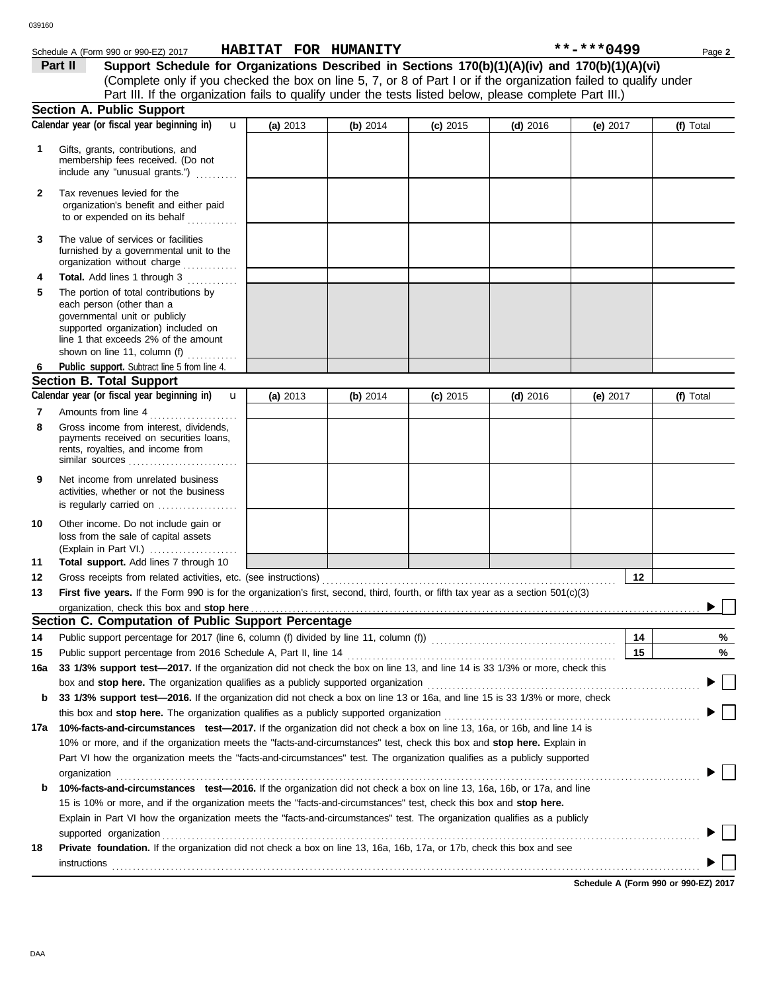|              | Schedule A (Form 990 or 990-EZ) 2017                                                                                                                                                                                           |            | HABITAT FOR HUMANITY |            |            | **-***0499 | Page 2    |
|--------------|--------------------------------------------------------------------------------------------------------------------------------------------------------------------------------------------------------------------------------|------------|----------------------|------------|------------|------------|-----------|
|              | Part II<br>Support Schedule for Organizations Described in Sections 170(b)(1)(A)(iv) and 170(b)(1)(A)(vi)<br>(Complete only if you checked the box on line 5, 7, or 8 of Part I or if the organization failed to qualify under |            |                      |            |            |            |           |
|              | Part III. If the organization fails to qualify under the tests listed below, please complete Part III.)                                                                                                                        |            |                      |            |            |            |           |
|              | <b>Section A. Public Support</b><br>Calendar year (or fiscal year beginning in)                                                                                                                                                |            |                      |            |            |            |           |
|              | $\mathbf{u}$                                                                                                                                                                                                                   | (a) 2013   | (b) 2014             | $(c)$ 2015 | $(d)$ 2016 | (e) $2017$ | (f) Total |
| 1            | Gifts, grants, contributions, and<br>membership fees received. (Do not<br>include any "unusual grants.")                                                                                                                       |            |                      |            |            |            |           |
| $\mathbf{2}$ | Tax revenues levied for the<br>organization's benefit and either paid<br>to or expended on its behalf                                                                                                                          |            |                      |            |            |            |           |
| 3            | The value of services or facilities<br>furnished by a governmental unit to the<br>organization without charge                                                                                                                  |            |                      |            |            |            |           |
| 4            | Total. Add lines 1 through 3                                                                                                                                                                                                   |            |                      |            |            |            |           |
| 5            | The portion of total contributions by<br>each person (other than a<br>governmental unit or publicly<br>supported organization) included on<br>line 1 that exceeds 2% of the amount                                             |            |                      |            |            |            |           |
|              | shown on line 11, column (f) $\ldots$                                                                                                                                                                                          |            |                      |            |            |            |           |
| 6            | Public support. Subtract line 5 from line 4.<br><b>Section B. Total Support</b>                                                                                                                                                |            |                      |            |            |            |           |
|              | Calendar year (or fiscal year beginning in)<br>$\mathbf{u}$                                                                                                                                                                    |            |                      |            |            |            |           |
| 7            | Amounts from line 4                                                                                                                                                                                                            | (a) $2013$ | (b) 2014             | $(c)$ 2015 | $(d)$ 2016 | (e) $2017$ | (f) Total |
| 8            | Gross income from interest, dividends,                                                                                                                                                                                         |            |                      |            |            |            |           |
|              | payments received on securities loans,<br>rents, royalties, and income from<br>similar sources                                                                                                                                 |            |                      |            |            |            |           |
| 9            | Net income from unrelated business<br>activities, whether or not the business<br>is regularly carried on                                                                                                                       |            |                      |            |            |            |           |
| 10           | Other income. Do not include gain or<br>loss from the sale of capital assets<br>(Explain in Part VI.)                                                                                                                          |            |                      |            |            |            |           |
| 11           | Total support. Add lines 7 through 10                                                                                                                                                                                          |            |                      |            |            |            |           |
| 12           | Gross receipts from related activities, etc. (see instructions)                                                                                                                                                                |            |                      |            |            | 12         |           |
| 13           | First five years. If the Form 990 is for the organization's first, second, third, fourth, or fifth tax year as a section 501(c)(3)                                                                                             |            |                      |            |            |            |           |
|              |                                                                                                                                                                                                                                |            |                      |            |            |            |           |
|              | Section C. Computation of Public Support Percentage                                                                                                                                                                            |            |                      |            |            |            |           |
| 14           |                                                                                                                                                                                                                                |            |                      |            |            | 14         | %         |
| 15           |                                                                                                                                                                                                                                |            |                      |            |            | 15         | $\%$      |
| 16a          | 33 1/3% support test-2017. If the organization did not check the box on line 13, and line 14 is 33 1/3% or more, check this                                                                                                    |            |                      |            |            |            |           |

|     | box and <b>stop here.</b> The organization qualifies as a publicly supported organization                                            |  |  |  |  |
|-----|--------------------------------------------------------------------------------------------------------------------------------------|--|--|--|--|
|     | <b>b</b> 33 1/3% support test—2016. If the organization did not check a box on line 13 or 16a, and line 15 is 33 1/3% or more, check |  |  |  |  |
|     |                                                                                                                                      |  |  |  |  |
| 17a | 10%-facts-and-circumstances test-2017. If the organization did not check a box on line 13, 16a, or 16b, and line 14 is               |  |  |  |  |
|     | 10% or more, and if the organization meets the "facts-and-circumstances" test, check this box and <b>stop here.</b> Explain in       |  |  |  |  |
|     | Part VI how the organization meets the "facts-and-circumstances" test. The organization qualifies as a publicly supported            |  |  |  |  |
|     | organization                                                                                                                         |  |  |  |  |
| b   | 10%-facts-and-circumstances test-2016. If the organization did not check a box on line 13, 16a, 16b, or 17a, and line                |  |  |  |  |

| 15 is 10% or more, and if the organization meets the "facts-and-circumstances" test, check this box and stop here.           |  |
|------------------------------------------------------------------------------------------------------------------------------|--|
| Explain in Part VI how the organization meets the "facts-and-circumstances" test. The organization qualifies as a publicly   |  |
| supported organization                                                                                                       |  |
| <b>Private foundation.</b> If the organization did not check a box on line 13, 16a, 16b, 17a, or 17b, check this box and see |  |
| instructions                                                                                                                 |  |
|                                                                                                                              |  |

**Schedule A (Form 990 or 990-EZ) 2017**

 $\blacktriangleright$   $\Box$ 

 $\blacktriangleright$   $\Box$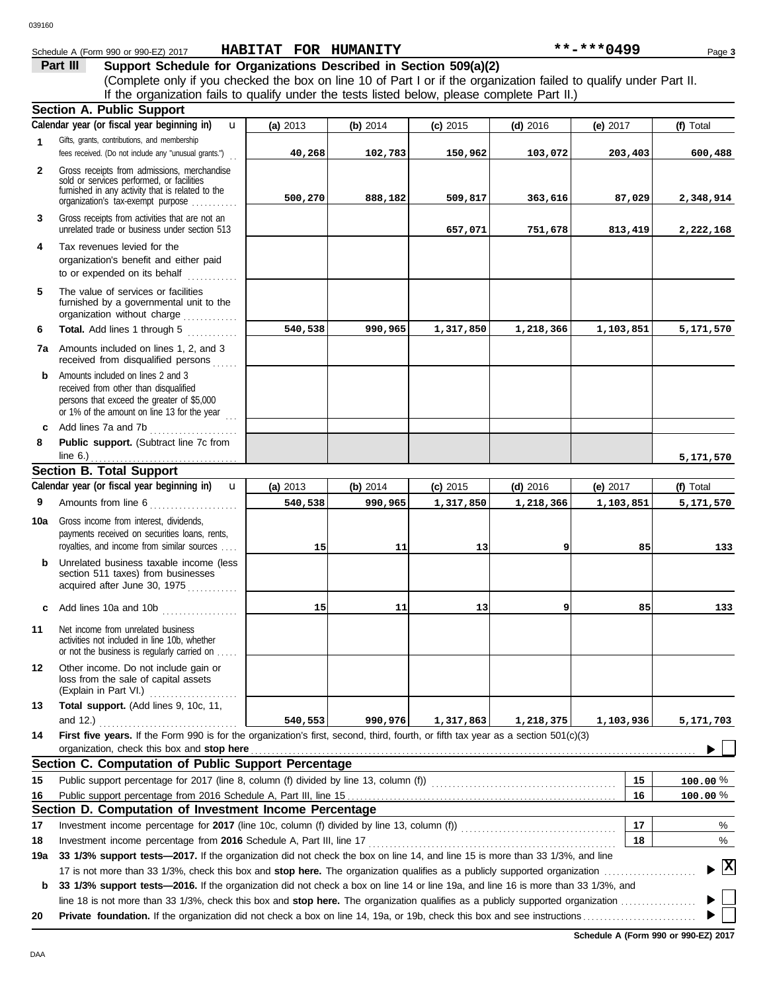|                | Part III<br>Support Schedule for Organizations Described in Section 509(a)(2)<br>(Complete only if you checked the box on line 10 of Part I or if the organization failed to qualify under Part II. |            |          |            |            |            |                      |
|----------------|-----------------------------------------------------------------------------------------------------------------------------------------------------------------------------------------------------|------------|----------|------------|------------|------------|----------------------|
|                | If the organization fails to qualify under the tests listed below, please complete Part II.)                                                                                                        |            |          |            |            |            |                      |
|                | Section A. Public Support                                                                                                                                                                           |            |          |            |            |            |                      |
|                | Calendar year (or fiscal year beginning in)<br>$\mathbf{u}$                                                                                                                                         | (a) 2013   | (b) 2014 | $(c)$ 2015 | $(d)$ 2016 | (e) $2017$ | (f) Total            |
| 1              | Gifts, grants, contributions, and membership<br>fees received. (Do not include any "unusual grants.")                                                                                               | 40,268     | 102,783  | 150,962    | 103,072    | 203,403    | 600,488              |
| $\overline{2}$ | Gross receipts from admissions, merchandise<br>sold or services performed, or facilities<br>furnished in any activity that is related to the                                                        |            |          |            |            |            |                      |
|                | organization's tax-exempt purpose                                                                                                                                                                   | 500,270    | 888,182  | 509,817    | 363,616    | 87,029     | 2,348,914            |
| 3              | Gross receipts from activities that are not an<br>unrelated trade or business under section 513                                                                                                     |            |          | 657,071    | 751,678    | 813,419    | 2,222,168            |
| 4              | Tax revenues levied for the<br>organization's benefit and either paid<br>to or expended on its behalf<br>. <b>.</b> .                                                                               |            |          |            |            |            |                      |
| 5              | The value of services or facilities<br>furnished by a governmental unit to the<br>organization without charge                                                                                       |            |          |            |            |            |                      |
| 6              | Total. Add lines 1 through 5                                                                                                                                                                        | 540,538    | 990,965  | 1,317,850  | 1,218,366  | 1,103,851  | 5,171,570            |
|                | <b>7a</b> Amounts included on lines 1, 2, and 3<br>received from disqualified persons                                                                                                               |            |          |            |            |            |                      |
| b              | Amounts included on lines 2 and 3<br>received from other than disqualified<br>persons that exceed the greater of \$5,000<br>or 1% of the amount on line 13 for the year $\frac{1}{1}$               |            |          |            |            |            |                      |
| c              | Add lines 7a and 7b<br>.                                                                                                                                                                            |            |          |            |            |            |                      |
| 8              | Public support. (Subtract line 7c from<br>line 6.) $\ldots$ $\ldots$ $\ldots$ $\ldots$ $\ldots$ $\ldots$                                                                                            |            |          |            |            |            | 5,171,570            |
|                | <b>Section B. Total Support</b>                                                                                                                                                                     |            |          |            |            |            |                      |
|                | Calendar year (or fiscal year beginning in)<br>$\mathbf{u}$                                                                                                                                         | (a) $2013$ | (b) 2014 | $(c)$ 2015 | $(d)$ 2016 | (e) $2017$ | (f) Total            |
| 9              | Amounts from line 6<br><u>.</u><br>1980 - Paul Barbara, papa pada ang panganang panganang pangangang panganggapang panganggapang panggapang pang                                                    | 540,538    | 990,965  | 1,317,850  | 1,218,366  | 1,103,851  | 5,171,570            |
| 10a            | Gross income from interest, dividends,<br>payments received on securities loans, rents,<br>royalties, and income from similar sources                                                               | 15         | 11       | 13         | 9          | 85         | 133                  |
| b              | Unrelated business taxable income (less<br>section 511 taxes) from businesses<br>acquired after June 30, 1975                                                                                       |            |          |            |            |            |                      |
| c              | Add lines 10a and 10b                                                                                                                                                                               | 15         | 11       | 13         | 9          | 85         | 133                  |
| 11             | Net income from unrelated business<br>activities not included in line 10b, whether<br>or not the business is regularly carried on                                                                   |            |          |            |            |            |                      |
| 12             | Other income. Do not include gain or<br>loss from the sale of capital assets<br>(Explain in Part VI.)                                                                                               |            |          |            |            |            |                      |
| 13             | Total support. (Add lines 9, 10c, 11,                                                                                                                                                               |            |          |            |            |            |                      |
| 14             | and 12.) $\ldots$<br>First five years. If the Form 990 is for the organization's first, second, third, fourth, or fifth tax year as a section 501(c)(3)                                             | 540,553    | 990,976  | 1,317,863  | 1,218,375  | 1,103,936  | 5,171,703            |
|                | organization, check this box and stop here                                                                                                                                                          |            |          |            |            |            |                      |
|                | Section C. Computation of Public Support Percentage                                                                                                                                                 |            |          |            |            |            |                      |
| 15             | Public support percentage for 2017 (line 8, column (f) divided by line 13, column (f)) [[[[[[[[[[[[[[[[[[[[[[                                                                                       |            |          |            |            | 15         | $100.00 \%$          |
| 16             |                                                                                                                                                                                                     |            |          |            |            | 16         | 100.00%              |
|                | Section D. Computation of Investment Income Percentage                                                                                                                                              |            |          |            |            |            |                      |
| 17             |                                                                                                                                                                                                     |            |          |            |            | 17         | %                    |
| 18             | Investment income percentage from 2016 Schedule A, Part III, line 17                                                                                                                                |            |          |            |            | 18         | %                    |
| 19a            | 33 1/3% support tests—2017. If the organization did not check the box on line 14, and line 15 is more than 33 1/3%, and line                                                                        |            |          |            |            |            | $\boxed{\mathbf{x}}$ |
| b              | 33 1/3% support tests—2016. If the organization did not check a box on line 14 or line 19a, and line 16 is more than 33 1/3%, and                                                                   |            |          |            |            |            |                      |
|                |                                                                                                                                                                                                     |            |          |            |            |            |                      |
| 20             |                                                                                                                                                                                                     |            |          |            |            |            |                      |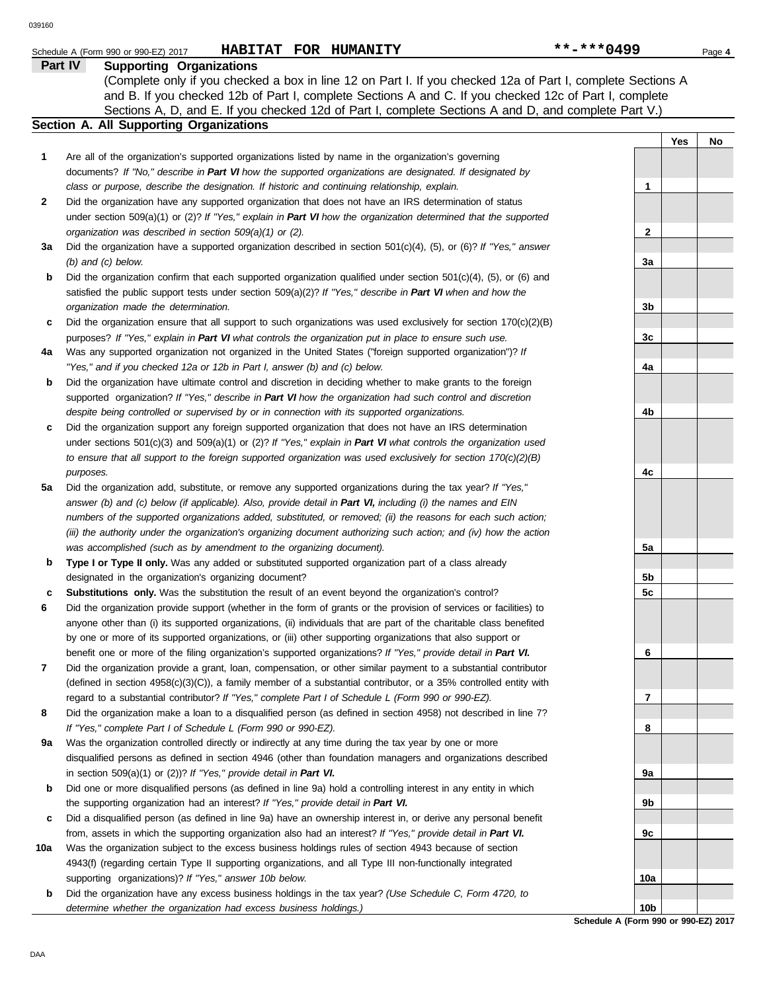|         | HABITAT FOR HUMANITY<br>Schedule A (Form 990 or 990-EZ) 2017                                                         | **-***0499   | Page 4    |
|---------|----------------------------------------------------------------------------------------------------------------------|--------------|-----------|
| Part IV | <b>Supporting Organizations</b>                                                                                      |              |           |
|         | (Complete only if you checked a box in line 12 on Part I. If you checked 12a of Part I, complete Sections A          |              |           |
|         | and B. If you checked 12b of Part I, complete Sections A and C. If you checked 12c of Part I, complete               |              |           |
|         | Sections A, D, and E. If you checked 12d of Part I, complete Sections A and D, and complete Part V.)                 |              |           |
|         | <b>Section A. All Supporting Organizations</b>                                                                       |              |           |
|         |                                                                                                                      |              | Yes<br>No |
| 1       | Are all of the organization's supported organizations listed by name in the organization's governing                 |              |           |
|         | documents? If "No," describe in Part VI how the supported organizations are designated. If designated by             |              |           |
|         | class or purpose, describe the designation. If historic and continuing relationship, explain.                        | 1            |           |
| 2       | Did the organization have any supported organization that does not have an IRS determination of status               |              |           |
|         | under section 509(a)(1) or (2)? If "Yes," explain in Part VI how the organization determined that the supported      |              |           |
|         | organization was described in section 509(a)(1) or (2).                                                              | $\mathbf{2}$ |           |
| За      | Did the organization have a supported organization described in section $501(c)(4)$ , (5), or (6)? If "Yes," answer  |              |           |
|         | $(b)$ and $(c)$ below.                                                                                               | За           |           |
| b       | Did the organization confirm that each supported organization qualified under section $501(c)(4)$ , (5), or (6) and  |              |           |
|         | satisfied the public support tests under section 509(a)(2)? If "Yes," describe in Part VI when and how the           |              |           |
|         | organization made the determination.                                                                                 | 3b           |           |
| c       | Did the organization ensure that all support to such organizations was used exclusively for section $170(c)(2)(B)$   |              |           |
|         | purposes? If "Yes," explain in Part VI what controls the organization put in place to ensure such use.               | 3c           |           |
| 4a      | Was any supported organization not organized in the United States ("foreign supported organization")? If             |              |           |
|         | "Yes," and if you checked 12a or 12b in Part I, answer (b) and (c) below.                                            | 4a           |           |
| b       | Did the organization have ultimate control and discretion in deciding whether to make grants to the foreign          |              |           |
|         | supported organization? If "Yes," describe in Part VI how the organization had such control and discretion           |              |           |
|         | despite being controlled or supervised by or in connection with its supported organizations.                         | 4b           |           |
| c       | Did the organization support any foreign supported organization that does not have an IRS determination              |              |           |
|         | under sections $501(c)(3)$ and $509(a)(1)$ or (2)? If "Yes," explain in Part VI what controls the organization used  |              |           |
|         | to ensure that all support to the foreign supported organization was used exclusively for section $170(c)(2)(B)$     |              |           |
|         | purposes.                                                                                                            | 4c           |           |
| 5а      | Did the organization add, substitute, or remove any supported organizations during the tax year? If "Yes,"           |              |           |
|         | answer (b) and (c) below (if applicable). Also, provide detail in Part VI, including (i) the names and EIN           |              |           |
|         | numbers of the supported organizations added, substituted, or removed; (ii) the reasons for each such action;        |              |           |
|         | (iii) the authority under the organization's organizing document authorizing such action; and (iv) how the action    |              |           |
|         | was accomplished (such as by amendment to the organizing document).                                                  | 5a           |           |
| b       | Type I or Type II only. Was any added or substituted supported organization part of a class already                  |              |           |
|         | designated in the organization's organizing document?                                                                | 5b           |           |
| с       | Substitutions only. Was the substitution the result of an event beyond the organization's control?                   | 5c           |           |
|         | Did the organization provide support (whether in the form of grants or the provision of services or facilities) to   |              |           |
|         | anyone other than (i) its supported organizations, (ii) individuals that are part of the charitable class benefited  |              |           |
|         | by one or more of its supported organizations, or (iii) other supporting organizations that also support or          |              |           |
|         | benefit one or more of the filing organization's supported organizations? If "Yes," provide detail in Part VI.       | 6            |           |
| 7       | Did the organization provide a grant, loan, compensation, or other similar payment to a substantial contributor      |              |           |
|         | (defined in section $4958(c)(3)(C)$ ), a family member of a substantial contributor, or a 35% controlled entity with |              |           |
|         | regard to a substantial contributor? If "Yes," complete Part I of Schedule L (Form 990 or 990-EZ).                   | 7            |           |
| 8       | Did the organization make a loan to a disqualified person (as defined in section 4958) not described in line 7?      |              |           |
|         | If "Yes," complete Part I of Schedule L (Form 990 or 990-EZ).                                                        | 8            |           |
| 9a      | Was the organization controlled directly or indirectly at any time during the tax year by one or more                |              |           |
|         | disqualified persons as defined in section 4946 (other than foundation managers and organizations described          |              |           |
|         | in section $509(a)(1)$ or $(2)$ ? If "Yes," provide detail in Part VI.                                               | 9a           |           |
| b       | Did one or more disqualified persons (as defined in line 9a) hold a controlling interest in any entity in which      |              |           |
|         | the supporting organization had an interest? If "Yes," provide detail in Part VI.                                    | 9b           |           |
| c       | Did a disqualified person (as defined in line 9a) have an ownership interest in, or derive any personal benefit      |              |           |
|         | from, assets in which the supporting organization also had an interest? If "Yes," provide detail in Part VI.         | 9c           |           |
| 10a     | Was the organization subject to the excess business holdings rules of section 4943 because of section                |              |           |
|         | 4943(f) (regarding certain Type II supporting organizations, and all Type III non-functionally integrated            |              |           |
|         | supporting organizations)? If "Yes," answer 10b below.                                                               | 10a          |           |
| b       | Did the organization have any excess business holdings in the tax year? (Use Schedule C, Form 4720, to               |              |           |
|         | determine whether the organization had excess business holdings.)                                                    | 10b          |           |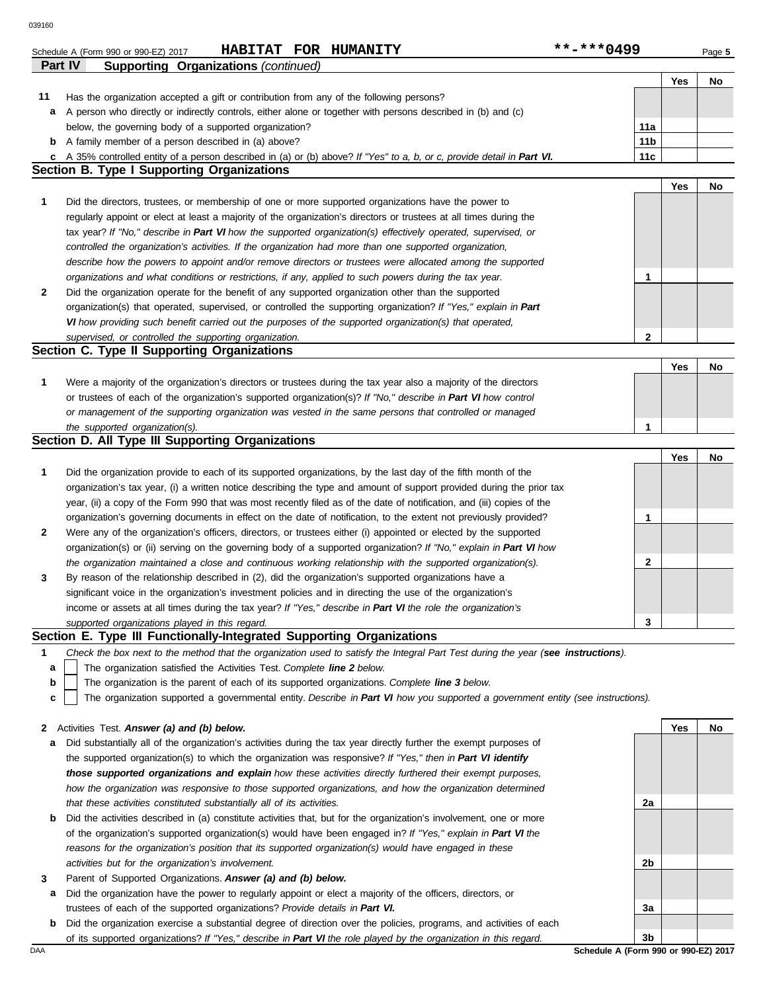|    | HABITAT FOR HUMANITY<br>Schedule A (Form 990 or 990-EZ) 2017                                                                      | **-***0499 |                 |     | Page 5 |
|----|-----------------------------------------------------------------------------------------------------------------------------------|------------|-----------------|-----|--------|
|    | <b>Supporting Organizations (continued)</b><br><b>Part IV</b>                                                                     |            |                 |     |        |
|    |                                                                                                                                   |            |                 | Yes | No     |
| 11 | Has the organization accepted a gift or contribution from any of the following persons?                                           |            |                 |     |        |
| а  | A person who directly or indirectly controls, either alone or together with persons described in (b) and (c)                      |            |                 |     |        |
|    | below, the governing body of a supported organization?                                                                            |            | 11a             |     |        |
|    | <b>b</b> A family member of a person described in (a) above?                                                                      |            | 11 <sub>b</sub> |     |        |
|    | c A 35% controlled entity of a person described in (a) or (b) above? If "Yes" to a, b, or c, provide detail in Part VI.           |            | 11c             |     |        |
|    | <b>Section B. Type I Supporting Organizations</b>                                                                                 |            |                 |     |        |
|    |                                                                                                                                   |            |                 | Yes | No     |
| 1  | Did the directors, trustees, or membership of one or more supported organizations have the power to                               |            |                 |     |        |
|    | regularly appoint or elect at least a majority of the organization's directors or trustees at all times during the                |            |                 |     |        |
|    | tax year? If "No," describe in Part VI how the supported organization(s) effectively operated, supervised, or                     |            |                 |     |        |
|    | controlled the organization's activities. If the organization had more than one supported organization,                           |            |                 |     |        |
|    | describe how the powers to appoint and/or remove directors or trustees were allocated among the supported                         |            |                 |     |        |
|    | organizations and what conditions or restrictions, if any, applied to such powers during the tax year.                            |            | 1               |     |        |
| 2  | Did the organization operate for the benefit of any supported organization other than the supported                               |            |                 |     |        |
|    | organization(s) that operated, supervised, or controlled the supporting organization? If "Yes," explain in Part                   |            |                 |     |        |
|    | VI how providing such benefit carried out the purposes of the supported organization(s) that operated,                            |            |                 |     |        |
|    | supervised, or controlled the supporting organization.                                                                            |            | $\mathbf{2}$    |     |        |
|    | Section C. Type II Supporting Organizations                                                                                       |            |                 |     |        |
|    |                                                                                                                                   |            |                 | Yes | No     |
| 1  | Were a majority of the organization's directors or trustees during the tax year also a majority of the directors                  |            |                 |     |        |
|    | or trustees of each of the organization's supported organization(s)? If "No," describe in Part VI how control                     |            |                 |     |        |
|    | or management of the supporting organization was vested in the same persons that controlled or managed                            |            |                 |     |        |
|    | the supported organization(s).                                                                                                    |            | 1               |     |        |
|    | Section D. All Type III Supporting Organizations                                                                                  |            |                 |     |        |
|    |                                                                                                                                   |            |                 | Yes | No     |
| 1  | Did the organization provide to each of its supported organizations, by the last day of the fifth month of the                    |            |                 |     |        |
|    | organization's tax year, (i) a written notice describing the type and amount of support provided during the prior tax             |            |                 |     |        |
|    | year, (ii) a copy of the Form 990 that was most recently filed as of the date of notification, and (iii) copies of the            |            |                 |     |        |
|    | organization's governing documents in effect on the date of notification, to the extent not previously provided?                  |            | 1               |     |        |
| 2  | Were any of the organization's officers, directors, or trustees either (i) appointed or elected by the supported                  |            |                 |     |        |
|    | organization(s) or (ii) serving on the governing body of a supported organization? If "No," explain in Part VI how                |            |                 |     |        |
|    | the organization maintained a close and continuous working relationship with the supported organization(s).                       |            | 2               |     |        |
|    | By reason of the relationship described in (2), did the organization's supported organizations have a                             |            |                 |     |        |
| 3  | significant voice in the organization's investment policies and in directing the use of the organization's                        |            |                 |     |        |
|    | income or assets at all times during the tax year? If "Yes," describe in Part VI the role the organization's                      |            |                 |     |        |
|    | supported organizations played in this regard.                                                                                    |            | 3               |     |        |
|    | Section E. Type III Functionally-Integrated Supporting Organizations                                                              |            |                 |     |        |
| 1  | Check the box next to the method that the organization used to satisfy the Integral Part Test during the year (see instructions). |            |                 |     |        |
| a  | The organization satisfied the Activities Test. Complete line 2 below.                                                            |            |                 |     |        |
| b  | The organization is the parent of each of its supported organizations. Complete line 3 below.                                     |            |                 |     |        |
|    | The organization supported a governmental entity. Describe in Part VI how you supported a government entity (see instructions).   |            |                 |     |        |
| c  |                                                                                                                                   |            |                 |     |        |
| 2  | Activities Test. Answer (a) and (b) below.                                                                                        |            |                 | Yes | No     |
| а  | Did substantially all of the organization's activities during the tax year directly further the exempt purposes of                |            |                 |     |        |
|    | the supported organization(s) to which the organization was responsive? If "Yes," then in Part VI identify                        |            |                 |     |        |
|    | those supported organizations and explain how these activities directly furthered their exempt purposes,                          |            |                 |     |        |
|    | how the organization was responsive to those supported organizations, and how the organization determined                         |            |                 |     |        |
|    | that these activities constituted substantially all of its activities.                                                            |            |                 |     |        |
|    |                                                                                                                                   |            | 2a              |     |        |
| b  | Did the activities described in (a) constitute activities that, but for the organization's involvement, one or more               |            |                 |     |        |
|    | of the organization's supported organization(s) would have been engaged in? If "Yes," explain in Part VI the                      |            |                 |     |        |
|    | reasons for the organization's position that its supported organization(s) would have engaged in these                            |            |                 |     |        |
|    | activities but for the organization's involvement.                                                                                |            | 2b              |     |        |
| 3  | Parent of Supported Organizations. Answer (a) and (b) below.                                                                      |            |                 |     |        |

- **a** Did the organization have the power to regularly appoint or elect a majority of the officers, directors, or trustees of each of the supported organizations? *Provide details in Part VI.*
- **b** Did the organization exercise a substantial degree of direction over the policies, programs, and activities of each of its supported organizations? *If "Yes," describe in Part VI the role played by the organization in this regard.*

DAA **SChedule A (Form 990 or 990-EZ) 2017 3b**

**3a**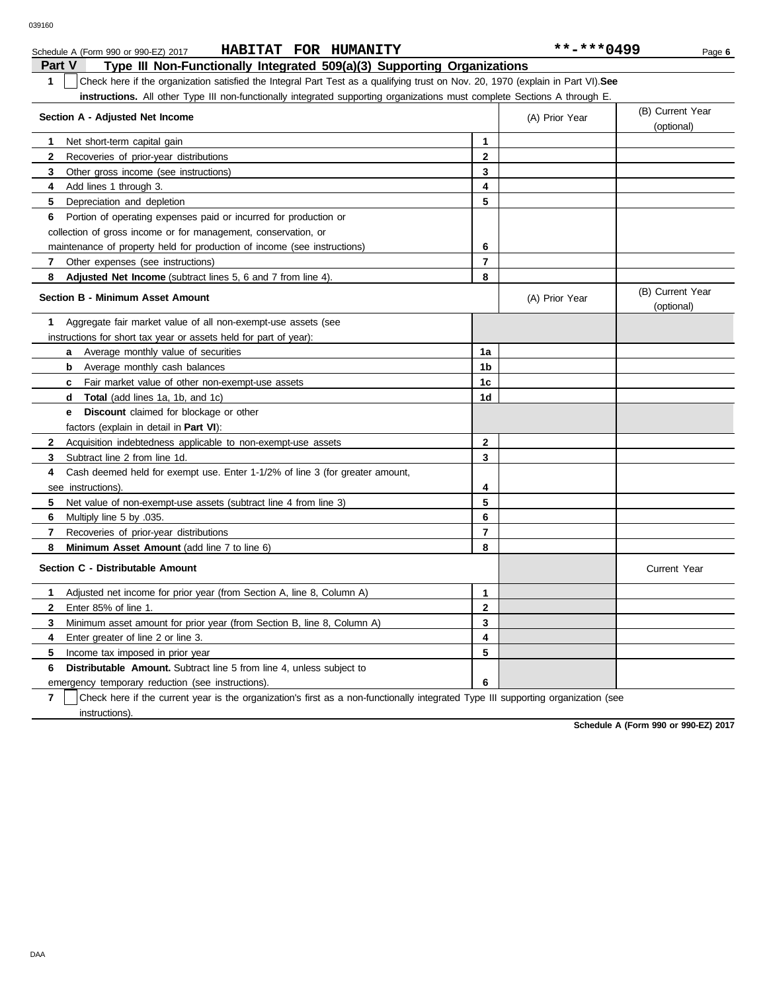| r 990-EZ) 2017<br>$\sim$<br>Schedule.<br>$\sqrt{2}$ (Form 990)<br>) or | <b>HABITAT</b> | FOR | HUMANITY | 100 | Page 6 |
|------------------------------------------------------------------------|----------------|-----|----------|-----|--------|
|                                                                        |                |     |          |     |        |

| <b>Part V</b><br>Type III Non-Functionally Integrated 509(a)(3) Supporting Organizations                                              |                                                                                                                                                                                                                                                                                                                                                                                                                                                                                                                                              |                |                                |  |  |  |  |  |
|---------------------------------------------------------------------------------------------------------------------------------------|----------------------------------------------------------------------------------------------------------------------------------------------------------------------------------------------------------------------------------------------------------------------------------------------------------------------------------------------------------------------------------------------------------------------------------------------------------------------------------------------------------------------------------------------|----------------|--------------------------------|--|--|--|--|--|
| 1<br>Check here if the organization satisfied the Integral Part Test as a qualifying trust on Nov. 20, 1970 (explain in Part VI). See |                                                                                                                                                                                                                                                                                                                                                                                                                                                                                                                                              |                |                                |  |  |  |  |  |
| <b>instructions.</b> All other Type III non-functionally integrated supporting organizations must complete Sections A through E.      |                                                                                                                                                                                                                                                                                                                                                                                                                                                                                                                                              |                |                                |  |  |  |  |  |
|                                                                                                                                       |                                                                                                                                                                                                                                                                                                                                                                                                                                                                                                                                              | (A) Prior Year | (B) Current Year<br>(optional) |  |  |  |  |  |
| Net short-term capital gain                                                                                                           | 1                                                                                                                                                                                                                                                                                                                                                                                                                                                                                                                                            |                |                                |  |  |  |  |  |
| Recoveries of prior-year distributions                                                                                                | $\overline{2}$                                                                                                                                                                                                                                                                                                                                                                                                                                                                                                                               |                |                                |  |  |  |  |  |
| Other gross income (see instructions)                                                                                                 | 3                                                                                                                                                                                                                                                                                                                                                                                                                                                                                                                                            |                |                                |  |  |  |  |  |
| Add lines 1 through 3.                                                                                                                | 4                                                                                                                                                                                                                                                                                                                                                                                                                                                                                                                                            |                |                                |  |  |  |  |  |
| Depreciation and depletion                                                                                                            | 5                                                                                                                                                                                                                                                                                                                                                                                                                                                                                                                                            |                |                                |  |  |  |  |  |
| Portion of operating expenses paid or incurred for production or                                                                      |                                                                                                                                                                                                                                                                                                                                                                                                                                                                                                                                              |                |                                |  |  |  |  |  |
|                                                                                                                                       |                                                                                                                                                                                                                                                                                                                                                                                                                                                                                                                                              |                |                                |  |  |  |  |  |
|                                                                                                                                       | 6                                                                                                                                                                                                                                                                                                                                                                                                                                                                                                                                            |                |                                |  |  |  |  |  |
| Other expenses (see instructions)                                                                                                     | $\overline{7}$                                                                                                                                                                                                                                                                                                                                                                                                                                                                                                                               |                |                                |  |  |  |  |  |
| Adjusted Net Income (subtract lines 5, 6 and 7 from line 4).                                                                          | 8                                                                                                                                                                                                                                                                                                                                                                                                                                                                                                                                            |                |                                |  |  |  |  |  |
|                                                                                                                                       |                                                                                                                                                                                                                                                                                                                                                                                                                                                                                                                                              | (A) Prior Year | (B) Current Year<br>(optional) |  |  |  |  |  |
| Aggregate fair market value of all non-exempt-use assets (see                                                                         |                                                                                                                                                                                                                                                                                                                                                                                                                                                                                                                                              |                |                                |  |  |  |  |  |
|                                                                                                                                       |                                                                                                                                                                                                                                                                                                                                                                                                                                                                                                                                              |                |                                |  |  |  |  |  |
| Average monthly value of securities<br>a                                                                                              | 1a                                                                                                                                                                                                                                                                                                                                                                                                                                                                                                                                           |                |                                |  |  |  |  |  |
| Average monthly cash balances<br>b                                                                                                    | 1 <sub>b</sub>                                                                                                                                                                                                                                                                                                                                                                                                                                                                                                                               |                |                                |  |  |  |  |  |
| <b>c</b> Fair market value of other non-exempt-use assets                                                                             | 1c                                                                                                                                                                                                                                                                                                                                                                                                                                                                                                                                           |                |                                |  |  |  |  |  |
| <b>Total</b> (add lines 1a, 1b, and 1c)<br>d                                                                                          | 1 <sub>d</sub>                                                                                                                                                                                                                                                                                                                                                                                                                                                                                                                               |                |                                |  |  |  |  |  |
| <b>Discount</b> claimed for blockage or other<br>e                                                                                    |                                                                                                                                                                                                                                                                                                                                                                                                                                                                                                                                              |                |                                |  |  |  |  |  |
| factors (explain in detail in <b>Part VI)</b> :                                                                                       |                                                                                                                                                                                                                                                                                                                                                                                                                                                                                                                                              |                |                                |  |  |  |  |  |
| Acquisition indebtedness applicable to non-exempt-use assets                                                                          | $\mathbf{2}$                                                                                                                                                                                                                                                                                                                                                                                                                                                                                                                                 |                |                                |  |  |  |  |  |
| Subtract line 2 from line 1d.                                                                                                         | 3                                                                                                                                                                                                                                                                                                                                                                                                                                                                                                                                            |                |                                |  |  |  |  |  |
| Cash deemed held for exempt use. Enter 1-1/2% of line 3 (for greater amount,                                                          |                                                                                                                                                                                                                                                                                                                                                                                                                                                                                                                                              |                |                                |  |  |  |  |  |
|                                                                                                                                       | 4                                                                                                                                                                                                                                                                                                                                                                                                                                                                                                                                            |                |                                |  |  |  |  |  |
| Net value of non-exempt-use assets (subtract line 4 from line 3)                                                                      | 5                                                                                                                                                                                                                                                                                                                                                                                                                                                                                                                                            |                |                                |  |  |  |  |  |
| Multiply line 5 by .035.                                                                                                              | 6                                                                                                                                                                                                                                                                                                                                                                                                                                                                                                                                            |                |                                |  |  |  |  |  |
| Recoveries of prior-year distributions                                                                                                | $\overline{7}$                                                                                                                                                                                                                                                                                                                                                                                                                                                                                                                               |                |                                |  |  |  |  |  |
| <b>Minimum Asset Amount</b> (add line 7 to line 6)                                                                                    | 8                                                                                                                                                                                                                                                                                                                                                                                                                                                                                                                                            |                |                                |  |  |  |  |  |
|                                                                                                                                       |                                                                                                                                                                                                                                                                                                                                                                                                                                                                                                                                              |                | <b>Current Year</b>            |  |  |  |  |  |
| Adjusted net income for prior year (from Section A, line 8, Column A)                                                                 | $\mathbf{1}$                                                                                                                                                                                                                                                                                                                                                                                                                                                                                                                                 |                |                                |  |  |  |  |  |
| Enter 85% of line 1.                                                                                                                  | $\mathbf{2}$                                                                                                                                                                                                                                                                                                                                                                                                                                                                                                                                 |                |                                |  |  |  |  |  |
| Minimum asset amount for prior year (from Section B, line 8, Column A)                                                                | 3                                                                                                                                                                                                                                                                                                                                                                                                                                                                                                                                            |                |                                |  |  |  |  |  |
| Enter greater of line 2 or line 3.                                                                                                    | 4                                                                                                                                                                                                                                                                                                                                                                                                                                                                                                                                            |                |                                |  |  |  |  |  |
| Income tax imposed in prior year                                                                                                      | 5                                                                                                                                                                                                                                                                                                                                                                                                                                                                                                                                            |                |                                |  |  |  |  |  |
| <b>Distributable Amount.</b> Subtract line 5 from line 4, unless subject to                                                           |                                                                                                                                                                                                                                                                                                                                                                                                                                                                                                                                              |                |                                |  |  |  |  |  |
|                                                                                                                                       | 6                                                                                                                                                                                                                                                                                                                                                                                                                                                                                                                                            |                |                                |  |  |  |  |  |
|                                                                                                                                       | Section A - Adjusted Net Income<br>1<br>$\mathbf{2}$<br>3<br>4<br>5<br>6<br>collection of gross income or for management, conservation, or<br>maintenance of property held for production of income (see instructions)<br>7<br>8<br><b>Section B - Minimum Asset Amount</b><br>1.<br>instructions for short tax year or assets held for part of year):<br>2<br>3<br>4<br>see instructions).<br>5.<br>6<br>7<br>Section C - Distributable Amount<br>1<br>$\mathbf{2}$<br>3<br>4<br>5<br>6<br>emergency temporary reduction (see instructions) |                |                                |  |  |  |  |  |

**7** | Check here if the current year is the organization's first as a non-functionally integrated Type III supporting organization (see instructions).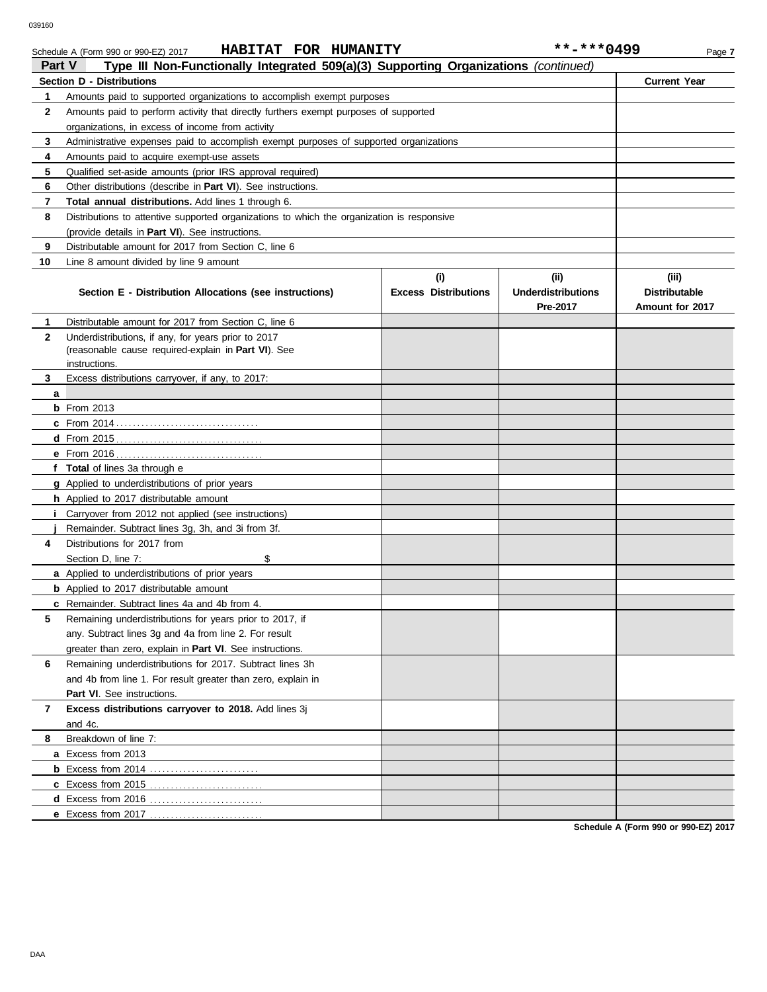Schedule A (Form 990 or 990-EZ) 2017 Page **7 HABITAT FOR HUMANITY \*\*-\*\*\*0499**

| Part V<br>Type III Non-Functionally Integrated 509(a)(3) Supporting Organizations (continued) |                                                                                            |                             |                           |                      |  |  |  |
|-----------------------------------------------------------------------------------------------|--------------------------------------------------------------------------------------------|-----------------------------|---------------------------|----------------------|--|--|--|
|                                                                                               | <b>Section D - Distributions</b>                                                           |                             |                           | <b>Current Year</b>  |  |  |  |
| 1                                                                                             | Amounts paid to supported organizations to accomplish exempt purposes                      |                             |                           |                      |  |  |  |
| $\mathbf{2}$                                                                                  | Amounts paid to perform activity that directly furthers exempt purposes of supported       |                             |                           |                      |  |  |  |
|                                                                                               | organizations, in excess of income from activity                                           |                             |                           |                      |  |  |  |
| 3                                                                                             | Administrative expenses paid to accomplish exempt purposes of supported organizations      |                             |                           |                      |  |  |  |
| 4                                                                                             | Amounts paid to acquire exempt-use assets                                                  |                             |                           |                      |  |  |  |
| 5                                                                                             | Qualified set-aside amounts (prior IRS approval required)                                  |                             |                           |                      |  |  |  |
| 6                                                                                             | Other distributions (describe in Part VI). See instructions.                               |                             |                           |                      |  |  |  |
| 7                                                                                             | Total annual distributions. Add lines 1 through 6.                                         |                             |                           |                      |  |  |  |
| 8                                                                                             | Distributions to attentive supported organizations to which the organization is responsive |                             |                           |                      |  |  |  |
|                                                                                               | (provide details in Part VI). See instructions.                                            |                             |                           |                      |  |  |  |
| 9                                                                                             | Distributable amount for 2017 from Section C, line 6                                       |                             |                           |                      |  |  |  |
| 10                                                                                            | Line 8 amount divided by line 9 amount                                                     |                             |                           |                      |  |  |  |
|                                                                                               |                                                                                            | (i)                         | (ii)                      | (iii)                |  |  |  |
|                                                                                               | Section E - Distribution Allocations (see instructions)                                    | <b>Excess Distributions</b> | <b>Underdistributions</b> | <b>Distributable</b> |  |  |  |
|                                                                                               |                                                                                            |                             | Pre-2017                  | Amount for 2017      |  |  |  |
| 1.                                                                                            | Distributable amount for 2017 from Section C, line 6                                       |                             |                           |                      |  |  |  |
| $\mathbf{2}$                                                                                  | Underdistributions, if any, for years prior to 2017                                        |                             |                           |                      |  |  |  |
|                                                                                               | (reasonable cause required-explain in Part VI). See                                        |                             |                           |                      |  |  |  |
|                                                                                               | instructions.                                                                              |                             |                           |                      |  |  |  |
| 3                                                                                             | Excess distributions carryover, if any, to 2017:                                           |                             |                           |                      |  |  |  |
| a                                                                                             |                                                                                            |                             |                           |                      |  |  |  |
|                                                                                               | $b$ From 2013                                                                              |                             |                           |                      |  |  |  |
|                                                                                               |                                                                                            |                             |                           |                      |  |  |  |
|                                                                                               |                                                                                            |                             |                           |                      |  |  |  |
|                                                                                               |                                                                                            |                             |                           |                      |  |  |  |
|                                                                                               | f Total of lines 3a through e                                                              |                             |                           |                      |  |  |  |
|                                                                                               | g Applied to underdistributions of prior years<br>h Applied to 2017 distributable amount   |                             |                           |                      |  |  |  |
|                                                                                               | <i>i</i> Carryover from 2012 not applied (see instructions)                                |                             |                           |                      |  |  |  |
|                                                                                               | Remainder. Subtract lines 3g, 3h, and 3i from 3f.                                          |                             |                           |                      |  |  |  |
| 4                                                                                             | Distributions for 2017 from                                                                |                             |                           |                      |  |  |  |
|                                                                                               | Section D, line 7:<br>\$                                                                   |                             |                           |                      |  |  |  |
|                                                                                               | a Applied to underdistributions of prior years                                             |                             |                           |                      |  |  |  |
|                                                                                               | <b>b</b> Applied to 2017 distributable amount                                              |                             |                           |                      |  |  |  |
|                                                                                               | <b>c</b> Remainder. Subtract lines 4a and 4b from 4.                                       |                             |                           |                      |  |  |  |
|                                                                                               | Remaining underdistributions for years prior to 2017, if                                   |                             |                           |                      |  |  |  |
|                                                                                               | any. Subtract lines 3g and 4a from line 2. For result                                      |                             |                           |                      |  |  |  |
|                                                                                               | greater than zero, explain in Part VI. See instructions.                                   |                             |                           |                      |  |  |  |
| 6                                                                                             | Remaining underdistributions for 2017. Subtract lines 3h                                   |                             |                           |                      |  |  |  |
|                                                                                               | and 4b from line 1. For result greater than zero, explain in                               |                             |                           |                      |  |  |  |
|                                                                                               | <b>Part VI.</b> See instructions.                                                          |                             |                           |                      |  |  |  |
| 7                                                                                             | Excess distributions carryover to 2018. Add lines 3j                                       |                             |                           |                      |  |  |  |
|                                                                                               | and 4c.                                                                                    |                             |                           |                      |  |  |  |
| 8                                                                                             | Breakdown of line 7:                                                                       |                             |                           |                      |  |  |  |
|                                                                                               | a Excess from 2013                                                                         |                             |                           |                      |  |  |  |
|                                                                                               |                                                                                            |                             |                           |                      |  |  |  |
|                                                                                               |                                                                                            |                             |                           |                      |  |  |  |
|                                                                                               |                                                                                            |                             |                           |                      |  |  |  |
|                                                                                               |                                                                                            |                             |                           |                      |  |  |  |
|                                                                                               |                                                                                            |                             |                           |                      |  |  |  |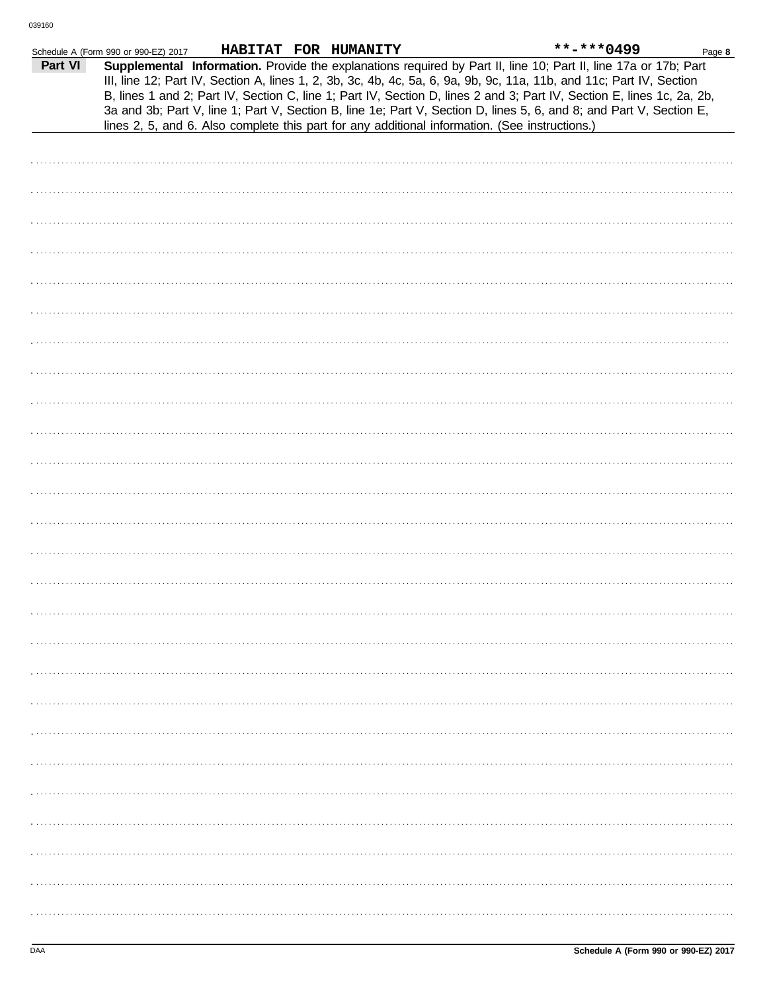|         | Schedule A (Form 990 or 990-EZ) 2017 |  | HABITAT FOR HUMANITY |                                                                                                                                                                                                                                                                                                                                                                                                                                                                                                                                                                                            | **-***0499 | Page 8 |
|---------|--------------------------------------|--|----------------------|--------------------------------------------------------------------------------------------------------------------------------------------------------------------------------------------------------------------------------------------------------------------------------------------------------------------------------------------------------------------------------------------------------------------------------------------------------------------------------------------------------------------------------------------------------------------------------------------|------------|--------|
| Part VI |                                      |  |                      | Supplemental Information. Provide the explanations required by Part II, line 10; Part II, line 17a or 17b; Part<br>III, line 12; Part IV, Section A, lines 1, 2, 3b, 3c, 4b, 4c, 5a, 6, 9a, 9b, 9c, 11a, 11b, and 11c; Part IV, Section<br>B, lines 1 and 2; Part IV, Section C, line 1; Part IV, Section D, lines 2 and 3; Part IV, Section E, lines 1c, 2a, 2b,<br>3a and 3b; Part V, line 1; Part V, Section B, line 1e; Part V, Section D, lines 5, 6, and 8; and Part V, Section E,<br>lines 2, 5, and 6. Also complete this part for any additional information. (See instructions.) |            |        |
|         |                                      |  |                      |                                                                                                                                                                                                                                                                                                                                                                                                                                                                                                                                                                                            |            |        |
|         |                                      |  |                      |                                                                                                                                                                                                                                                                                                                                                                                                                                                                                                                                                                                            |            |        |
|         |                                      |  |                      |                                                                                                                                                                                                                                                                                                                                                                                                                                                                                                                                                                                            |            |        |
|         |                                      |  |                      |                                                                                                                                                                                                                                                                                                                                                                                                                                                                                                                                                                                            |            |        |
|         |                                      |  |                      |                                                                                                                                                                                                                                                                                                                                                                                                                                                                                                                                                                                            |            |        |
|         |                                      |  |                      |                                                                                                                                                                                                                                                                                                                                                                                                                                                                                                                                                                                            |            |        |
|         |                                      |  |                      |                                                                                                                                                                                                                                                                                                                                                                                                                                                                                                                                                                                            |            |        |
|         |                                      |  |                      |                                                                                                                                                                                                                                                                                                                                                                                                                                                                                                                                                                                            |            |        |
|         |                                      |  |                      |                                                                                                                                                                                                                                                                                                                                                                                                                                                                                                                                                                                            |            |        |
|         |                                      |  |                      |                                                                                                                                                                                                                                                                                                                                                                                                                                                                                                                                                                                            |            |        |
|         |                                      |  |                      |                                                                                                                                                                                                                                                                                                                                                                                                                                                                                                                                                                                            |            |        |
|         |                                      |  |                      |                                                                                                                                                                                                                                                                                                                                                                                                                                                                                                                                                                                            |            |        |
|         |                                      |  |                      |                                                                                                                                                                                                                                                                                                                                                                                                                                                                                                                                                                                            |            |        |
|         |                                      |  |                      |                                                                                                                                                                                                                                                                                                                                                                                                                                                                                                                                                                                            |            |        |
|         |                                      |  |                      |                                                                                                                                                                                                                                                                                                                                                                                                                                                                                                                                                                                            |            |        |
|         |                                      |  |                      |                                                                                                                                                                                                                                                                                                                                                                                                                                                                                                                                                                                            |            |        |
|         |                                      |  |                      |                                                                                                                                                                                                                                                                                                                                                                                                                                                                                                                                                                                            |            |        |
|         |                                      |  |                      |                                                                                                                                                                                                                                                                                                                                                                                                                                                                                                                                                                                            |            |        |
|         |                                      |  |                      |                                                                                                                                                                                                                                                                                                                                                                                                                                                                                                                                                                                            |            |        |
|         |                                      |  |                      |                                                                                                                                                                                                                                                                                                                                                                                                                                                                                                                                                                                            |            |        |
|         |                                      |  |                      |                                                                                                                                                                                                                                                                                                                                                                                                                                                                                                                                                                                            |            |        |
|         |                                      |  |                      |                                                                                                                                                                                                                                                                                                                                                                                                                                                                                                                                                                                            |            |        |
|         |                                      |  |                      |                                                                                                                                                                                                                                                                                                                                                                                                                                                                                                                                                                                            |            |        |
|         |                                      |  |                      |                                                                                                                                                                                                                                                                                                                                                                                                                                                                                                                                                                                            |            |        |
|         |                                      |  |                      |                                                                                                                                                                                                                                                                                                                                                                                                                                                                                                                                                                                            |            |        |
|         |                                      |  |                      |                                                                                                                                                                                                                                                                                                                                                                                                                                                                                                                                                                                            |            |        |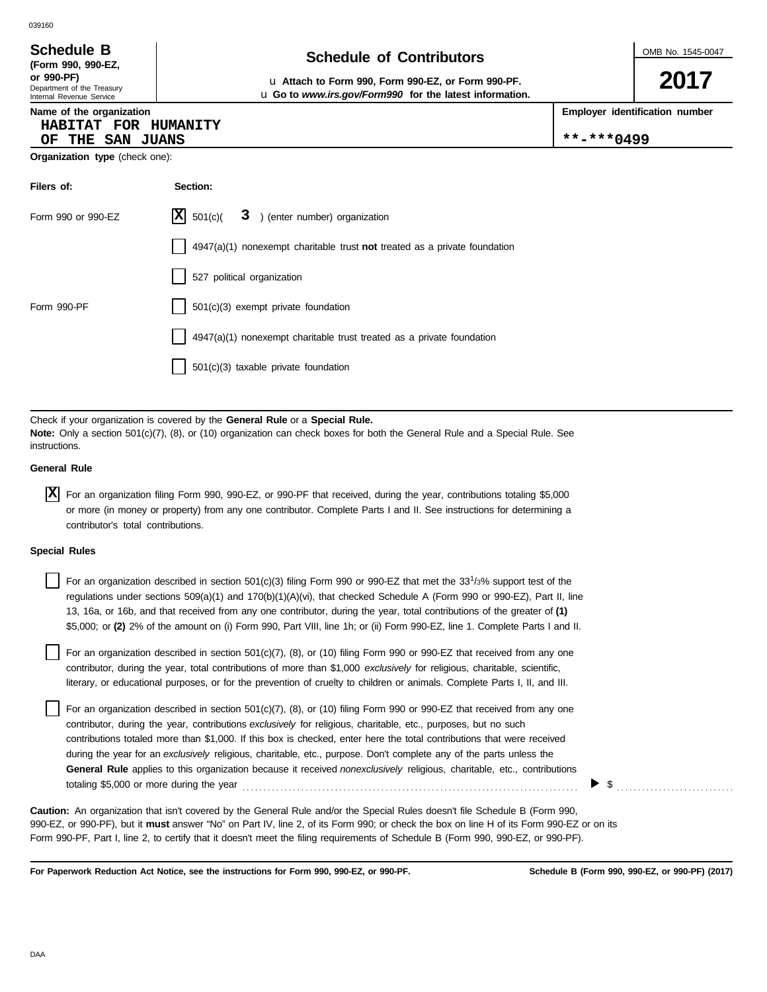DAA

Department of the Treasury Internal Revenue Service

## **Schedule of Contributors Schedule B**

**or 990-PF)** u **Attach to Form 990, Form 990-EZ, or Form 990-PF.** u **Go to** *www.irs.gov/Form990* **for the latest information.** OMB No. 1545-0047

# **2017**

**Employer identification number**

**OF THE SAN JUANS \*\*-\*\*\*0499**

|  |  | HABITAT FOR HUMANITY |
|--|--|----------------------|
|  |  | OF THE SAN JUANS     |

**Name of the organization**

**(Form 990, 990-EZ,**

**Organization type** (check one):

| Filers of:         | Section:                                                                    |
|--------------------|-----------------------------------------------------------------------------|
| Form 990 or 990-EZ | $ \mathbf{X} $ 501(c)( 3 ) (enter number) organization                      |
|                    | $4947(a)(1)$ nonexempt charitable trust not treated as a private foundation |
|                    | 527 political organization                                                  |
| Form 990-PF        | 501(c)(3) exempt private foundation                                         |
|                    | 4947(a)(1) nonexempt charitable trust treated as a private foundation       |
|                    | 501(c)(3) taxable private foundation                                        |

Check if your organization is covered by the **General Rule** or a **Special Rule. Note:** Only a section 501(c)(7), (8), or (10) organization can check boxes for both the General Rule and a Special Rule. See instructions.

### **General Rule**

For an organization filing Form 990, 990-EZ, or 990-PF that received, during the year, contributions totaling \$5,000 **X** or more (in money or property) from any one contributor. Complete Parts I and II. See instructions for determining a contributor's total contributions.

### **Special Rules**

| For an organization described in section 501(c)(3) filing Form 990 or 990-EZ that met the 33 <sup>1</sup> /3% support test of the |
|-----------------------------------------------------------------------------------------------------------------------------------|
| regulations under sections 509(a)(1) and 170(b)(1)(A)(vi), that checked Schedule A (Form 990 or 990-EZ), Part II, line            |
| 13, 16a, or 16b, and that received from any one contributor, during the year, total contributions of the greater of (1)           |
| \$5,000; or (2) 2% of the amount on (i) Form 990, Part VIII, line 1h; or (ii) Form 990-EZ, line 1. Complete Parts I and II.       |

literary, or educational purposes, or for the prevention of cruelty to children or animals. Complete Parts I, II, and III. For an organization described in section 501(c)(7), (8), or (10) filing Form 990 or 990-EZ that received from any one contributor, during the year, total contributions of more than \$1,000 *exclusively* for religious, charitable, scientific,

For an organization described in section 501(c)(7), (8), or (10) filing Form 990 or 990-EZ that received from any one contributor, during the year, contributions *exclusively* for religious, charitable, etc., purposes, but no such contributions totaled more than \$1,000. If this box is checked, enter here the total contributions that were received during the year for an *exclusively* religious, charitable, etc., purpose. Don't complete any of the parts unless the **General Rule** applies to this organization because it received *nonexclusively* religious, charitable, etc., contributions totaling \$5,000 or more during the year . . . . . . . . . . . . . . . . . . . . . . . . . . . . . . . . . . . . . . . . . . . . . . . . . . . . . . . . . . . . . . . . . . . . . . . . . . . . . . . .

990-EZ, or 990-PF), but it **must** answer "No" on Part IV, line 2, of its Form 990; or check the box on line H of its Form 990-EZ or on its Form 990-PF, Part I, line 2, to certify that it doesn't meet the filing requirements of Schedule B (Form 990, 990-EZ, or 990-PF). **Caution:** An organization that isn't covered by the General Rule and/or the Special Rules doesn't file Schedule B (Form 990,

**For Paperwork Reduction Act Notice, see the instructions for Form 990, 990-EZ, or 990-PF.**

\$ . . . . . . . . . . . . . . . . . . . . . . . . . . . .

039160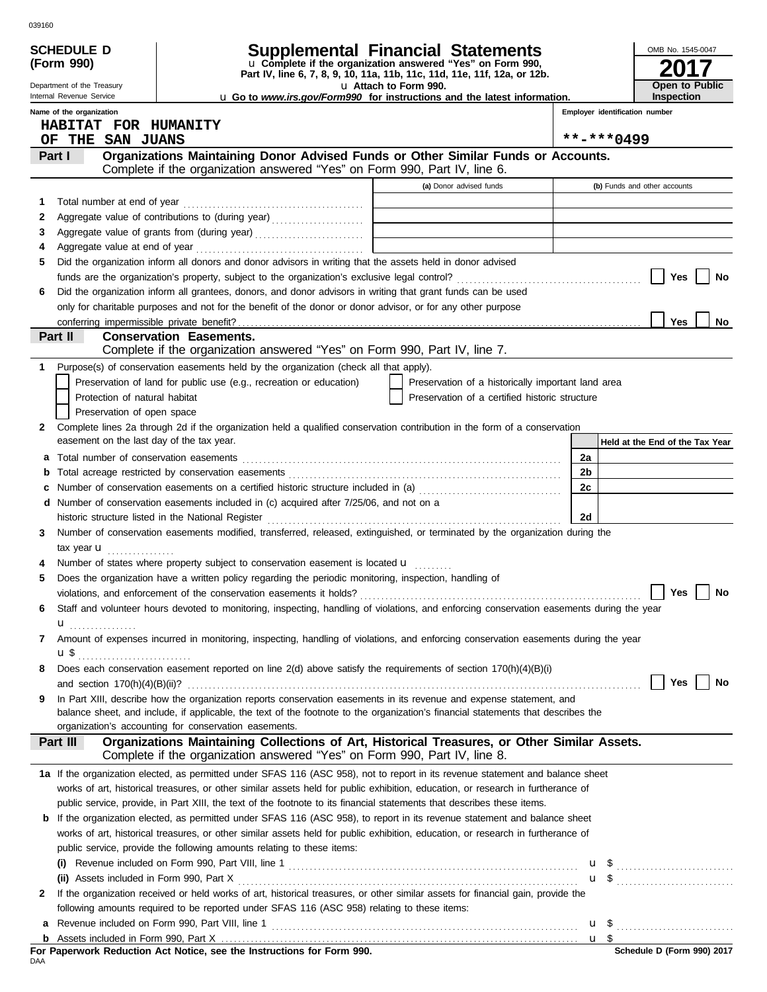|    | <b>SCHEDULE D</b>                                                                                                                                    |                                | <b>Supplemental Financial Statements</b>                                                                                                                                                                                     |                       |                                                                            |          |            |                                | OMB No. 1545-0047               |
|----|------------------------------------------------------------------------------------------------------------------------------------------------------|--------------------------------|------------------------------------------------------------------------------------------------------------------------------------------------------------------------------------------------------------------------------|-----------------------|----------------------------------------------------------------------------|----------|------------|--------------------------------|---------------------------------|
|    | u Complete if the organization answered "Yes" on Form 990,<br>(Form 990)<br>Part IV, line 6, 7, 8, 9, 10, 11a, 11b, 11c, 11d, 11e, 11f, 12a, or 12b. |                                |                                                                                                                                                                                                                              |                       |                                                                            |          |            |                                |                                 |
|    | Department of the Treasury                                                                                                                           |                                |                                                                                                                                                                                                                              | u Attach to Form 990. |                                                                            |          |            |                                | Open to Public                  |
|    | Internal Revenue Service                                                                                                                             |                                | <b>u</b> Go to www.irs.gov/Form990 for instructions and the latest information.                                                                                                                                              |                       |                                                                            |          |            | <b>Inspection</b>              |                                 |
|    | Name of the organization                                                                                                                             |                                |                                                                                                                                                                                                                              |                       |                                                                            |          |            | Employer identification number |                                 |
|    | HABITAT FOR HUMANITY<br>OF THE SAN JUANS                                                                                                             |                                |                                                                                                                                                                                                                              |                       |                                                                            |          | **-***0499 |                                |                                 |
|    | Part I                                                                                                                                               |                                | Organizations Maintaining Donor Advised Funds or Other Similar Funds or Accounts.                                                                                                                                            |                       |                                                                            |          |            |                                |                                 |
|    |                                                                                                                                                      |                                | Complete if the organization answered "Yes" on Form 990, Part IV, line 6.                                                                                                                                                    |                       |                                                                            |          |            |                                |                                 |
|    |                                                                                                                                                      |                                |                                                                                                                                                                                                                              |                       | (a) Donor advised funds                                                    |          |            | (b) Funds and other accounts   |                                 |
| 1  | Total number at end of year                                                                                                                          |                                |                                                                                                                                                                                                                              |                       |                                                                            |          |            |                                |                                 |
| 2  |                                                                                                                                                      |                                | Aggregate value of contributions to (during year)                                                                                                                                                                            |                       | the control of the control of the control of the control of the control of |          |            |                                |                                 |
| 3  |                                                                                                                                                      |                                |                                                                                                                                                                                                                              |                       |                                                                            |          |            |                                |                                 |
| 4  |                                                                                                                                                      |                                |                                                                                                                                                                                                                              |                       |                                                                            |          |            |                                |                                 |
| 5  |                                                                                                                                                      |                                | Did the organization inform all donors and donor advisors in writing that the assets held in donor advised                                                                                                                   |                       |                                                                            |          |            |                                |                                 |
|    |                                                                                                                                                      |                                |                                                                                                                                                                                                                              |                       |                                                                            |          |            | Yes                            | No                              |
| 6  |                                                                                                                                                      |                                | Did the organization inform all grantees, donors, and donor advisors in writing that grant funds can be used<br>only for charitable purposes and not for the benefit of the donor or donor advisor, or for any other purpose |                       |                                                                            |          |            |                                |                                 |
|    |                                                                                                                                                      |                                |                                                                                                                                                                                                                              |                       |                                                                            |          |            | Yes                            | No                              |
|    | Part II                                                                                                                                              | <b>Conservation Easements.</b> |                                                                                                                                                                                                                              |                       |                                                                            |          |            |                                |                                 |
|    |                                                                                                                                                      |                                | Complete if the organization answered "Yes" on Form 990, Part IV, line 7.                                                                                                                                                    |                       |                                                                            |          |            |                                |                                 |
| 1. |                                                                                                                                                      |                                | Purpose(s) of conservation easements held by the organization (check all that apply).                                                                                                                                        |                       |                                                                            |          |            |                                |                                 |
|    |                                                                                                                                                      |                                | Preservation of land for public use (e.g., recreation or education)                                                                                                                                                          |                       | Preservation of a historically important land area                         |          |            |                                |                                 |
|    | Protection of natural habitat                                                                                                                        |                                |                                                                                                                                                                                                                              |                       | Preservation of a certified historic structure                             |          |            |                                |                                 |
|    | Preservation of open space                                                                                                                           |                                |                                                                                                                                                                                                                              |                       |                                                                            |          |            |                                |                                 |
| 2  | easement on the last day of the tax year.                                                                                                            |                                | Complete lines 2a through 2d if the organization held a qualified conservation contribution in the form of a conservation                                                                                                    |                       |                                                                            |          |            |                                |                                 |
|    |                                                                                                                                                      |                                |                                                                                                                                                                                                                              |                       |                                                                            |          |            |                                | Held at the End of the Tax Year |
| b  |                                                                                                                                                      |                                |                                                                                                                                                                                                                              |                       |                                                                            | 2a<br>2b |            |                                |                                 |
| c  |                                                                                                                                                      |                                |                                                                                                                                                                                                                              |                       |                                                                            | 2c       |            |                                |                                 |
|    |                                                                                                                                                      |                                | d Number of conservation easements included in (c) acquired after 7/25/06, and not on a                                                                                                                                      |                       |                                                                            |          |            |                                |                                 |
|    |                                                                                                                                                      |                                |                                                                                                                                                                                                                              |                       |                                                                            | 2d       |            |                                |                                 |
| 3  |                                                                                                                                                      |                                | Number of conservation easements modified, transferred, released, extinguished, or terminated by the organization during the                                                                                                 |                       |                                                                            |          |            |                                |                                 |
|    | tax year $\mathbf{u}$                                                                                                                                |                                |                                                                                                                                                                                                                              |                       |                                                                            |          |            |                                |                                 |
|    |                                                                                                                                                      |                                | Number of states where property subject to conservation easement is located <b>u</b>                                                                                                                                         |                       |                                                                            |          |            |                                |                                 |
| 5  |                                                                                                                                                      |                                | Does the organization have a written policy regarding the periodic monitoring, inspection, handling of                                                                                                                       |                       |                                                                            |          |            |                                |                                 |
|    |                                                                                                                                                      |                                | violations, and enforcement of the conservation easements it holds?                                                                                                                                                          |                       |                                                                            |          |            |                                | <b>Yes</b><br>No                |
| 6  |                                                                                                                                                      |                                | Staff and volunteer hours devoted to monitoring, inspecting, handling of violations, and enforcing conservation easements during the year                                                                                    |                       |                                                                            |          |            |                                |                                 |
| 7  | ${\bf u}$                                                                                                                                            |                                | Amount of expenses incurred in monitoring, inspecting, handling of violations, and enforcing conservation easements during the year                                                                                          |                       |                                                                            |          |            |                                |                                 |
|    | $\mathbf{u}$ \$                                                                                                                                      |                                |                                                                                                                                                                                                                              |                       |                                                                            |          |            |                                |                                 |
| 8  |                                                                                                                                                      |                                | Does each conservation easement reported on line 2(d) above satisfy the requirements of section 170(h)(4)(B)(i)                                                                                                              |                       |                                                                            |          |            |                                |                                 |
|    |                                                                                                                                                      |                                |                                                                                                                                                                                                                              |                       |                                                                            |          |            |                                | <b>Yes</b><br>No                |
| 9  |                                                                                                                                                      |                                | In Part XIII, describe how the organization reports conservation easements in its revenue and expense statement, and                                                                                                         |                       |                                                                            |          |            |                                |                                 |
|    |                                                                                                                                                      |                                | balance sheet, and include, if applicable, the text of the footnote to the organization's financial statements that describes the                                                                                            |                       |                                                                            |          |            |                                |                                 |
|    | organization's accounting for conservation easements.                                                                                                |                                |                                                                                                                                                                                                                              |                       |                                                                            |          |            |                                |                                 |
|    | Part III                                                                                                                                             |                                | Organizations Maintaining Collections of Art, Historical Treasures, or Other Similar Assets.<br>Complete if the organization answered "Yes" on Form 990, Part IV, line 8.                                                    |                       |                                                                            |          |            |                                |                                 |
|    |                                                                                                                                                      |                                | 1a If the organization elected, as permitted under SFAS 116 (ASC 958), not to report in its revenue statement and balance sheet                                                                                              |                       |                                                                            |          |            |                                |                                 |
|    |                                                                                                                                                      |                                | works of art, historical treasures, or other similar assets held for public exhibition, education, or research in furtherance of                                                                                             |                       |                                                                            |          |            |                                |                                 |
|    |                                                                                                                                                      |                                | public service, provide, in Part XIII, the text of the footnote to its financial statements that describes these items.                                                                                                      |                       |                                                                            |          |            |                                |                                 |
|    |                                                                                                                                                      |                                | <b>b</b> If the organization elected, as permitted under SFAS 116 (ASC 958), to report in its revenue statement and balance sheet                                                                                            |                       |                                                                            |          |            |                                |                                 |
|    |                                                                                                                                                      |                                | works of art, historical treasures, or other similar assets held for public exhibition, education, or research in furtherance of                                                                                             |                       |                                                                            |          |            |                                |                                 |
|    |                                                                                                                                                      |                                | public service, provide the following amounts relating to these items:                                                                                                                                                       |                       |                                                                            |          |            |                                |                                 |
|    |                                                                                                                                                      |                                |                                                                                                                                                                                                                              |                       |                                                                            |          |            |                                |                                 |
| 2  |                                                                                                                                                      |                                | If the organization received or held works of art, historical treasures, or other similar assets for financial gain, provide the                                                                                             |                       |                                                                            |          |            |                                | $\mathbf{u}$ \$ $\ldots$        |
|    |                                                                                                                                                      |                                | following amounts required to be reported under SFAS 116 (ASC 958) relating to these items:                                                                                                                                  |                       |                                                                            |          |            |                                |                                 |
|    |                                                                                                                                                      |                                |                                                                                                                                                                                                                              |                       |                                                                            |          |            |                                |                                 |
|    |                                                                                                                                                      |                                |                                                                                                                                                                                                                              |                       |                                                                            |          |            |                                |                                 |
|    |                                                                                                                                                      |                                | For Panerwork Poduction Act Notice, see the Instructions for Form 000                                                                                                                                                        |                       |                                                                            |          |            |                                |                                 |

| For Paperwork Reduction Act Notice, see the Instructions for Form 990. |  |  |  |
|------------------------------------------------------------------------|--|--|--|
| <b>DAA</b>                                                             |  |  |  |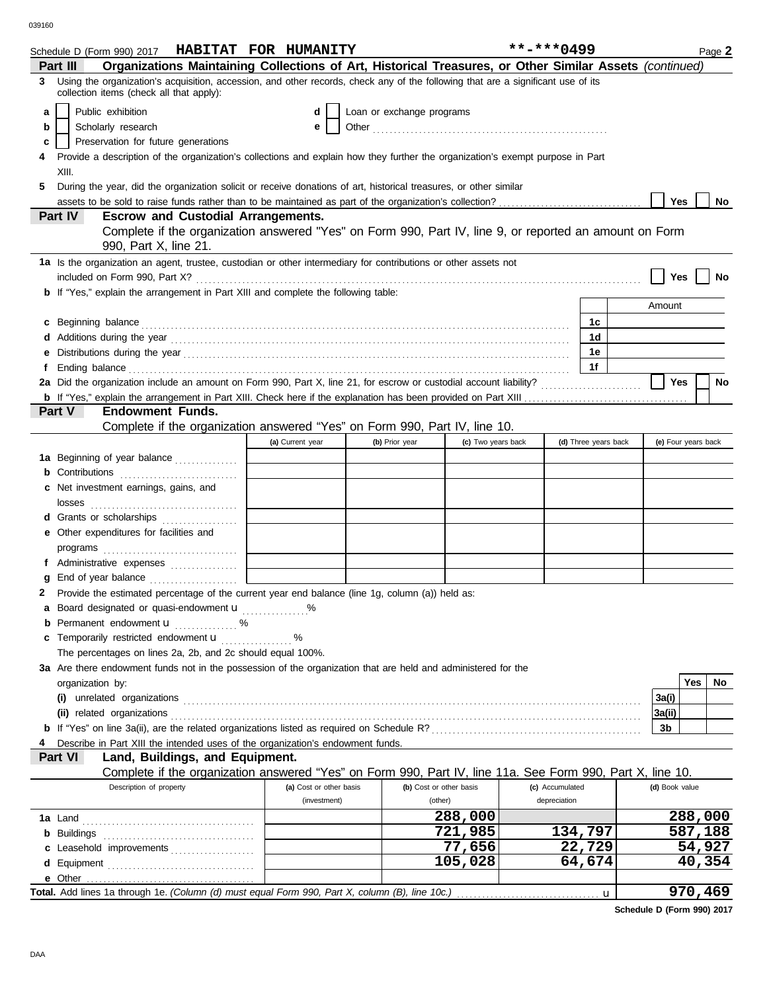039160

|    | Schedule D (Form 990) 2017 HABITAT FOR HUMANITY                                                                                                                              |                                   |                           |                         | **-***0499      |                      |                     |         | Page 2 |
|----|------------------------------------------------------------------------------------------------------------------------------------------------------------------------------|-----------------------------------|---------------------------|-------------------------|-----------------|----------------------|---------------------|---------|--------|
|    | Organizations Maintaining Collections of Art, Historical Treasures, or Other Similar Assets (continued)<br>Part III                                                          |                                   |                           |                         |                 |                      |                     |         |        |
| 3  | Using the organization's acquisition, accession, and other records, check any of the following that are a significant use of its<br>collection items (check all that apply): |                                   |                           |                         |                 |                      |                     |         |        |
| a  | Public exhibition                                                                                                                                                            | d                                 | Loan or exchange programs |                         |                 |                      |                     |         |        |
| b  | Scholarly research                                                                                                                                                           | е                                 |                           |                         |                 |                      |                     |         |        |
| c  | Preservation for future generations                                                                                                                                          |                                   |                           |                         |                 |                      |                     |         |        |
| 4  | Provide a description of the organization's collections and explain how they further the organization's exempt purpose in Part                                               |                                   |                           |                         |                 |                      |                     |         |        |
|    | XIII.                                                                                                                                                                        |                                   |                           |                         |                 |                      |                     |         |        |
| 5. | During the year, did the organization solicit or receive donations of art, historical treasures, or other similar                                                            |                                   |                           |                         |                 |                      |                     |         |        |
|    |                                                                                                                                                                              |                                   |                           |                         |                 |                      | Yes                 |         | No     |
|    | Part IV<br><b>Escrow and Custodial Arrangements.</b>                                                                                                                         |                                   |                           |                         |                 |                      |                     |         |        |
|    | Complete if the organization answered "Yes" on Form 990, Part IV, line 9, or reported an amount on Form<br>990, Part X, line 21.                                             |                                   |                           |                         |                 |                      |                     |         |        |
|    | 1a Is the organization an agent, trustee, custodian or other intermediary for contributions or other assets not                                                              |                                   |                           |                         |                 |                      |                     |         |        |
|    |                                                                                                                                                                              |                                   |                           |                         |                 |                      | Yes                 |         | No     |
|    | <b>b</b> If "Yes," explain the arrangement in Part XIII and complete the following table:                                                                                    |                                   |                           |                         |                 |                      | Amount              |         |        |
|    |                                                                                                                                                                              |                                   |                           |                         |                 | 1c                   |                     |         |        |
|    | c Beginning balance                                                                                                                                                          |                                   |                           |                         |                 | 1d                   |                     |         |        |
|    |                                                                                                                                                                              |                                   |                           |                         |                 | 1е                   |                     |         |        |
| f  |                                                                                                                                                                              |                                   |                           |                         |                 | 1f                   |                     |         |        |
|    | 2a Did the organization include an amount on Form 990, Part X, line 21, for escrow or custodial account liability?                                                           |                                   |                           |                         |                 |                      | <b>Yes</b>          |         | No     |
|    |                                                                                                                                                                              |                                   |                           |                         |                 |                      |                     |         |        |
|    | Part V<br><b>Endowment Funds.</b>                                                                                                                                            |                                   |                           |                         |                 |                      |                     |         |        |
|    | Complete if the organization answered "Yes" on Form 990, Part IV, line 10.                                                                                                   |                                   |                           |                         |                 |                      |                     |         |        |
|    |                                                                                                                                                                              | (a) Current year                  | (b) Prior year            | (c) Two years back      |                 | (d) Three years back | (e) Four years back |         |        |
|    | 1a Beginning of year balance                                                                                                                                                 |                                   |                           |                         |                 |                      |                     |         |        |
|    | <b>b</b> Contributions <b>contributions</b>                                                                                                                                  |                                   |                           |                         |                 |                      |                     |         |        |
|    | c Net investment earnings, gains, and                                                                                                                                        |                                   |                           |                         |                 |                      |                     |         |        |
|    | losses                                                                                                                                                                       |                                   |                           |                         |                 |                      |                     |         |        |
|    | d Grants or scholarships<br><b>e</b> Other expenditures for facilities and                                                                                                   |                                   |                           |                         |                 |                      |                     |         |        |
|    |                                                                                                                                                                              |                                   |                           |                         |                 |                      |                     |         |        |
|    | f Administrative expenses                                                                                                                                                    | <u>and the state of the state</u> |                           |                         |                 |                      |                     |         |        |
|    |                                                                                                                                                                              |                                   |                           |                         |                 |                      |                     |         |        |
|    | 2 Provide the estimated percentage of the current year end balance (line 1g, column (a)) held as:                                                                            |                                   |                           |                         |                 |                      |                     |         |        |
|    | a Board designated or quasi-endowment <b>u</b> %                                                                                                                             |                                   |                           |                         |                 |                      |                     |         |        |
| b  | Permanent endowment <b>u</b> %                                                                                                                                               |                                   |                           |                         |                 |                      |                     |         |        |
|    | c Temporarily restricted endowment <b>u</b> %                                                                                                                                |                                   |                           |                         |                 |                      |                     |         |        |
|    | The percentages on lines 2a, 2b, and 2c should equal 100%.                                                                                                                   |                                   |                           |                         |                 |                      |                     |         |        |
|    | 3a Are there endowment funds not in the possession of the organization that are held and administered for the                                                                |                                   |                           |                         |                 |                      |                     |         |        |
|    | organization by:                                                                                                                                                             |                                   |                           |                         |                 |                      |                     | Yes     | No     |
|    | (i) unrelated organizations<br>(ii) related organizations                                                                                                                    |                                   |                           |                         |                 |                      | 3a(i)<br>3a(ii)     |         |        |
|    |                                                                                                                                                                              |                                   |                           |                         |                 |                      | 3b                  |         |        |
|    | Describe in Part XIII the intended uses of the organization's endowment funds.                                                                                               |                                   |                           |                         |                 |                      |                     |         |        |
|    | Part VI<br>Land, Buildings, and Equipment.                                                                                                                                   |                                   |                           |                         |                 |                      |                     |         |        |
|    | Complete if the organization answered "Yes" on Form 990, Part IV, line 11a. See Form 990, Part X, line 10.                                                                   |                                   |                           |                         |                 |                      |                     |         |        |
|    | Description of property                                                                                                                                                      | (a) Cost or other basis           |                           | (b) Cost or other basis | (c) Accumulated |                      | (d) Book value      |         |        |
|    |                                                                                                                                                                              | (investment)                      |                           | (other)                 | depreciation    |                      |                     |         |        |
|    | 1a Land                                                                                                                                                                      |                                   |                           | 288,000                 |                 |                      |                     | 288,000 |        |
|    |                                                                                                                                                                              |                                   |                           | $\overline{721}$ , 985  |                 | 134,797              |                     | 587,188 |        |
|    | c Leasehold improvements                                                                                                                                                     |                                   |                           | 77,656                  |                 | 22,729               |                     | 54,927  |        |
|    |                                                                                                                                                                              |                                   |                           | 105,028                 |                 | 64,674               |                     | 40,354  |        |
|    |                                                                                                                                                                              |                                   |                           |                         |                 |                      |                     | 970,469 |        |
|    |                                                                                                                                                                              |                                   |                           |                         |                 |                      |                     |         |        |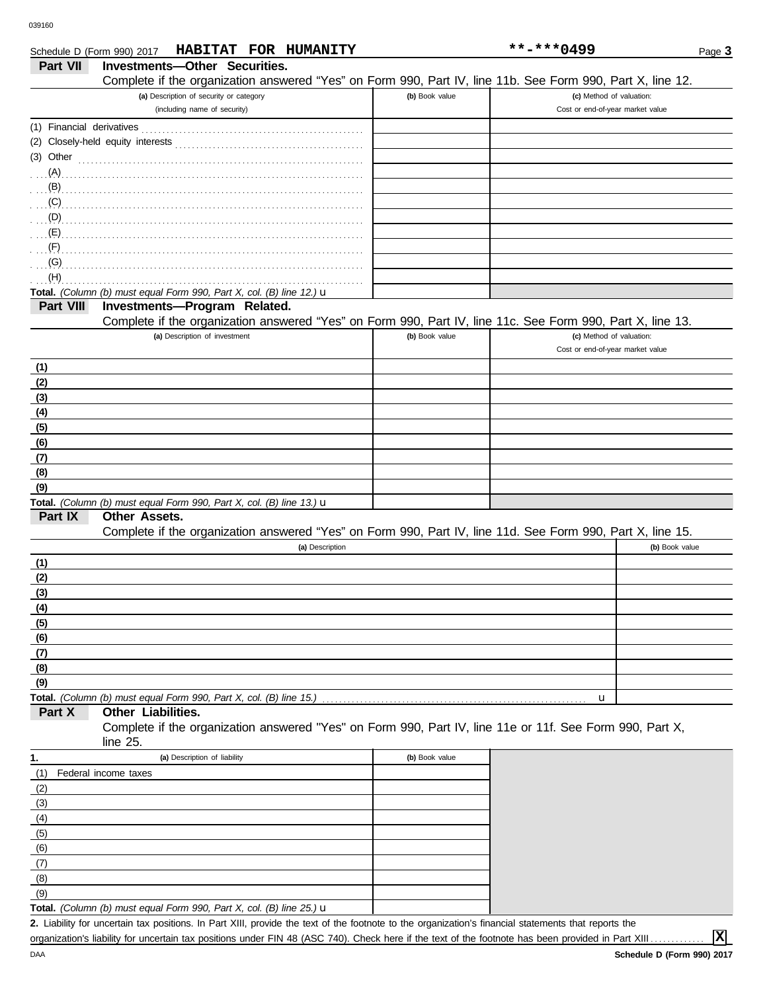| Schedule D (Form 990) 2017 | HABITAT FOR HUMANITY                                                                                                                                                                                                                |                | **-***0499                       | Page 3         |
|----------------------------|-------------------------------------------------------------------------------------------------------------------------------------------------------------------------------------------------------------------------------------|----------------|----------------------------------|----------------|
| <b>Part VII</b>            | Investments-Other Securities.                                                                                                                                                                                                       |                |                                  |                |
|                            | Complete if the organization answered "Yes" on Form 990, Part IV, line 11b. See Form 990, Part X, line 12.                                                                                                                          |                |                                  |                |
|                            | (a) Description of security or category                                                                                                                                                                                             | (b) Book value | (c) Method of valuation:         |                |
|                            | (including name of security)                                                                                                                                                                                                        |                | Cost or end-of-year market value |                |
| (1) Financial derivatives  |                                                                                                                                                                                                                                     |                |                                  |                |
|                            |                                                                                                                                                                                                                                     |                |                                  |                |
|                            | $(3)$ Other                                                                                                                                                                                                                         |                |                                  |                |
|                            |                                                                                                                                                                                                                                     |                |                                  |                |
|                            | $\mathcal{B}$                                                                                                                                                                                                                       |                |                                  |                |
|                            | (C)                                                                                                                                                                                                                                 |                |                                  |                |
|                            | (D)                                                                                                                                                                                                                                 |                |                                  |                |
|                            | $\overline{E}$ (E) and the contract of the contract of the contract of the contract of the contract of the contract of the contract of the contract of the contract of the contract of the contract of the contract of the contract |                |                                  |                |
|                            |                                                                                                                                                                                                                                     |                |                                  |                |
| (G)                        |                                                                                                                                                                                                                                     |                |                                  |                |
| (H)                        |                                                                                                                                                                                                                                     |                |                                  |                |
|                            | Total. (Column (b) must equal Form 990, Part X, col. (B) line 12.) u                                                                                                                                                                |                |                                  |                |
| Part VIII                  | Investments-Program Related.                                                                                                                                                                                                        |                |                                  |                |
|                            | Complete if the organization answered "Yes" on Form 990, Part IV, line 11c. See Form 990, Part X, line 13.                                                                                                                          |                |                                  |                |
|                            | (a) Description of investment                                                                                                                                                                                                       | (b) Book value | (c) Method of valuation:         |                |
|                            |                                                                                                                                                                                                                                     |                | Cost or end-of-year market value |                |
| (1)                        |                                                                                                                                                                                                                                     |                |                                  |                |
| (2)                        |                                                                                                                                                                                                                                     |                |                                  |                |
| (3)                        |                                                                                                                                                                                                                                     |                |                                  |                |
| (4)                        |                                                                                                                                                                                                                                     |                |                                  |                |
| (5)                        |                                                                                                                                                                                                                                     |                |                                  |                |
| (6)                        |                                                                                                                                                                                                                                     |                |                                  |                |
| (7)                        |                                                                                                                                                                                                                                     |                |                                  |                |
| (8)                        |                                                                                                                                                                                                                                     |                |                                  |                |
| (9)                        |                                                                                                                                                                                                                                     |                |                                  |                |
|                            | Total. (Column (b) must equal Form 990, Part X, col. (B) line 13.) u                                                                                                                                                                |                |                                  |                |
| Part IX                    | Other Assets.                                                                                                                                                                                                                       |                |                                  |                |
|                            | Complete if the organization answered "Yes" on Form 990, Part IV, line 11d. See Form 990, Part X, line 15.                                                                                                                          |                |                                  |                |
|                            | (a) Description                                                                                                                                                                                                                     |                |                                  | (b) Book value |
| (1)                        |                                                                                                                                                                                                                                     |                |                                  |                |
| (2)                        |                                                                                                                                                                                                                                     |                |                                  |                |
| (3)                        |                                                                                                                                                                                                                                     |                |                                  |                |
| (4)                        |                                                                                                                                                                                                                                     |                |                                  |                |
| (5)                        |                                                                                                                                                                                                                                     |                |                                  |                |
| (6)                        |                                                                                                                                                                                                                                     |                |                                  |                |
| (7)                        |                                                                                                                                                                                                                                     |                |                                  |                |
| (8)                        |                                                                                                                                                                                                                                     |                |                                  |                |
| (9)                        |                                                                                                                                                                                                                                     |                |                                  |                |
|                            | Total. (Column (b) must equal Form 990, Part X, col. (B) line 15.)                                                                                                                                                                  |                | u                                |                |
| Part X                     | Other Liabilities.                                                                                                                                                                                                                  |                |                                  |                |
|                            | Complete if the organization answered "Yes" on Form 990, Part IV, line 11e or 11f. See Form 990, Part X,                                                                                                                            |                |                                  |                |
|                            | line $25$ .                                                                                                                                                                                                                         |                |                                  |                |
| 1.                         | (a) Description of liability                                                                                                                                                                                                        | (b) Book value |                                  |                |
| (1)                        | Federal income taxes                                                                                                                                                                                                                |                |                                  |                |
| (2)                        |                                                                                                                                                                                                                                     |                |                                  |                |
|                            |                                                                                                                                                                                                                                     |                |                                  |                |
| (3)                        |                                                                                                                                                                                                                                     |                |                                  |                |
| (4)                        |                                                                                                                                                                                                                                     |                |                                  |                |
| (5)                        |                                                                                                                                                                                                                                     |                |                                  |                |
| (6)<br>(7)                 |                                                                                                                                                                                                                                     |                |                                  |                |
|                            |                                                                                                                                                                                                                                     |                |                                  |                |

Liability for uncertain tax positions. In Part XIII, provide the text of the footnote to the organization's financial statements that reports the **2.** organization's liability for uncertain tax positions under FIN 48 (ASC 740). Check here if the text of the footnote has been provided in Part XIII.

**X**

 $(8)$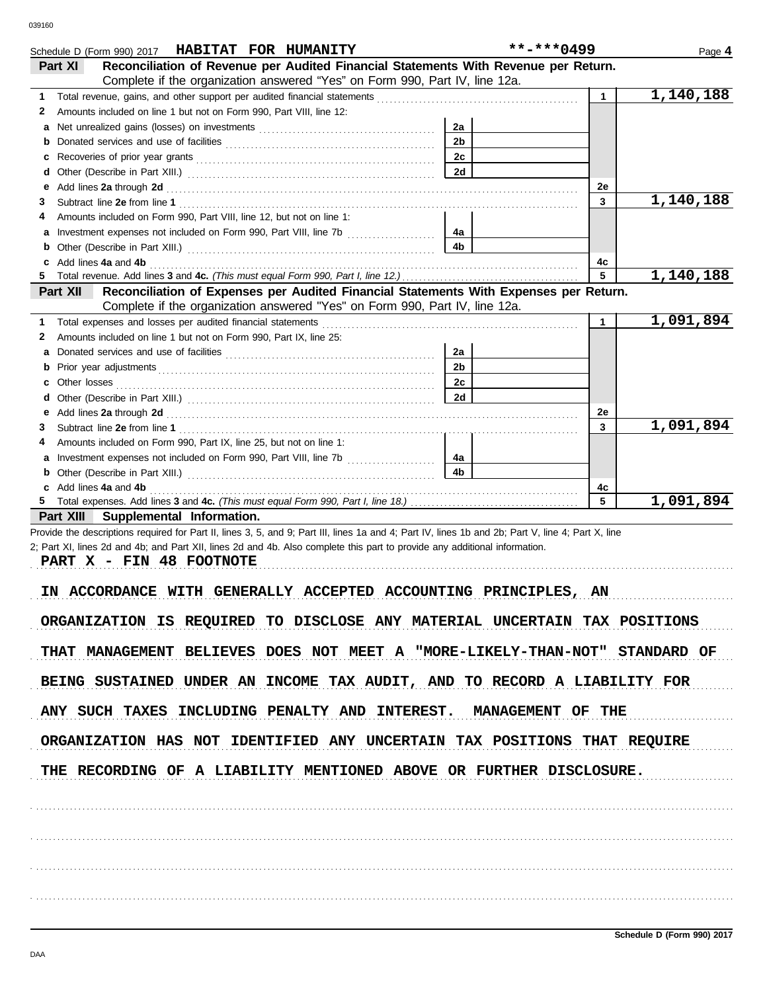| Schedule D (Form 990) 2017 HABITAT FOR HUMANITY                                                                                                                                                                                          |                | $***$ -***0499 | Page 4    |
|------------------------------------------------------------------------------------------------------------------------------------------------------------------------------------------------------------------------------------------|----------------|----------------|-----------|
| Reconciliation of Revenue per Audited Financial Statements With Revenue per Return.<br>Part XI                                                                                                                                           |                |                |           |
| Complete if the organization answered "Yes" on Form 990, Part IV, line 12a.                                                                                                                                                              |                |                |           |
|                                                                                                                                                                                                                                          |                | $\mathbf{1}$   | 1,140,188 |
| Amounts included on line 1 but not on Form 990, Part VIII, line 12:<br>2                                                                                                                                                                 |                |                |           |
| a                                                                                                                                                                                                                                        | 2a             |                |           |
| <b>b</b> Donated services and use of facilities <b>constants</b> and the service of the service of the service of the service of the service of the service of the service of the service of the service of the service of the service o | 2 <sub>b</sub> |                |           |
| c                                                                                                                                                                                                                                        | 2c             |                |           |
| d                                                                                                                                                                                                                                        | 2d             |                |           |
| Add lines 2a through 2d [11] And The Contract of the Contract of the Contract of the Contract of the Contract of the Contract of the Contract of the Contract of the Contract of the Contract of the Contract of the Contract<br>е       |                | 2e             |           |
| 3                                                                                                                                                                                                                                        |                | 3              | 1,140,188 |
| Amounts included on Form 990, Part VIII, line 12, but not on line 1:<br>4                                                                                                                                                                |                |                |           |
|                                                                                                                                                                                                                                          | 4a             |                |           |
| b                                                                                                                                                                                                                                        | 4b             |                |           |
| Add lines 4a and 4b                                                                                                                                                                                                                      |                | 4c<br>5        | 1,140,188 |
| Reconciliation of Expenses per Audited Financial Statements With Expenses per Return.<br>Part XII                                                                                                                                        |                |                |           |
| Complete if the organization answered "Yes" on Form 990, Part IV, line 12a.                                                                                                                                                              |                |                |           |
| 1 Total expenses and losses per audited financial statements [111] [11] Total expenses and losses per audited financial statements [11] Total expenses and losses per audited financial statements [11] Total expenses and the           |                | $\mathbf{1}$   | 1,091,894 |
| Amounts included on line 1 but not on Form 990, Part IX, line 25:<br>2                                                                                                                                                                   |                |                |           |
| a                                                                                                                                                                                                                                        | 2a             |                |           |
|                                                                                                                                                                                                                                          | 2b             |                |           |
| c                                                                                                                                                                                                                                        | 2с             |                |           |
| d                                                                                                                                                                                                                                        | 2d             |                |           |
| Add lines 2a through 2d [11] And The Contract of the Contract of the Contract of the Contract of the Contract of the Contract of the Contract of the Contract of the Contract of the Contract of the Contract of the Contract<br>е       |                | 2e             |           |
| 3.                                                                                                                                                                                                                                       |                | 3              | 1,091,894 |
| Amounts included on Form 990, Part IX, line 25, but not on line 1:<br>4                                                                                                                                                                  |                |                |           |
| a                                                                                                                                                                                                                                        | 4а             |                |           |
| b                                                                                                                                                                                                                                        | 4b             |                |           |
| Add lines 4a and 4b                                                                                                                                                                                                                      |                | 4c             |           |
|                                                                                                                                                                                                                                          |                | 5              | 1,091,894 |
| Part XIII Supplemental Information.                                                                                                                                                                                                      |                |                |           |
| Provide the descriptions required for Part II, lines 3, 5, and 9; Part III, lines 1a and 4; Part IV, lines 1b and 2b; Part V, line 4; Part X, line                                                                                       |                |                |           |
| 2; Part XI, lines 2d and 4b; and Part XII, lines 2d and 4b. Also complete this part to provide any additional information.                                                                                                               |                |                |           |
| PART X - FIN 48 FOOTNOTE                                                                                                                                                                                                                 |                |                |           |
|                                                                                                                                                                                                                                          |                |                |           |
| IN ACCORDANCE WITH GENERALLY ACCEPTED ACCOUNTING PRINCIPLES, AN                                                                                                                                                                          |                |                |           |
| ORGANIZATION IS REQUIRED TO DISCLOSE ANY MATERIAL UNCERTAIN TAX POSITIONS                                                                                                                                                                |                |                |           |
|                                                                                                                                                                                                                                          |                |                |           |
| THAT MANAGEMENT BELIEVES DOES NOT MEET A "MORE-LIKELY-THAN-NOT" STANDARD OF                                                                                                                                                              |                |                |           |
|                                                                                                                                                                                                                                          |                |                |           |
| BEING SUSTAINED UNDER AN INCOME TAX AUDIT, AND TO RECORD A LIABILITY FOR                                                                                                                                                                 |                |                |           |
|                                                                                                                                                                                                                                          |                |                |           |
| ANY SUCH TAXES INCLUDING PENALTY AND INTEREST. MANAGEMENT OF THE                                                                                                                                                                         |                |                |           |
|                                                                                                                                                                                                                                          |                |                |           |
| ORGANIZATION HAS NOT IDENTIFIED ANY UNCERTAIN TAX POSITIONS THAT REQUIRE                                                                                                                                                                 |                |                |           |
|                                                                                                                                                                                                                                          |                |                |           |
| THE RECORDING OF A LIABILITY MENTIONED ABOVE OR FURTHER DISCLOSURE.                                                                                                                                                                      |                |                |           |
|                                                                                                                                                                                                                                          |                |                |           |
|                                                                                                                                                                                                                                          |                |                |           |
|                                                                                                                                                                                                                                          |                |                |           |
|                                                                                                                                                                                                                                          |                |                |           |
|                                                                                                                                                                                                                                          |                |                |           |
|                                                                                                                                                                                                                                          |                |                |           |
|                                                                                                                                                                                                                                          |                |                |           |
|                                                                                                                                                                                                                                          |                |                |           |
|                                                                                                                                                                                                                                          |                |                |           |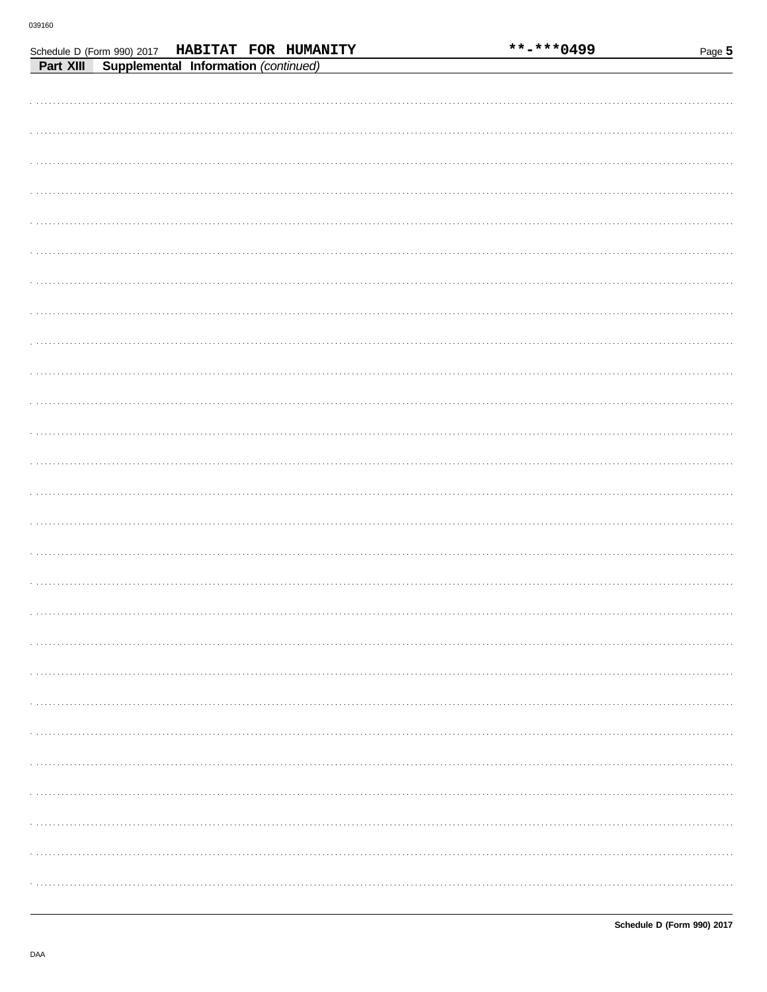|           | Schedule D (Form 990) 2017           |  | HABITAT FOR HUMANITY | **-***0499 | Page 5 |
|-----------|--------------------------------------|--|----------------------|------------|--------|
| Part XIII | Supplemental Information (continued) |  |                      |            |        |
|           |                                      |  |                      |            |        |
|           |                                      |  |                      |            |        |
|           |                                      |  |                      |            |        |
|           |                                      |  |                      |            |        |
|           |                                      |  |                      |            |        |
|           |                                      |  |                      |            |        |
|           |                                      |  |                      |            |        |
|           |                                      |  |                      |            |        |
|           |                                      |  |                      |            |        |
|           |                                      |  |                      |            |        |
|           |                                      |  |                      |            |        |
|           |                                      |  |                      |            |        |
|           |                                      |  |                      |            |        |
|           |                                      |  |                      |            |        |
|           |                                      |  |                      |            |        |
|           |                                      |  |                      |            |        |
|           |                                      |  |                      |            |        |
|           |                                      |  |                      |            |        |
|           |                                      |  |                      |            |        |
|           |                                      |  |                      |            |        |
|           |                                      |  |                      |            |        |
|           |                                      |  |                      |            |        |
|           |                                      |  |                      |            |        |
|           |                                      |  |                      |            |        |
|           |                                      |  |                      |            |        |
|           |                                      |  |                      |            |        |
|           |                                      |  |                      |            |        |
|           |                                      |  |                      |            |        |
|           |                                      |  |                      |            |        |
|           |                                      |  |                      |            |        |
|           |                                      |  |                      |            |        |
|           |                                      |  |                      |            |        |
|           |                                      |  |                      |            |        |
|           |                                      |  |                      |            |        |
|           |                                      |  |                      |            |        |
|           |                                      |  |                      |            |        |
|           |                                      |  |                      |            |        |
|           |                                      |  |                      |            |        |
|           |                                      |  |                      |            |        |
|           |                                      |  |                      |            |        |
|           |                                      |  |                      |            |        |
|           |                                      |  |                      |            |        |
|           |                                      |  |                      |            |        |
|           |                                      |  |                      |            |        |
|           |                                      |  |                      |            |        |
|           |                                      |  |                      |            |        |
|           |                                      |  |                      |            |        |
|           |                                      |  |                      |            |        |
|           |                                      |  |                      |            |        |
|           |                                      |  |                      |            |        |
|           |                                      |  |                      |            |        |
|           |                                      |  |                      |            |        |
|           |                                      |  |                      |            |        |
|           |                                      |  |                      |            |        |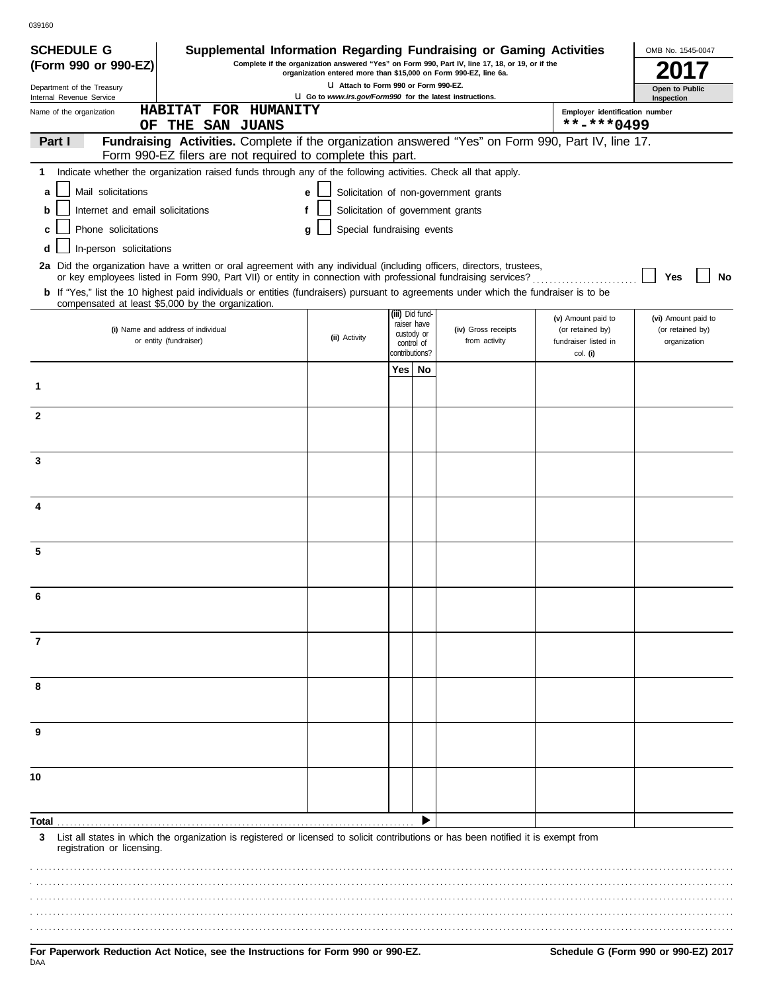| × |  |
|---|--|

| <b>UUU LUU</b><br><b>SCHEDULE G</b>                                                                                                                                                                                                                                                                                 |                                    |                                                            |   |                                      |     |                              | Supplemental Information Regarding Fundraising or Gaming Activities                                                                                                 |                                              | OMB No. 1545-0047   |
|---------------------------------------------------------------------------------------------------------------------------------------------------------------------------------------------------------------------------------------------------------------------------------------------------------------------|------------------------------------|------------------------------------------------------------|---|--------------------------------------|-----|------------------------------|---------------------------------------------------------------------------------------------------------------------------------------------------------------------|----------------------------------------------|---------------------|
| (Form 990 or 990-EZ)                                                                                                                                                                                                                                                                                                |                                    |                                                            |   |                                      |     |                              | Complete if the organization answered "Yes" on Form 990, Part IV, line 17, 18, or 19, or if the<br>organization entered more than \$15,000 on Form 990-EZ, line 6a. |                                              |                     |
| Department of the Treasury<br>Internal Revenue Service                                                                                                                                                                                                                                                              |                                    |                                                            |   | U Attach to Form 990 or Form 990-EZ. |     |                              | LI Go to www.irs.gov/Form990 for the latest instructions.                                                                                                           |                                              | Open to Public      |
| Name of the organization                                                                                                                                                                                                                                                                                            | OF THE SAN JUANS                   | HABITAT FOR HUMANITY                                       |   |                                      |     |                              |                                                                                                                                                                     | Employer identification number<br>**-***0499 | Inspection          |
| Part I                                                                                                                                                                                                                                                                                                              |                                    | Form 990-EZ filers are not required to complete this part. |   |                                      |     |                              | Fundraising Activities. Complete if the organization answered "Yes" on Form 990, Part IV, line 17.                                                                  |                                              |                     |
| Indicate whether the organization raised funds through any of the following activities. Check all that apply.<br>1                                                                                                                                                                                                  |                                    |                                                            |   |                                      |     |                              |                                                                                                                                                                     |                                              |                     |
| Mail solicitations                                                                                                                                                                                                                                                                                                  |                                    |                                                            |   |                                      |     |                              |                                                                                                                                                                     |                                              |                     |
| a                                                                                                                                                                                                                                                                                                                   |                                    |                                                            | e |                                      |     |                              | Solicitation of non-government grants                                                                                                                               |                                              |                     |
| Internet and email solicitations<br>b                                                                                                                                                                                                                                                                               |                                    |                                                            | f |                                      |     |                              | Solicitation of government grants                                                                                                                                   |                                              |                     |
| Phone solicitations<br>C<br>In-person solicitations<br>d                                                                                                                                                                                                                                                            |                                    |                                                            | g | Special fundraising events           |     |                              |                                                                                                                                                                     |                                              |                     |
| 2a Did the organization have a written or oral agreement with any individual (including officers, directors, trustees,                                                                                                                                                                                              |                                    |                                                            |   |                                      |     |                              |                                                                                                                                                                     |                                              |                     |
| or key employees listed in Form 990, Part VII) or entity in connection with professional fundraising services?<br><b>b</b> If "Yes," list the 10 highest paid individuals or entities (fundraisers) pursuant to agreements under which the fundraiser is to be<br>compensated at least \$5,000 by the organization. |                                    |                                                            |   |                                      |     |                              |                                                                                                                                                                     |                                              | Yes<br>No           |
|                                                                                                                                                                                                                                                                                                                     |                                    |                                                            |   |                                      |     | (iii) Did fund-              |                                                                                                                                                                     | (v) Amount paid to                           | (vi) Amount paid to |
|                                                                                                                                                                                                                                                                                                                     | (i) Name and address of individual |                                                            |   | (ii) Activity                        |     | raiser have<br>custody or    | (iv) Gross receipts                                                                                                                                                 | (or retained by)                             | (or retained by)    |
|                                                                                                                                                                                                                                                                                                                     | or entity (fundraiser)             |                                                            |   |                                      |     | control of<br>contributions? | from activity                                                                                                                                                       | fundraiser listed in<br>col. (i)             | organization        |
|                                                                                                                                                                                                                                                                                                                     |                                    |                                                            |   |                                      | Yes | No                           |                                                                                                                                                                     |                                              |                     |
| 1                                                                                                                                                                                                                                                                                                                   |                                    |                                                            |   |                                      |     |                              |                                                                                                                                                                     |                                              |                     |
| $\mathbf{2}$                                                                                                                                                                                                                                                                                                        |                                    |                                                            |   |                                      |     |                              |                                                                                                                                                                     |                                              |                     |
|                                                                                                                                                                                                                                                                                                                     |                                    |                                                            |   |                                      |     |                              |                                                                                                                                                                     |                                              |                     |
| 3                                                                                                                                                                                                                                                                                                                   |                                    |                                                            |   |                                      |     |                              |                                                                                                                                                                     |                                              |                     |
|                                                                                                                                                                                                                                                                                                                     |                                    |                                                            |   |                                      |     |                              |                                                                                                                                                                     |                                              |                     |
| 4                                                                                                                                                                                                                                                                                                                   |                                    |                                                            |   |                                      |     |                              |                                                                                                                                                                     |                                              |                     |
|                                                                                                                                                                                                                                                                                                                     |                                    |                                                            |   |                                      |     |                              |                                                                                                                                                                     |                                              |                     |
| 5                                                                                                                                                                                                                                                                                                                   |                                    |                                                            |   |                                      |     |                              |                                                                                                                                                                     |                                              |                     |
|                                                                                                                                                                                                                                                                                                                     |                                    |                                                            |   |                                      |     |                              |                                                                                                                                                                     |                                              |                     |
| $\overline{7}$                                                                                                                                                                                                                                                                                                      |                                    |                                                            |   |                                      |     |                              |                                                                                                                                                                     |                                              |                     |
|                                                                                                                                                                                                                                                                                                                     |                                    |                                                            |   |                                      |     |                              |                                                                                                                                                                     |                                              |                     |
| 8                                                                                                                                                                                                                                                                                                                   |                                    |                                                            |   |                                      |     |                              |                                                                                                                                                                     |                                              |                     |
| 9                                                                                                                                                                                                                                                                                                                   |                                    |                                                            |   |                                      |     |                              |                                                                                                                                                                     |                                              |                     |
|                                                                                                                                                                                                                                                                                                                     |                                    |                                                            |   |                                      |     |                              |                                                                                                                                                                     |                                              |                     |
| 10                                                                                                                                                                                                                                                                                                                  |                                    |                                                            |   |                                      |     |                              |                                                                                                                                                                     |                                              |                     |
|                                                                                                                                                                                                                                                                                                                     |                                    |                                                            |   |                                      |     |                              |                                                                                                                                                                     |                                              |                     |
| List all states in which the organization is registered or licensed to solicit contributions or has been notified it is exempt from<br>3<br>registration or licensing.                                                                                                                                              |                                    |                                                            |   |                                      |     |                              |                                                                                                                                                                     |                                              |                     |
|                                                                                                                                                                                                                                                                                                                     |                                    |                                                            |   |                                      |     |                              |                                                                                                                                                                     |                                              |                     |
|                                                                                                                                                                                                                                                                                                                     |                                    |                                                            |   |                                      |     |                              |                                                                                                                                                                     |                                              |                     |
|                                                                                                                                                                                                                                                                                                                     |                                    |                                                            |   |                                      |     |                              |                                                                                                                                                                     |                                              |                     |
|                                                                                                                                                                                                                                                                                                                     |                                    |                                                            |   |                                      |     |                              |                                                                                                                                                                     |                                              |                     |
|                                                                                                                                                                                                                                                                                                                     |                                    |                                                            |   |                                      |     |                              |                                                                                                                                                                     |                                              |                     |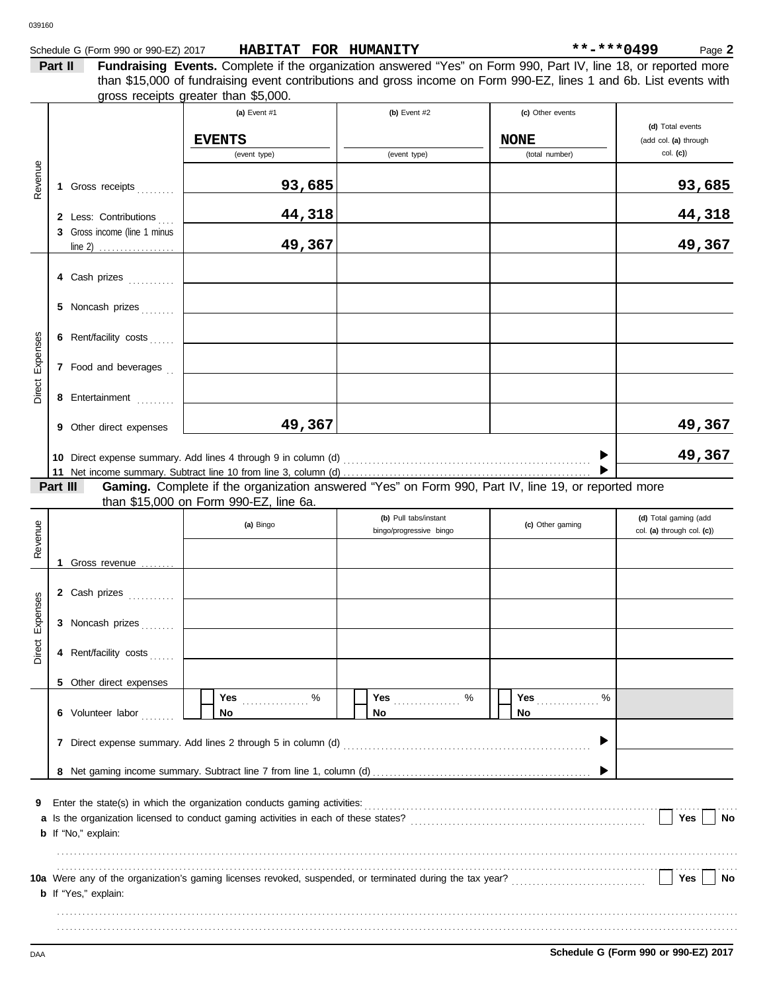| Schedule G (Form 990 or 990-EZ) 2017 | <b>HABITAT</b> | <b>FOR</b> | <b>HUMANITY</b> | **-***0499 | $P$ aqe $\triangle$ |
|--------------------------------------|----------------|------------|-----------------|------------|---------------------|
|                                      |                |            |                 |            |                     |

| Part II | Fundraising Events. Complete if the organization answered "Yes" on Form 990, Part IV, line 18, or reported more    |                                      |                |                  |                                |  |  |  |  |  |  |  |
|---------|--------------------------------------------------------------------------------------------------------------------|--------------------------------------|----------------|------------------|--------------------------------|--|--|--|--|--|--|--|
|         | than \$15,000 of fundraising event contributions and gross income on Form 990-EZ, lines 1 and 6b. List events with |                                      |                |                  |                                |  |  |  |  |  |  |  |
|         |                                                                                                                    | gross receipts greater than \$5,000. |                |                  |                                |  |  |  |  |  |  |  |
|         | (a) Event $#1$                                                                                                     |                                      | (b) Event $#2$ | (c) Other events |                                |  |  |  |  |  |  |  |
|         |                                                                                                                    |                                      |                |                  | <b><i>Id)</i></b> Total events |  |  |  |  |  |  |  |

|                 |          |                                           | <b>EVENTS</b><br>(event type)                                                                             | (event type)            | <b>NONE</b><br>(total number) | (d) Total events<br>(add col. (a) through<br>$col.$ (c)) |
|-----------------|----------|-------------------------------------------|-----------------------------------------------------------------------------------------------------------|-------------------------|-------------------------------|----------------------------------------------------------|
| Revenue         |          | 1 Gross receipts                          | 93,685                                                                                                    |                         |                               | 93,685                                                   |
|                 |          | 2 Less: Contributions                     | 44,318                                                                                                    |                         |                               | 44,318                                                   |
|                 |          | 3 Gross income (line 1 minus<br>$line 2)$ | 49,367                                                                                                    |                         |                               | 49,367                                                   |
|                 |          | 4 Cash prizes                             |                                                                                                           |                         |                               |                                                          |
|                 |          | 5 Noncash prizes                          |                                                                                                           |                         |                               |                                                          |
|                 |          | 6 Rent/facility costs                     |                                                                                                           |                         |                               |                                                          |
| Direct Expenses |          | 7 Food and beverages.                     |                                                                                                           |                         |                               |                                                          |
|                 |          | 8 Entertainment                           |                                                                                                           |                         |                               |                                                          |
|                 |          | 9 Other direct expenses                   | 49,367                                                                                                    |                         |                               | 49,367                                                   |
|                 |          |                                           |                                                                                                           |                         |                               | 49,367                                                   |
|                 | Part III |                                           | Gaming. Complete if the organization answered "Yes" on Form 990, Part IV, line 19, or reported more       |                         |                               |                                                          |
|                 |          |                                           | than \$15,000 on Form 990-EZ, line 6a.                                                                    | (b) Pull tabs/instant   |                               | (d) Total gaming (add                                    |
| Revenue         |          |                                           | (a) Bingo                                                                                                 | bingo/progressive bingo | (c) Other gaming              | col. (a) through col. (c))                               |
|                 |          | 1 Gross revenue                           |                                                                                                           |                         |                               |                                                          |
|                 |          | 2 Cash prizes                             |                                                                                                           |                         |                               |                                                          |
| Expenses        |          | 3 Noncash prizes                          |                                                                                                           |                         |                               |                                                          |
| Direct          |          | 4 Rent/facility costs                     |                                                                                                           |                         |                               |                                                          |
|                 |          | 5 Other direct expenses                   |                                                                                                           |                         |                               |                                                          |
|                 |          | 6 Volunteer labor                         | Yes<br>%<br><b>No</b>                                                                                     | Yes<br>%<br>No          | Yes<br>%<br>No                |                                                          |
|                 |          |                                           |                                                                                                           |                         |                               |                                                          |
|                 |          |                                           |                                                                                                           |                         |                               |                                                          |
| 9               |          | <b>b</b> If "No," explain:                | a Is the organization licensed to conduct gaming activities in each of these states?                      |                         |                               | Yes<br>No                                                |
|                 |          | <b>b</b> If "Yes," explain:               | 10a Were any of the organization's gaming licenses revoked, suspended, or terminated during the tax year? |                         |                               | Yes<br>No                                                |
|                 |          |                                           |                                                                                                           |                         |                               |                                                          |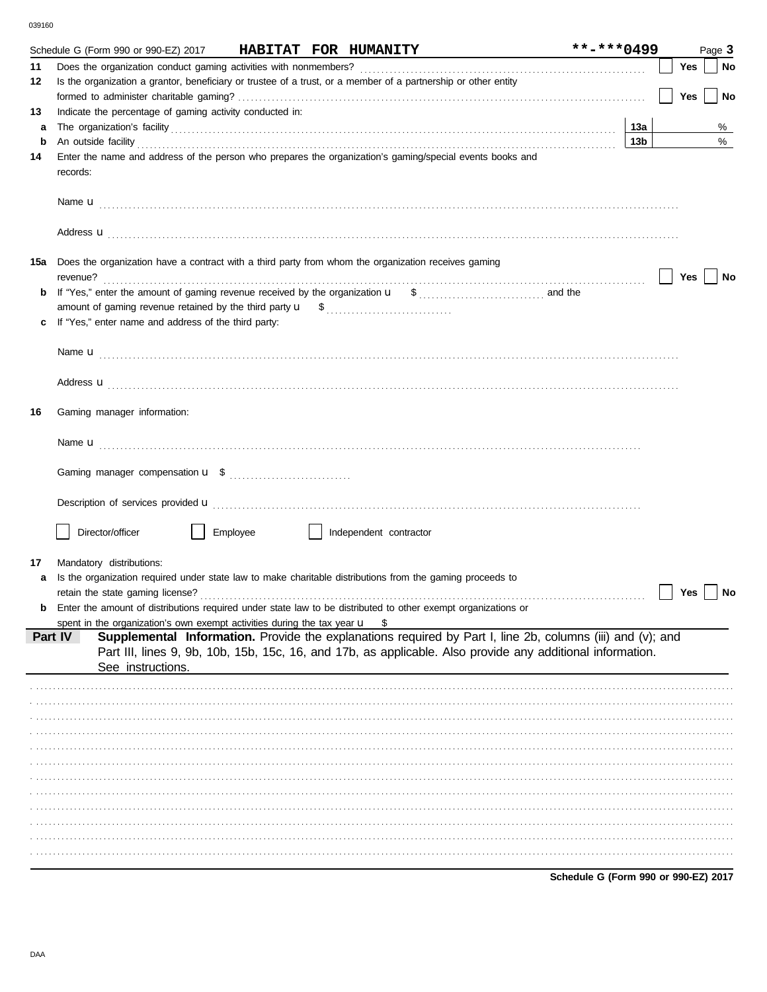039160

|    | Schedule G (Form 990 or 990-EZ) 2017 HABITAT FOR HUMANITY                                                                                                                                                                                                | **-***0499                           |     | Page 3 |
|----|----------------------------------------------------------------------------------------------------------------------------------------------------------------------------------------------------------------------------------------------------------|--------------------------------------|-----|--------|
| 11 |                                                                                                                                                                                                                                                          |                                      | Yes | No     |
| 12 | Is the organization a grantor, beneficiary or trustee of a trust, or a member of a partnership or other entity                                                                                                                                           |                                      |     |        |
|    |                                                                                                                                                                                                                                                          |                                      | Yes | No     |
| 13 | Indicate the percentage of gaming activity conducted in:                                                                                                                                                                                                 |                                      |     |        |
| a  |                                                                                                                                                                                                                                                          | 13a                                  |     | %      |
| b  | An outside facility <b>contract and the contract of a contract a</b> contract a contract of a contract a contract a contract a contract a contract a contract a contract a contract a contract a contract a contract a contract a c                      | 13 <sub>b</sub>                      |     | %      |
| 14 | Enter the name and address of the person who prepares the organization's gaming/special events books and<br>records:                                                                                                                                     |                                      |     |        |
|    |                                                                                                                                                                                                                                                          |                                      |     |        |
|    | Address <b>u</b>                                                                                                                                                                                                                                         |                                      |     |        |
|    | 15a Does the organization have a contract with a third party from whom the organization receives gaming                                                                                                                                                  |                                      | Yes | No     |
| b  |                                                                                                                                                                                                                                                          |                                      |     |        |
|    |                                                                                                                                                                                                                                                          |                                      |     |        |
|    | If "Yes," enter name and address of the third party:                                                                                                                                                                                                     |                                      |     |        |
|    |                                                                                                                                                                                                                                                          |                                      |     |        |
|    | Address <b>u</b>                                                                                                                                                                                                                                         |                                      |     |        |
| 16 | Gaming manager information:                                                                                                                                                                                                                              |                                      |     |        |
|    |                                                                                                                                                                                                                                                          |                                      |     |        |
|    |                                                                                                                                                                                                                                                          |                                      |     |        |
|    | Description of services provided <b>u</b> electron contains a constant of the series of the services are contained as the services of the services of the services of the services of the services of the services of the services                       |                                      |     |        |
|    | Director/officer<br>Employee<br>Independent contractor                                                                                                                                                                                                   |                                      |     |        |
| 17 | Mandatory distributions:                                                                                                                                                                                                                                 |                                      |     |        |
| a  | Is the organization required under state law to make charitable distributions from the gaming proceeds to                                                                                                                                                |                                      |     |        |
|    | retain the state gaming license?                                                                                                                                                                                                                         |                                      | Yes | No     |
|    | <b>b</b> Enter the amount of distributions required under state law to be distributed to other exempt organizations or                                                                                                                                   |                                      |     |        |
|    | spent in the organization's own exempt activities during the tax year u<br>- \$                                                                                                                                                                          |                                      |     |        |
|    | Supplemental Information. Provide the explanations required by Part I, line 2b, columns (iii) and (v); and<br>Part IV<br>Part III, lines 9, 9b, 10b, 15b, 15c, 16, and 17b, as applicable. Also provide any additional information.<br>See instructions. |                                      |     |        |
|    |                                                                                                                                                                                                                                                          |                                      |     |        |
|    |                                                                                                                                                                                                                                                          |                                      |     |        |
|    |                                                                                                                                                                                                                                                          |                                      |     |        |
|    |                                                                                                                                                                                                                                                          |                                      |     |        |
|    |                                                                                                                                                                                                                                                          |                                      |     |        |
|    |                                                                                                                                                                                                                                                          |                                      |     |        |
|    |                                                                                                                                                                                                                                                          |                                      |     |        |
|    |                                                                                                                                                                                                                                                          |                                      |     |        |
|    |                                                                                                                                                                                                                                                          |                                      |     |        |
|    |                                                                                                                                                                                                                                                          |                                      |     |        |
|    |                                                                                                                                                                                                                                                          |                                      |     |        |
|    |                                                                                                                                                                                                                                                          |                                      |     |        |
|    |                                                                                                                                                                                                                                                          | Schodule C (Form 000 or 000-F7) 2017 |     |        |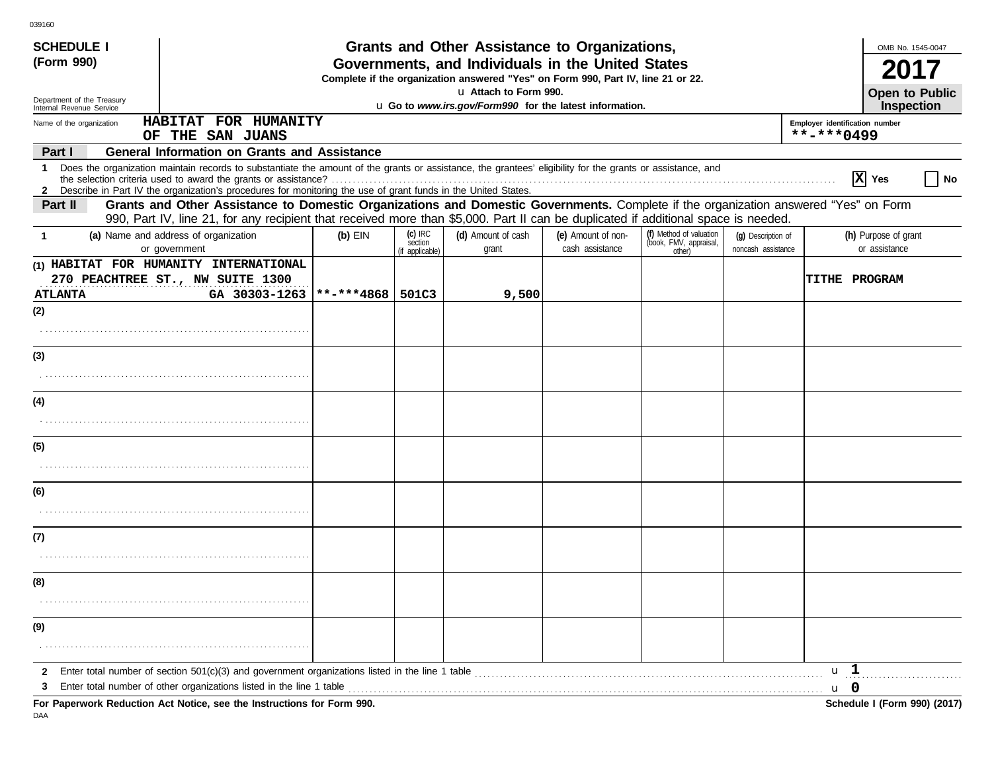| <b>SCHEDULE I</b>                                      |                                                                                                                                                                                                                                                                                                                                                 |               |                   |                                         | Grants and Other Assistance to Organizations,                                    |                                       |                                                             |                                          | OMB No. 1545-0047                     |
|--------------------------------------------------------|-------------------------------------------------------------------------------------------------------------------------------------------------------------------------------------------------------------------------------------------------------------------------------------------------------------------------------------------------|---------------|-------------------|-----------------------------------------|----------------------------------------------------------------------------------|---------------------------------------|-------------------------------------------------------------|------------------------------------------|---------------------------------------|
| (Form 990)                                             |                                                                                                                                                                                                                                                                                                                                                 |               |                   |                                         | Governments, and Individuals in the United States                                |                                       |                                                             |                                          | 2017                                  |
|                                                        |                                                                                                                                                                                                                                                                                                                                                 |               |                   |                                         | Complete if the organization answered "Yes" on Form 990, Part IV, line 21 or 22. |                                       |                                                             |                                          |                                       |
| Department of the Treasury<br>Internal Revenue Service |                                                                                                                                                                                                                                                                                                                                                 |               |                   |                                         | u Attach to Form 990.<br>u Go to www.irs.gov/Form990 for the latest information. |                                       |                                                             |                                          | Open to Public<br>Inspection          |
| Name of the organization                               | HABITAT FOR HUMANITY                                                                                                                                                                                                                                                                                                                            |               |                   |                                         |                                                                                  |                                       |                                                             |                                          | Employer identification number        |
|                                                        | OF THE SAN JUANS                                                                                                                                                                                                                                                                                                                                |               |                   |                                         |                                                                                  |                                       |                                                             |                                          | $***$ -***0499                        |
| Part I                                                 | <b>General Information on Grants and Assistance</b>                                                                                                                                                                                                                                                                                             |               |                   |                                         |                                                                                  |                                       |                                                             |                                          |                                       |
| -1                                                     | Does the organization maintain records to substantiate the amount of the grants or assistance, the grantees' eligibility for the grants or assistance, and<br>the selection criteria used to award the grants or assistance?<br>2 Describe in Part IV the organization's procedures for monitoring the use of grant funds in the United States. |               |                   |                                         |                                                                                  |                                       |                                                             |                                          | $ \mathbf{X} $ Yes<br>  No            |
| Part II                                                | Grants and Other Assistance to Domestic Organizations and Domestic Governments. Complete if the organization answered "Yes" on Form<br>990, Part IV, line 21, for any recipient that received more than \$5,000. Part II can be duplicated if additional space is needed.                                                                       |               |                   |                                         |                                                                                  |                                       |                                                             |                                          |                                       |
| $\mathbf{1}$                                           | (a) Name and address of organization<br>or government                                                                                                                                                                                                                                                                                           |               | $(b)$ EIN         | $(c)$ IRC<br>section<br>(if applicable) | (d) Amount of cash<br>grant                                                      | (e) Amount of non-<br>cash assistance | (f) Method of valuation<br>(book, FMV, appraisal,<br>other) | (q) Description of<br>noncash assistance | (h) Purpose of grant<br>or assistance |
|                                                        | (1) HABITAT FOR HUMANITY INTERNATIONAL                                                                                                                                                                                                                                                                                                          |               |                   |                                         |                                                                                  |                                       |                                                             |                                          |                                       |
| <b>ATLANTA</b>                                         | 270 PEACHTREE ST., NW SUITE 1300                                                                                                                                                                                                                                                                                                                | GA 30303-1263 | $***+*4868$ 501C3 |                                         |                                                                                  |                                       |                                                             |                                          | TITHE PROGRAM                         |
| (2)                                                    |                                                                                                                                                                                                                                                                                                                                                 |               |                   |                                         | 9,500                                                                            |                                       |                                                             |                                          |                                       |
|                                                        |                                                                                                                                                                                                                                                                                                                                                 |               |                   |                                         |                                                                                  |                                       |                                                             |                                          |                                       |
| (3)                                                    |                                                                                                                                                                                                                                                                                                                                                 |               |                   |                                         |                                                                                  |                                       |                                                             |                                          |                                       |
|                                                        |                                                                                                                                                                                                                                                                                                                                                 |               |                   |                                         |                                                                                  |                                       |                                                             |                                          |                                       |
| (4)                                                    |                                                                                                                                                                                                                                                                                                                                                 |               |                   |                                         |                                                                                  |                                       |                                                             |                                          |                                       |
|                                                        |                                                                                                                                                                                                                                                                                                                                                 |               |                   |                                         |                                                                                  |                                       |                                                             |                                          |                                       |
| (5)                                                    |                                                                                                                                                                                                                                                                                                                                                 |               |                   |                                         |                                                                                  |                                       |                                                             |                                          |                                       |
|                                                        |                                                                                                                                                                                                                                                                                                                                                 |               |                   |                                         |                                                                                  |                                       |                                                             |                                          |                                       |
| (6)                                                    |                                                                                                                                                                                                                                                                                                                                                 |               |                   |                                         |                                                                                  |                                       |                                                             |                                          |                                       |
|                                                        |                                                                                                                                                                                                                                                                                                                                                 |               |                   |                                         |                                                                                  |                                       |                                                             |                                          |                                       |
| (7)                                                    |                                                                                                                                                                                                                                                                                                                                                 |               |                   |                                         |                                                                                  |                                       |                                                             |                                          |                                       |
|                                                        |                                                                                                                                                                                                                                                                                                                                                 |               |                   |                                         |                                                                                  |                                       |                                                             |                                          |                                       |
| (8)                                                    |                                                                                                                                                                                                                                                                                                                                                 |               |                   |                                         |                                                                                  |                                       |                                                             |                                          |                                       |
|                                                        |                                                                                                                                                                                                                                                                                                                                                 |               |                   |                                         |                                                                                  |                                       |                                                             |                                          |                                       |
| (9)                                                    |                                                                                                                                                                                                                                                                                                                                                 |               |                   |                                         |                                                                                  |                                       |                                                             |                                          |                                       |
|                                                        |                                                                                                                                                                                                                                                                                                                                                 |               |                   |                                         |                                                                                  |                                       |                                                             |                                          |                                       |
| $\mathbf{2}$                                           |                                                                                                                                                                                                                                                                                                                                                 |               |                   |                                         |                                                                                  |                                       |                                                             |                                          | u 1                                   |
| 3                                                      | Enter total number of other organizations listed in the line 1 table                                                                                                                                                                                                                                                                            |               |                   |                                         |                                                                                  |                                       |                                                             |                                          | $\mathbf{u}$ 0                        |
|                                                        | For Paperwork Reduction Act Notice, see the Instructions for Form 990.                                                                                                                                                                                                                                                                          |               |                   |                                         |                                                                                  |                                       |                                                             |                                          | Schedule I (Form 990) (2017)          |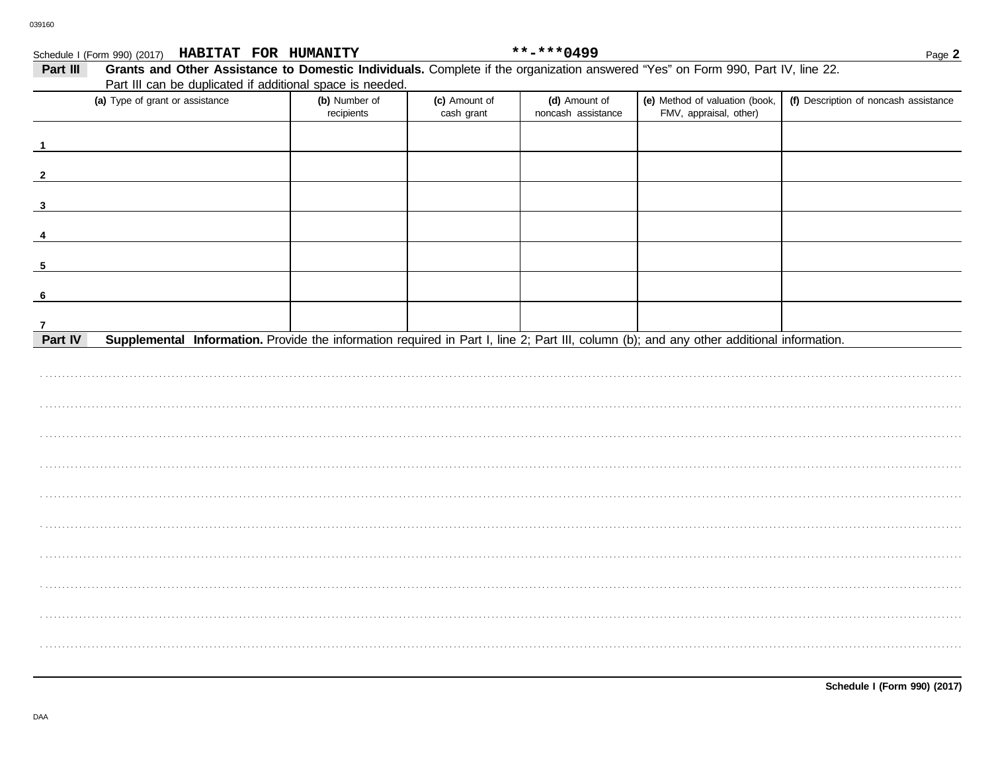Schedule I (Form 990) (2017) HABITAT FOR HUMANITY

| (a) Type of grant or assistance                                                                                                                      | (b) Number of | (c) Amount of | (d) Amount of      | (e) Method of valuation (book, | (f) Description of noncash assistance |
|------------------------------------------------------------------------------------------------------------------------------------------------------|---------------|---------------|--------------------|--------------------------------|---------------------------------------|
|                                                                                                                                                      | recipients    | cash grant    | noncash assistance | FMV, appraisal, other)         |                                       |
|                                                                                                                                                      |               |               |                    |                                |                                       |
|                                                                                                                                                      |               |               |                    |                                |                                       |
|                                                                                                                                                      |               |               |                    |                                |                                       |
| $\mathbf{2}$                                                                                                                                         |               |               |                    |                                |                                       |
|                                                                                                                                                      |               |               |                    |                                |                                       |
| $\mathbf{3}$                                                                                                                                         |               |               |                    |                                |                                       |
|                                                                                                                                                      |               |               |                    |                                |                                       |
|                                                                                                                                                      |               |               |                    |                                |                                       |
| 5                                                                                                                                                    |               |               |                    |                                |                                       |
|                                                                                                                                                      |               |               |                    |                                |                                       |
| -6                                                                                                                                                   |               |               |                    |                                |                                       |
|                                                                                                                                                      |               |               |                    |                                |                                       |
| Supplemental Information. Provide the information required in Part I, line 2; Part III, column (b); and any other additional information.<br>Part IV |               |               |                    |                                |                                       |
|                                                                                                                                                      |               |               |                    |                                |                                       |
|                                                                                                                                                      |               |               |                    |                                |                                       |
|                                                                                                                                                      |               |               |                    |                                |                                       |
|                                                                                                                                                      |               |               |                    |                                |                                       |
|                                                                                                                                                      |               |               |                    |                                |                                       |
|                                                                                                                                                      |               |               |                    |                                |                                       |
|                                                                                                                                                      |               |               |                    |                                |                                       |
|                                                                                                                                                      |               |               |                    |                                |                                       |
|                                                                                                                                                      |               |               |                    |                                |                                       |
|                                                                                                                                                      |               |               |                    |                                |                                       |
|                                                                                                                                                      |               |               |                    |                                |                                       |
|                                                                                                                                                      |               |               |                    |                                |                                       |
|                                                                                                                                                      |               |               |                    |                                |                                       |
|                                                                                                                                                      |               |               |                    |                                |                                       |
|                                                                                                                                                      |               |               |                    |                                |                                       |
|                                                                                                                                                      |               |               |                    |                                |                                       |
|                                                                                                                                                      |               |               |                    |                                |                                       |
|                                                                                                                                                      |               |               |                    |                                |                                       |

 $******0499$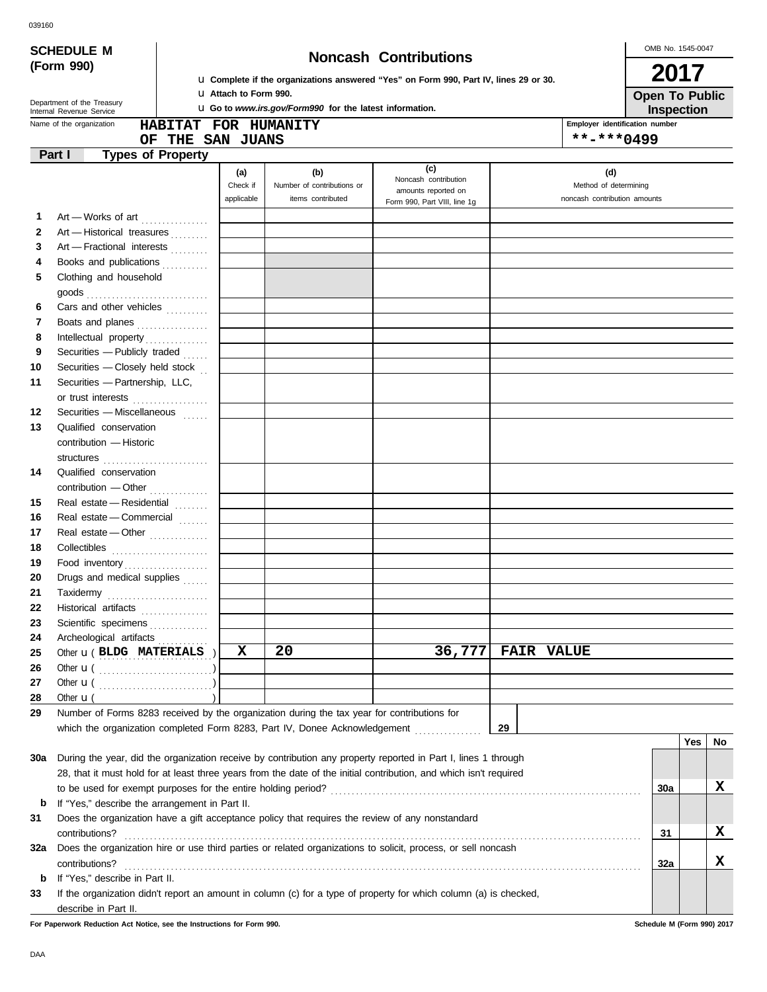|     | <b>SCHEDULE M</b>                                    |                      |                              |                                                                                             | <b>Noncash Contributions</b>                                                                                       |                   |                                | OMB No. 1545-0047                   |     |    |
|-----|------------------------------------------------------|----------------------|------------------------------|---------------------------------------------------------------------------------------------|--------------------------------------------------------------------------------------------------------------------|-------------------|--------------------------------|-------------------------------------|-----|----|
|     | (Form 990)                                           |                      |                              |                                                                                             | 2017                                                                                                               |                   |                                |                                     |     |    |
|     |                                                      |                      |                              |                                                                                             | <b>u</b> Complete if the organizations answered "Yes" on Form 990, Part IV, lines 29 or 30.                        |                   |                                |                                     |     |    |
|     | Department of the Treasury                           |                      | <b>U Attach to Form 990.</b> | <b>u</b> Go to www.irs.gov/Form990 for the latest information.                              |                                                                                                                    |                   |                                | <b>Open To Public</b><br>Inspection |     |    |
|     | Internal Revenue Service<br>Name of the organization | HABITAT FOR HUMANITY |                              |                                                                                             |                                                                                                                    |                   | Employer identification number |                                     |     |    |
|     |                                                      | OF THE SAN JUANS     |                              |                                                                                             |                                                                                                                    |                   | **-***0499                     |                                     |     |    |
|     | <b>Types of Property</b><br>Part I                   |                      |                              |                                                                                             |                                                                                                                    |                   |                                |                                     |     |    |
|     |                                                      |                      | (a)                          | (b)                                                                                         | (c)                                                                                                                |                   | (d)                            |                                     |     |    |
|     |                                                      |                      | Check if                     | Number of contributions or                                                                  | Noncash contribution<br>amounts reported on                                                                        |                   | Method of determining          |                                     |     |    |
|     |                                                      |                      | applicable                   | items contributed                                                                           | Form 990, Part VIII, line 1g                                                                                       |                   | noncash contribution amounts   |                                     |     |    |
| 1   | Art - Works of art                                   |                      |                              |                                                                                             |                                                                                                                    |                   |                                |                                     |     |    |
| 2   | Art - Historical treasures                           |                      |                              |                                                                                             |                                                                                                                    |                   |                                |                                     |     |    |
| 3   | Art - Fractional interests                           |                      |                              |                                                                                             |                                                                                                                    |                   |                                |                                     |     |    |
| 4   | Books and publications                               |                      |                              |                                                                                             |                                                                                                                    |                   |                                |                                     |     |    |
| 5   | Clothing and household                               |                      |                              |                                                                                             |                                                                                                                    |                   |                                |                                     |     |    |
|     | $\mathsf{goods}\xrightarrow{\hspace{0.5cm}}$         |                      |                              |                                                                                             |                                                                                                                    |                   |                                |                                     |     |    |
| 6   | Cars and other vehicles                              |                      |                              |                                                                                             |                                                                                                                    |                   |                                |                                     |     |    |
| 7   | Boats and planes                                     |                      |                              |                                                                                             |                                                                                                                    |                   |                                |                                     |     |    |
| 8   |                                                      |                      |                              |                                                                                             |                                                                                                                    |                   |                                |                                     |     |    |
| 9   | Securities - Publicly traded                         |                      |                              |                                                                                             |                                                                                                                    |                   |                                |                                     |     |    |
| 10  | Securities - Closely held stock                      |                      |                              |                                                                                             |                                                                                                                    |                   |                                |                                     |     |    |
| 11  | Securities - Partnership, LLC,                       |                      |                              |                                                                                             |                                                                                                                    |                   |                                |                                     |     |    |
|     | or trust interests                                   |                      |                              |                                                                                             |                                                                                                                    |                   |                                |                                     |     |    |
| 12  | Securities - Miscellaneous                           |                      |                              |                                                                                             |                                                                                                                    |                   |                                |                                     |     |    |
| 13  | Qualified conservation                               |                      |                              |                                                                                             |                                                                                                                    |                   |                                |                                     |     |    |
|     | contribution - Historic                              |                      |                              |                                                                                             |                                                                                                                    |                   |                                |                                     |     |    |
| 14  | Qualified conservation                               |                      |                              |                                                                                             |                                                                                                                    |                   |                                |                                     |     |    |
|     | contribution - Other                                 |                      |                              |                                                                                             |                                                                                                                    |                   |                                |                                     |     |    |
| 15  | Real estate - Residential                            |                      |                              |                                                                                             |                                                                                                                    |                   |                                |                                     |     |    |
| 16  | Real estate - Commercial                             |                      |                              |                                                                                             |                                                                                                                    |                   |                                |                                     |     |    |
| 17  | Real estate - Other                                  |                      |                              |                                                                                             |                                                                                                                    |                   |                                |                                     |     |    |
| 18  |                                                      |                      |                              |                                                                                             |                                                                                                                    |                   |                                |                                     |     |    |
| 19  | Food inventory                                       |                      |                              |                                                                                             |                                                                                                                    |                   |                                |                                     |     |    |
| 20  | Drugs and medical supplies                           |                      |                              |                                                                                             |                                                                                                                    |                   |                                |                                     |     |    |
| 21  | Taxidermy                                            |                      |                              |                                                                                             |                                                                                                                    |                   |                                |                                     |     |    |
| 22  | Historical artifacts                                 |                      |                              |                                                                                             |                                                                                                                    |                   |                                |                                     |     |    |
| 23  | Scientific specimens                                 |                      |                              |                                                                                             |                                                                                                                    |                   |                                |                                     |     |    |
| 24  | Archeological artifacts                              |                      |                              |                                                                                             |                                                                                                                    |                   |                                |                                     |     |    |
| 25  | Other <b>u</b> (BLDG MATERIALS)                      |                      | X                            | 20                                                                                          | 36,777                                                                                                             | <b>FAIR VALUE</b> |                                |                                     |     |    |
| 26  |                                                      |                      |                              |                                                                                             |                                                                                                                    |                   |                                |                                     |     |    |
| 27  |                                                      |                      |                              |                                                                                             |                                                                                                                    |                   |                                |                                     |     |    |
| 28  | Other $\mathbf{u}$ (                                 |                      |                              |                                                                                             |                                                                                                                    |                   |                                |                                     |     |    |
| 29  |                                                      |                      |                              | Number of Forms 8283 received by the organization during the tax year for contributions for |                                                                                                                    |                   |                                |                                     |     |    |
|     |                                                      |                      |                              |                                                                                             | which the organization completed Form 8283, Part IV, Donee Acknowledgement [ [ [ [ [ ] ] ]                         | 29                |                                |                                     |     |    |
|     |                                                      |                      |                              |                                                                                             |                                                                                                                    |                   |                                |                                     | Yes | No |
| 30a |                                                      |                      |                              |                                                                                             | During the year, did the organization receive by contribution any property reported in Part I, lines 1 through     |                   |                                |                                     |     |    |
|     |                                                      |                      |                              |                                                                                             | 28, that it must hold for at least three years from the date of the initial contribution, and which isn't required |                   |                                |                                     |     |    |
|     |                                                      |                      |                              |                                                                                             |                                                                                                                    |                   |                                | 30a                                 |     | x  |
| b   | If "Yes," describe the arrangement in Part II.       |                      |                              |                                                                                             |                                                                                                                    |                   |                                |                                     |     |    |
| 31  |                                                      |                      |                              |                                                                                             | Does the organization have a gift acceptance policy that requires the review of any nonstandard                    |                   |                                | 31                                  |     | x  |
| 32a | contributions?                                       |                      |                              |                                                                                             | Does the organization hire or use third parties or related organizations to solicit, process, or sell noncash      |                   |                                |                                     |     |    |
|     | contributions?                                       |                      |                              |                                                                                             |                                                                                                                    |                   |                                | 32a                                 |     | x  |
| b   | If "Yes," describe in Part II.                       |                      |                              |                                                                                             |                                                                                                                    |                   |                                |                                     |     |    |
| 33  |                                                      |                      |                              |                                                                                             | If the organization didn't report an amount in column (c) for a type of property for which column (a) is checked,  |                   |                                |                                     |     |    |
|     | describe in Part II.                                 |                      |                              |                                                                                             |                                                                                                                    |                   |                                |                                     |     |    |

**For Paperwork Reduction Act Notice, see the Instructions for Form 990. Schedule M (Form 990) 2017**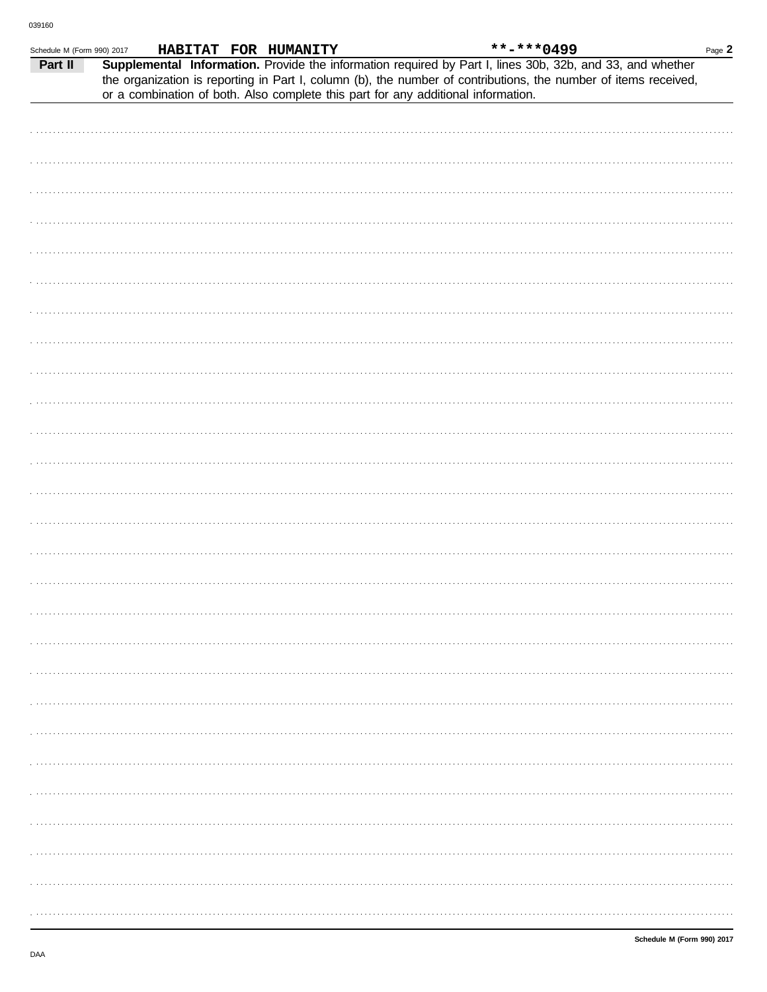| Schedule M (Form 990) 2017 |  | HABITAT FOR HUMANITY |  |                                                                                   | **-***0499                                                                                                                                                                                                                   | Page 2 |
|----------------------------|--|----------------------|--|-----------------------------------------------------------------------------------|------------------------------------------------------------------------------------------------------------------------------------------------------------------------------------------------------------------------------|--------|
| Part II                    |  |                      |  |                                                                                   | Supplemental Information. Provide the information required by Part I, lines 30b, 32b, and 33, and whether<br>the organization is reporting in Part I, column (b), the number of contributions, the number of items received, |        |
|                            |  |                      |  | or a combination of both. Also complete this part for any additional information. |                                                                                                                                                                                                                              |        |
|                            |  |                      |  |                                                                                   |                                                                                                                                                                                                                              |        |
|                            |  |                      |  |                                                                                   |                                                                                                                                                                                                                              |        |
|                            |  |                      |  |                                                                                   |                                                                                                                                                                                                                              |        |
|                            |  |                      |  |                                                                                   |                                                                                                                                                                                                                              |        |
|                            |  |                      |  |                                                                                   |                                                                                                                                                                                                                              |        |
|                            |  |                      |  |                                                                                   |                                                                                                                                                                                                                              |        |
|                            |  |                      |  |                                                                                   |                                                                                                                                                                                                                              |        |
|                            |  |                      |  |                                                                                   |                                                                                                                                                                                                                              |        |
|                            |  |                      |  |                                                                                   |                                                                                                                                                                                                                              |        |
|                            |  |                      |  |                                                                                   |                                                                                                                                                                                                                              |        |
|                            |  |                      |  |                                                                                   |                                                                                                                                                                                                                              |        |
|                            |  |                      |  |                                                                                   |                                                                                                                                                                                                                              |        |
|                            |  |                      |  |                                                                                   |                                                                                                                                                                                                                              |        |
|                            |  |                      |  |                                                                                   |                                                                                                                                                                                                                              |        |
|                            |  |                      |  |                                                                                   |                                                                                                                                                                                                                              |        |
|                            |  |                      |  |                                                                                   |                                                                                                                                                                                                                              |        |
|                            |  |                      |  |                                                                                   |                                                                                                                                                                                                                              |        |
|                            |  |                      |  |                                                                                   |                                                                                                                                                                                                                              |        |
|                            |  |                      |  |                                                                                   |                                                                                                                                                                                                                              |        |
|                            |  |                      |  |                                                                                   |                                                                                                                                                                                                                              |        |
|                            |  |                      |  |                                                                                   |                                                                                                                                                                                                                              |        |
|                            |  |                      |  |                                                                                   |                                                                                                                                                                                                                              |        |
|                            |  |                      |  |                                                                                   |                                                                                                                                                                                                                              |        |
|                            |  |                      |  |                                                                                   |                                                                                                                                                                                                                              |        |
|                            |  |                      |  |                                                                                   |                                                                                                                                                                                                                              |        |
|                            |  |                      |  |                                                                                   |                                                                                                                                                                                                                              |        |